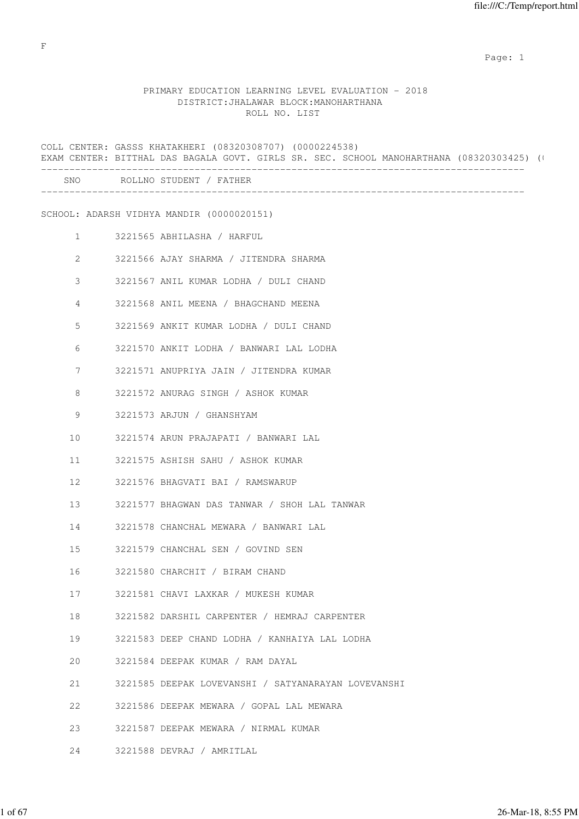# PRIMARY EDUCATION LEARNING LEVEL EVALUATION - 2018 DISTRICT:JHALAWAR BLOCK:MANOHARTHANA ROLL NO. LIST

|                 |                                                     | EXAM CENTER: BITTHAL DAS BAGALA GOVT. GIRLS SR. SEC. SCHOOL MANOHARTHANA (08320303425) (+ |  |
|-----------------|-----------------------------------------------------|-------------------------------------------------------------------------------------------|--|
|                 | SNO ROLLNO STUDENT / FATHER                         |                                                                                           |  |
|                 | SCHOOL: ADARSH VIDHYA MANDIR (0000020151)           |                                                                                           |  |
| $\mathbf{1}$    | 3221565 ABHILASHA / HARFUL                          |                                                                                           |  |
| 2               | 3221566 AJAY SHARMA / JITENDRA SHARMA               |                                                                                           |  |
| 3               | 3221567 ANIL KUMAR LODHA / DULI CHAND               |                                                                                           |  |
| 4               | 3221568 ANIL MEENA / BHAGCHAND MEENA                |                                                                                           |  |
| 5               | 3221569 ANKIT KUMAR LODHA / DULI CHAND              |                                                                                           |  |
| 6               | 3221570 ANKIT LODHA / BANWARI LAL LODHA             |                                                                                           |  |
| 7               | 3221571 ANUPRIYA JAIN / JITENDRA KUMAR              |                                                                                           |  |
| 8               | 3221572 ANURAG SINGH / ASHOK KUMAR                  |                                                                                           |  |
| 9               | 3221573 ARJUN / GHANSHYAM                           |                                                                                           |  |
| 10              | 3221574 ARUN PRAJAPATI / BANWARI LAL                |                                                                                           |  |
| 11              | 3221575 ASHISH SAHU / ASHOK KUMAR                   |                                                                                           |  |
| 12 <sup>°</sup> | 3221576 BHAGVATI BAI / RAMSWARUP                    |                                                                                           |  |
| 13              | 3221577 BHAGWAN DAS TANWAR / SHOH LAL TANWAR        |                                                                                           |  |
| 14              | 3221578 CHANCHAL MEWARA / BANWARI LAL               |                                                                                           |  |
| 15              | 3221579 CHANCHAL SEN / GOVIND SEN                   |                                                                                           |  |
| 16              | 3221580 CHARCHIT / BIRAM CHAND                      |                                                                                           |  |
| 17              | 3221581 CHAVI LAXKAR / MUKESH KUMAR                 |                                                                                           |  |
| 18              | 3221582 DARSHIL CARPENTER / HEMRAJ CARPENTER        |                                                                                           |  |
| 19              | 3221583 DEEP CHAND LODHA / KANHAIYA LAL LODHA       |                                                                                           |  |
| 20              | 3221584 DEEPAK KUMAR / RAM DAYAL                    |                                                                                           |  |
| 21              | 3221585 DEEPAK LOVEVANSHI / SATYANARAYAN LOVEVANSHI |                                                                                           |  |
| 22              | 3221586 DEEPAK MEWARA / GOPAL LAL MEWARA            |                                                                                           |  |
| 23              | 3221587 DEEPAK MEWARA / NIRMAL KUMAR                |                                                                                           |  |
| 24              | 3221588 DEVRAJ / AMRITLAL                           |                                                                                           |  |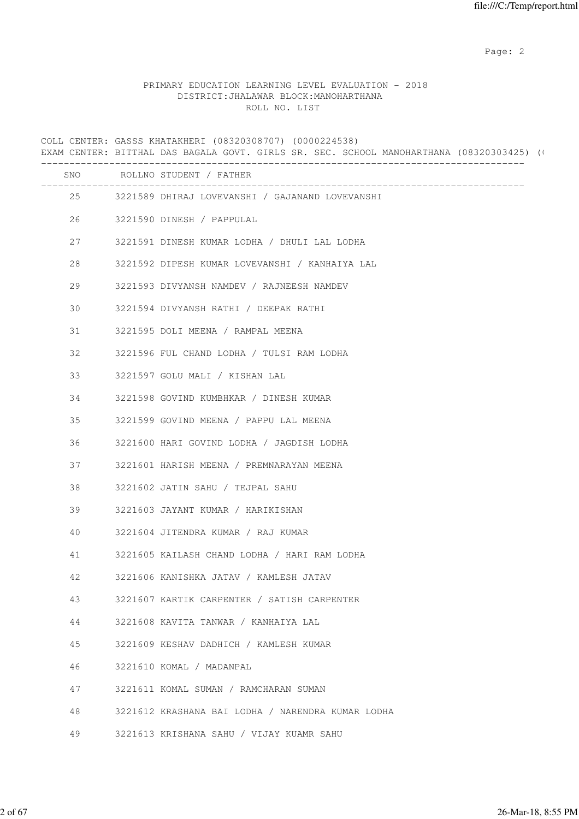### PRIMARY EDUCATION LEARNING LEVEL EVALUATION - 2018 DISTRICT:JHALAWAR BLOCK:MANOHARTHANA ROLL NO. LIST

COLL CENTER: GASSS KHATAKHERI (08320308707) (0000224538) EXAM CENTER: BITTHAL DAS BAGALA GOVT. GIRLS SR. SEC. SCHOOL MANOHARTHANA (08320303425) (0 ------------------------------------------------------------------------------------- SNO ROLLNO STUDENT / FATHER ------------------------------------------------------------------------------------- 25 3221589 DHIRAJ LOVEVANSHI / GAJANAND LOVEVANSHI 26 3221590 DINESH / PAPPULAL 27 3221591 DINESH KUMAR LODHA / DHULI LAL LODHA 28 3221592 DIPESH KUMAR LOVEVANSHI / KANHAIYA LAL 29 3221593 DIVYANSH NAMDEV / RAJNEESH NAMDEV 30 3221594 DIVYANSH RATHI / DEEPAK RATHI 31 3221595 DOLI MEENA / RAMPAL MEENA 32 3221596 FUL CHAND LODHA / TULSI RAM LODHA 33 3221597 GOLU MALI / KISHAN LAL 34 3221598 GOVIND KUMBHKAR / DINESH KUMAR 35 3221599 GOVIND MEENA / PAPPU LAL MEENA 36 3221600 HARI GOVIND LODHA / JAGDISH LODHA 37 3221601 HARISH MEENA / PREMNARAYAN MEENA 38 3221602 JATIN SAHU / TEJPAL SAHU 39 3221603 JAYANT KUMAR / HARIKISHAN 40 3221604 JITENDRA KUMAR / RAJ KUMAR 41 3221605 KAILASH CHAND LODHA / HARI RAM LODHA 42 3221606 KANISHKA JATAV / KAMLESH JATAV 43 3221607 KARTIK CARPENTER / SATISH CARPENTER 44 3221608 KAVITA TANWAR / KANHAIYA LAL 45 3221609 KESHAV DADHICH / KAMLESH KUMAR 46 3221610 KOMAL / MADANPAL 47 3221611 KOMAL SUMAN / RAMCHARAN SUMAN 48 3221612 KRASHANA BAI LODHA / NARENDRA KUMAR LODHA 49 3221613 KRISHANA SAHU / VIJAY KUAMR SAHU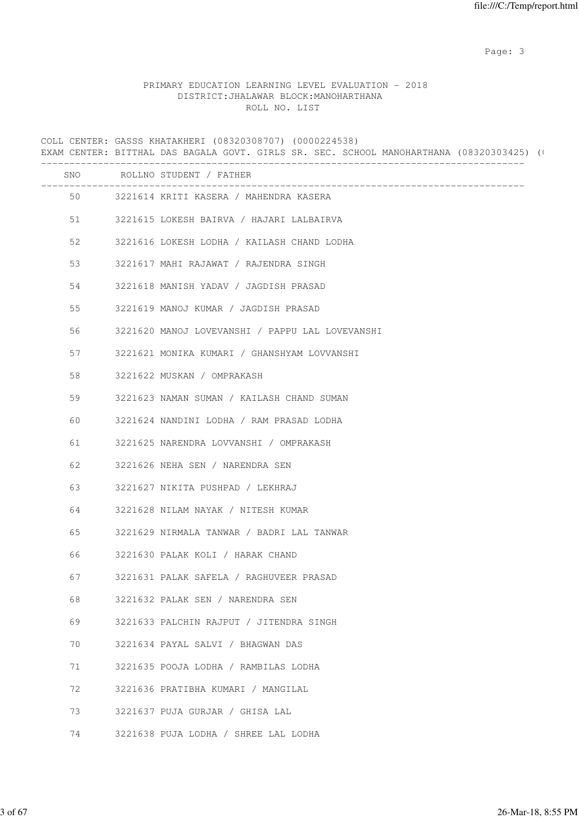Page: 3

### PRIMARY EDUCATION LEARNING LEVEL EVALUATION - 2018 DISTRICT:JHALAWAR BLOCK:MANOHARTHANA ROLL NO. LIST

COLL CENTER: GASSS KHATAKHERI (08320308707) (0000224538) EXAM CENTER: BITTHAL DAS BAGALA GOVT. GIRLS SR. SEC. SCHOOL MANOHARTHANA (08320303425) (0 ------------------------------------------------------------------------------------- SNO ROLLNO STUDENT / FATHER ------------------------------------------------------------------------------------- 50 3221614 KRITI KASERA / MAHENDRA KASERA 51 3221615 LOKESH BAIRVA / HAJARI LALBAIRVA 52 3221616 LOKESH LODHA / KAILASH CHAND LODHA 53 3221617 MAHI RAJAWAT / RAJENDRA SINGH 54 3221618 MANISH YADAV / JAGDISH PRASAD 55 3221619 MANOJ KUMAR / JAGDISH PRASAD 56 3221620 MANOJ LOVEVANSHI / PAPPU LAL LOVEVANSHI 57 3221621 MONIKA KUMARI / GHANSHYAM LOVVANSHI 58 3221622 MUSKAN / OMPRAKASH 59 3221623 NAMAN SUMAN / KAILASH CHAND SUMAN 60 3221624 NANDINI LODHA / RAM PRASAD LODHA 61 3221625 NARENDRA LOVVANSHI / OMPRAKASH 62 3221626 NEHA SEN / NARENDRA SEN 63 3221627 NIKITA PUSHPAD / LEKHRAJ 64 3221628 NILAM NAYAK / NITESH KUMAR 65 3221629 NIRMALA TANWAR / BADRI LAL TANWAR 66 3221630 PALAK KOLI / HARAK CHAND 67 3221631 PALAK SAFELA / RAGHUVEER PRASAD 68 3221632 PALAK SEN / NARENDRA SEN 69 3221633 PALCHIN RAJPUT / JITENDRA SINGH 70 3221634 PAYAL SALVI / BHAGWAN DAS 71 3221635 POOJA LODHA / RAMBILAS LODHA 72 3221636 PRATIBHA KUMARI / MANGILAL 73 3221637 PUJA GURJAR / GHISA LAL

74 3221638 PUJA LODHA / SHREE LAL LODHA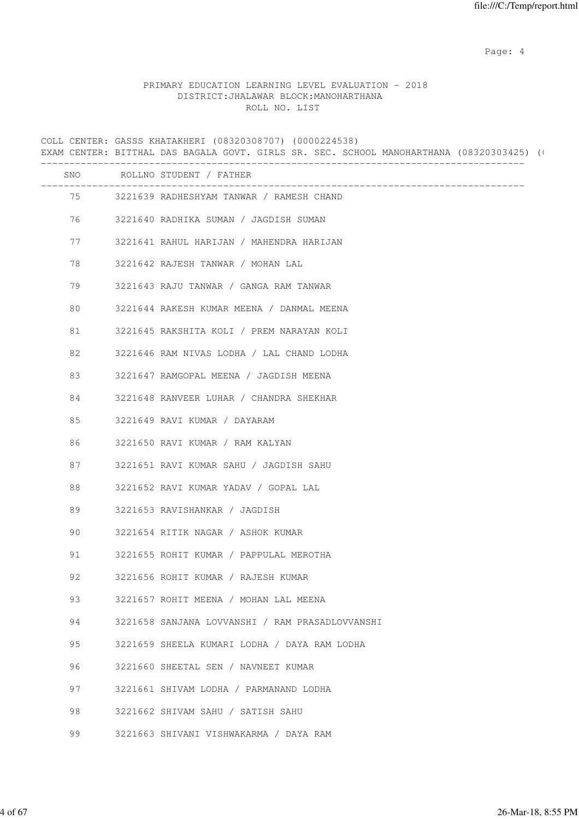Page: 4  $P$ 

#### PRIMARY EDUCATION LEARNING LEVEL EVALUATION - 2018 DISTRICT:JHALAWAR BLOCK:MANOHARTHANA ROLL NO. LIST

COLL CENTER: GASSS KHATAKHERI (08320308707) (0000224538) EXAM CENTER: BITTHAL DAS BAGALA GOVT. GIRLS SR. SEC. SCHOOL MANOHARTHANA (08320303425) (0 ------------------------------------------------------------------------------------- SNO ROLLNO STUDENT / FATHER ------------------------------------------------------------------------------------- 75 3221639 RADHESHYAM TANWAR / RAMESH CHAND 76 3221640 RADHIKA SUMAN / JAGDISH SUMAN 77 3221641 RAHUL HARIJAN / MAHENDRA HARIJAN 78 3221642 RAJESH TANWAR / MOHAN LAL 79 3221643 RAJU TANWAR / GANGA RAM TANWAR 80 3221644 RAKESH KUMAR MEENA / DANMAL MEENA 81 3221645 RAKSHITA KOLI / PREM NARAYAN KOLI 82 3221646 RAM NIVAS LODHA / LAL CHAND LODHA 83 3221647 RAMGOPAL MEENA / JAGDISH MEENA 84 3221648 RANVEER LUHAR / CHANDRA SHEKHAR 85 3221649 RAVI KUMAR / DAYARAM 86 3221650 RAVI KUMAR / RAM KALYAN 87 3221651 RAVI KUMAR SAHU / JAGDISH SAHU 88 3221652 RAVI KUMAR YADAV / GOPAL LAL 89 3221653 RAVISHANKAR / JAGDISH 90 3221654 RITIK NAGAR / ASHOK KUMAR 91 3221655 ROHIT KUMAR / PAPPULAL MEROTHA 92 3221656 ROHIT KUMAR / RAJESH KUMAR 93 3221657 ROHIT MEENA / MOHAN LAL MEENA 94 3221658 SANJANA LOVVANSHI / RAM PRASADLOVVANSHI 95 3221659 SHEELA KUMARI LODHA / DAYA RAM LODHA 96 3221660 SHEETAL SEN / NAVNEET KUMAR 97 3221661 SHIVAM LODHA / PARMANAND LODHA 98 3221662 SHIVAM SAHU / SATISH SAHU 99 3221663 SHIVANI VISHWAKARMA / DAYA RAM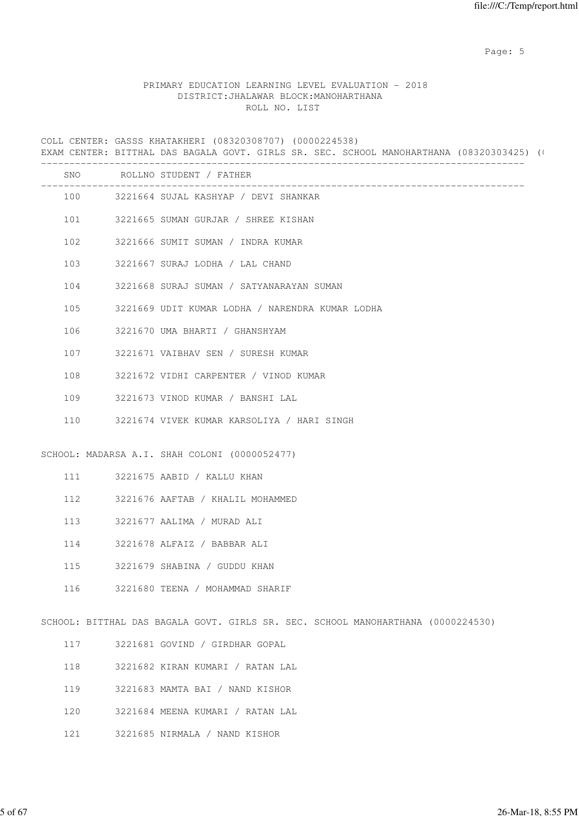Page: 5  $P$  and  $P$  and  $P$  and  $P$  and  $P$  and  $P$  and  $P$  and  $P$  and  $P$  and  $P$  and  $P$  and  $P$  and  $P$  and  $P$  and  $P$  and  $P$  and  $P$  and  $P$  and  $P$  and  $P$  and  $P$  and  $P$  and  $P$  and  $P$  and  $P$  and  $P$  and  $P$  an

#### PRIMARY EDUCATION LEARNING LEVEL EVALUATION - 2018 DISTRICT:JHALAWAR BLOCK:MANOHARTHANA ROLL NO. LIST

COLL CENTER: GASSS KHATAKHERI (08320308707) (0000224538) EXAM CENTER: BITTHAL DAS BAGALA GOVT. GIRLS SR. SEC. SCHOOL MANOHARTHANA (08320303425) (0 ------------------------------------------------------------------------------------- SNO ROLLNO STUDENT / FATHER ------------------------------------------------------------------------------------- 100 3221664 SUJAL KASHYAP / DEVI SHANKAR 101 3221665 SUMAN GURJAR / SHREE KISHAN 102 3221666 SUMIT SUMAN / INDRA KUMAR 103 3221667 SURAJ LODHA / LAL CHAND 104 3221668 SURAJ SUMAN / SATYANARAYAN SUMAN 105 3221669 UDIT KUMAR LODHA / NARENDRA KUMAR LODHA 106 3221670 UMA BHARTI / GHANSHYAM 107 3221671 VAIBHAV SEN / SURESH KUMAR 108 3221672 VIDHI CARPENTER / VINOD KUMAR 109 3221673 VINOD KUMAR / BANSHI LAL 110 3221674 VIVEK KUMAR KARSOLIYA / HARI SINGH SCHOOL: MADARSA A.I. SHAH COLONI (0000052477) 111 3221675 AABID / KALLU KHAN 112 3221676 AAFTAB / KHALIL MOHAMMED 113 3221677 AALIMA / MURAD ALI 114 3221678 ALFAIZ / BABBAR ALI 115 3221679 SHABINA / GUDDU KHAN 116 3221680 TEENA / MOHAMMAD SHARIF SCHOOL: BITTHAL DAS BAGALA GOVT. GIRLS SR. SEC. SCHOOL MANOHARTHANA (0000224530) 117 3221681 GOVIND / GIRDHAR GOPAL 118 3221682 KIRAN KUMARI / RATAN LAL 119 3221683 MAMTA BAI / NAND KISHOR 120 3221684 MEENA KUMARI / RATAN LAL 121 3221685 NIRMALA / NAND KISHOR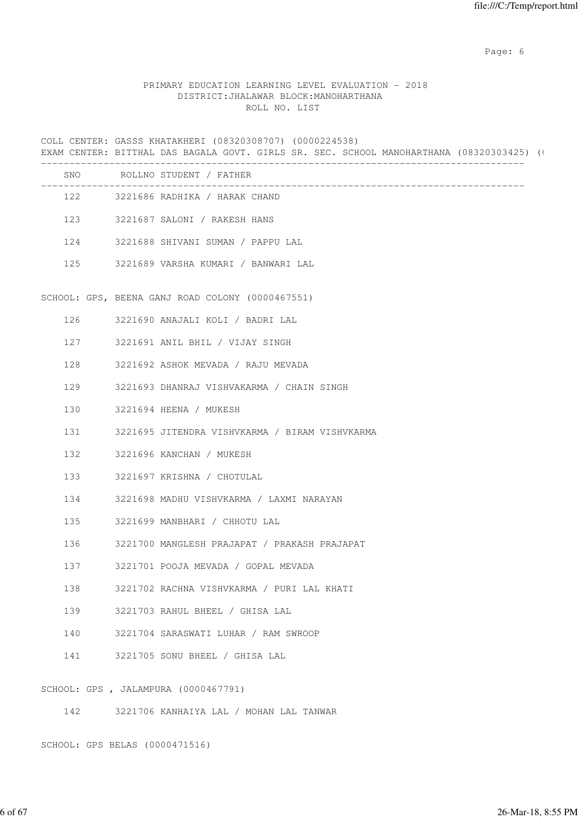Page: 6  $P$  and  $P$  and  $P$  and  $P$  and  $P$  and  $P$  and  $P$  and  $P$  and  $P$  and  $P$  and  $P$  and  $P$  and  $P$  and  $P$  and  $P$  and  $P$  and  $P$  and  $P$  and  $P$  and  $P$  and  $P$  and  $P$  and  $P$  and  $P$  and  $P$  and  $P$  and  $P$  an

#### PRIMARY EDUCATION LEARNING LEVEL EVALUATION - 2018 DISTRICT:JHALAWAR BLOCK:MANOHARTHANA ROLL NO. LIST

COLL CENTER: GASSS KHATAKHERI (08320308707) (0000224538) EXAM CENTER: BITTHAL DAS BAGALA GOVT. GIRLS SR. SEC. SCHOOL MANOHARTHANA (08320303425) (0 ------------------------------------------------------------------------------------- SNO ROLLNO STUDENT / FATHER ------------------------------------------------------------------------------------- 122 3221686 RADHIKA / HARAK CHAND 123 3221687 SALONI / RAKESH HANS 124 3221688 SHIVANI SUMAN / PAPPU LAL 125 3221689 VARSHA KUMARI / BANWARI LAL SCHOOL: GPS, BEENA GANJ ROAD COLONY (0000467551) 126 3221690 ANAJALI KOLI / BADRI LAL 127 3221691 ANIL BHIL / VIJAY SINGH 128 3221692 ASHOK MEVADA / RAJU MEVADA 129 3221693 DHANRAJ VISHVAKARMA / CHAIN SINGH 130 3221694 HEENA / MUKESH 131 3221695 JITENDRA VISHVKARMA / BIRAM VISHVKARMA 132 3221696 KANCHAN / MUKESH 133 3221697 KRISHNA / CHOTULAL 134 3221698 MADHU VISHVKARMA / LAXMI NARAYAN 135 3221699 MANBHARI / CHHOTU LAL 136 3221700 MANGLESH PRAJAPAT / PRAKASH PRAJAPAT 137 3221701 POOJA MEVADA / GOPAL MEVADA 138 3221702 RACHNA VISHVKARMA / PURI LAL KHATI 139 3221703 RAHUL BHEEL / GHISA LAL 140 3221704 SARASWATI LUHAR / RAM SWROOP 141 3221705 SONU BHEEL / GHISA LAL SCHOOL: GPS , JALAMPURA (0000467791) 142 3221706 KANHAIYA LAL / MOHAN LAL TANWAR

SCHOOL: GPS BELAS (0000471516)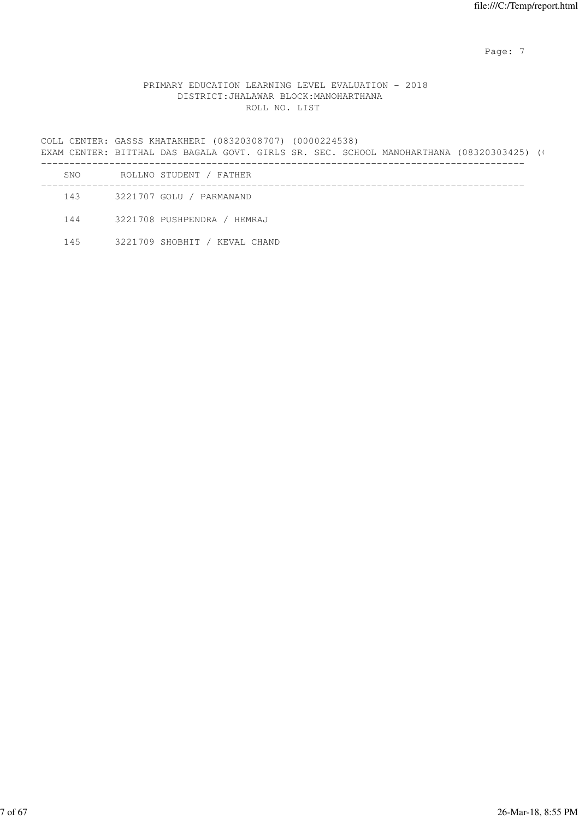Page: 7  $P$  and  $P$  and  $P$  and  $P$  and  $P$  and  $P$  and  $P$  and  $P$  and  $P$  and  $P$  and  $P$  and  $P$  and  $P$  and  $P$  and  $P$  and  $P$  and  $P$  and  $P$  and  $P$  and  $P$  and  $P$  and  $P$  and  $P$  and  $P$  and  $P$  and  $P$  and  $P$  an

## PRIMARY EDUCATION LEARNING LEVEL EVALUATION - 2018 DISTRICT:JHALAWAR BLOCK:MANOHARTHANA ROLL NO. LIST

COLL CENTER: GASSS KHATAKHERI (08320308707) (0000224538) EXAM CENTER: BITTHAL DAS BAGALA GOVT. GIRLS SR. SEC. SCHOOL MANOHARTHANA (08320303425) (0 ------------------------------------------------------------------------------------- SNO ROLLNO STUDENT / FATHER ------------------------------------------------------------------------------------- 143 3221707 GOLU / PARMANAND 144 3221708 PUSHPENDRA / HEMRAJ

145 3221709 SHOBHIT / KEVAL CHAND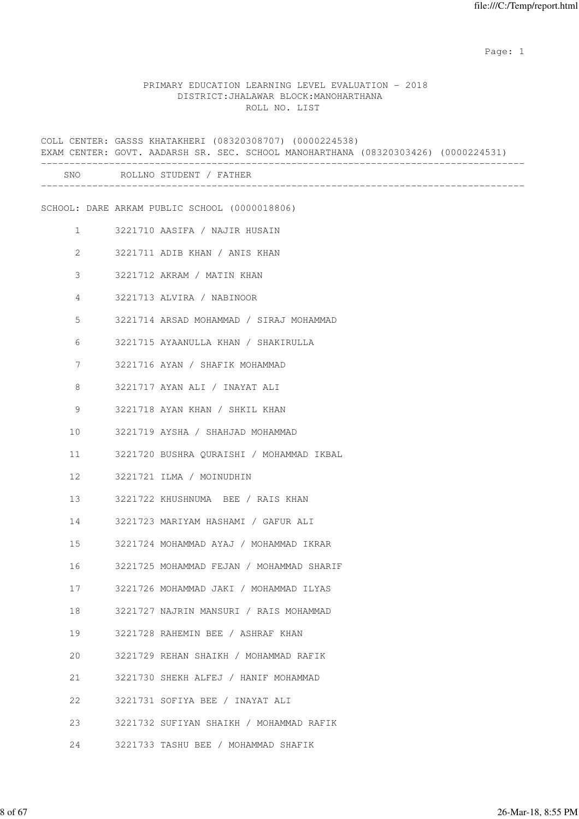#### PRIMARY EDUCATION LEARNING LEVEL EVALUATION - 2018 DISTRICT:JHALAWAR BLOCK:MANOHARTHANA ROLL NO. LIST

COLL CENTER: GASSS KHATAKHERI (08320308707) (0000224538) EXAM CENTER: GOVT. AADARSH SR. SEC. SCHOOL MANOHARTHANA (08320303426) (0000224531) ------------------------------------------------------------------------------------- SNO ROLLNO STUDENT / FATHER ------------------------------------------------------------------------------------- SCHOOL: DARE ARKAM PUBLIC SCHOOL (0000018806) 1 3221710 AASIFA / NAJIR HUSAIN 2 3221711 ADIB KHAN / ANIS KHAN 3 3221712 AKRAM / MATIN KHAN 4 3221713 ALVIRA / NABINOOR 5 3221714 ARSAD MOHAMMAD / SIRAJ MOHAMMAD 6 3221715 AYAANULLA KHAN / SHAKIRULLA 7 3221716 AYAN / SHAFIK MOHAMMAD 8 3221717 AYAN ALI / INAYAT ALI 9 3221718 AYAN KHAN / SHKIL KHAN 10 3221719 AYSHA / SHAHJAD MOHAMMAD 11 3221720 BUSHRA QURAISHI / MOHAMMAD IKBAL 12 3221721 ILMA / MOINUDHIN 13 3221722 KHUSHNUMA BEE / RAIS KHAN 14 3221723 MARIYAM HASHAMI / GAFUR ALI 15 3221724 MOHAMMAD AYAJ / MOHAMMAD IKRAR 16 3221725 MOHAMMAD FEJAN / MOHAMMAD SHARIF 17 3221726 MOHAMMAD JAKI / MOHAMMAD ILYAS 18 3221727 NAJRIN MANSURI / RAIS MOHAMMAD 19 3221728 RAHEMIN BEE / ASHRAF KHAN 20 3221729 REHAN SHAIKH / MOHAMMAD RAFIK 21 3221730 SHEKH ALFEJ / HANIF MOHAMMAD 22 3221731 SOFIYA BEE / INAYAT ALI 23 3221732 SUFIYAN SHAIKH / MOHAMMAD RAFIK 24 3221733 TASHU BEE / MOHAMMAD SHAFIK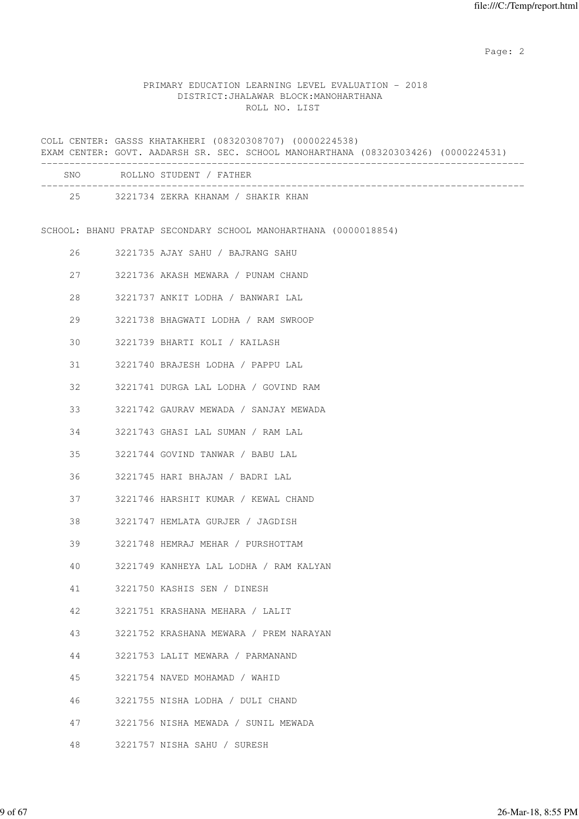# PRIMARY EDUCATION LEARNING LEVEL EVALUATION - 2018 DISTRICT:JHALAWAR BLOCK:MANOHARTHANA ROLL NO. LIST

|    | COLL CENTER: GASSS KHATAKHERI (08320308707) (0000224538)<br>EXAM CENTER: GOVT. AADARSH SR. SEC. SCHOOL MANOHARTHANA (08320303426) (0000224531) |
|----|------------------------------------------------------------------------------------------------------------------------------------------------|
|    | _____________________<br>SNO ROLLNO STUDENT / FATHER                                                                                           |
|    | 25 3221734 ZEKRA KHANAM / SHAKIR KHAN                                                                                                          |
|    | SCHOOL: BHANU PRATAP SECONDARY SCHOOL MANOHARTHANA (0000018854)                                                                                |
| 26 | 3221735 AJAY SAHU / BAJRANG SAHU                                                                                                               |
| 27 | 3221736 AKASH MEWARA / PUNAM CHAND                                                                                                             |
| 28 | 3221737 ANKIT LODHA / BANWARI LAL                                                                                                              |
| 29 | 3221738 BHAGWATI LODHA / RAM SWROOP                                                                                                            |
| 30 | 3221739 BHARTI KOLI / KAILASH                                                                                                                  |
| 31 | 3221740 BRAJESH LODHA / PAPPU LAL                                                                                                              |
| 32 | 3221741 DURGA LAL LODHA / GOVIND RAM                                                                                                           |
| 33 | 3221742 GAURAV MEWADA / SANJAY MEWADA                                                                                                          |
| 34 | 3221743 GHASI LAL SUMAN / RAM LAL                                                                                                              |
| 35 | 3221744 GOVIND TANWAR / BABU LAL                                                                                                               |
| 36 | 3221745 HARI BHAJAN / BADRI LAL                                                                                                                |
| 37 | 3221746 HARSHIT KUMAR / KEWAL CHAND                                                                                                            |
| 38 | 3221747 HEMLATA GURJER / JAGDISH                                                                                                               |
| 39 | 3221748 HEMRAJ MEHAR / PURSHOTTAM                                                                                                              |
| 40 | 3221749 KANHEYA LAL LODHA / RAM KALYAN                                                                                                         |
| 41 | 3221750 KASHIS SEN / DINESH                                                                                                                    |
| 42 | 3221751 KRASHANA MEHARA / LALIT                                                                                                                |
| 43 | 3221752 KRASHANA MEWARA / PREM NARAYAN                                                                                                         |
| 44 | 3221753 LALIT MEWARA / PARMANAND                                                                                                               |
| 45 | 3221754 NAVED MOHAMAD / WAHID                                                                                                                  |
| 46 | 3221755 NISHA LODHA / DULI CHAND                                                                                                               |
| 47 | 3221756 NISHA MEWADA / SUNIL MEWADA                                                                                                            |
| 48 | 3221757 NISHA SAHU / SURESH                                                                                                                    |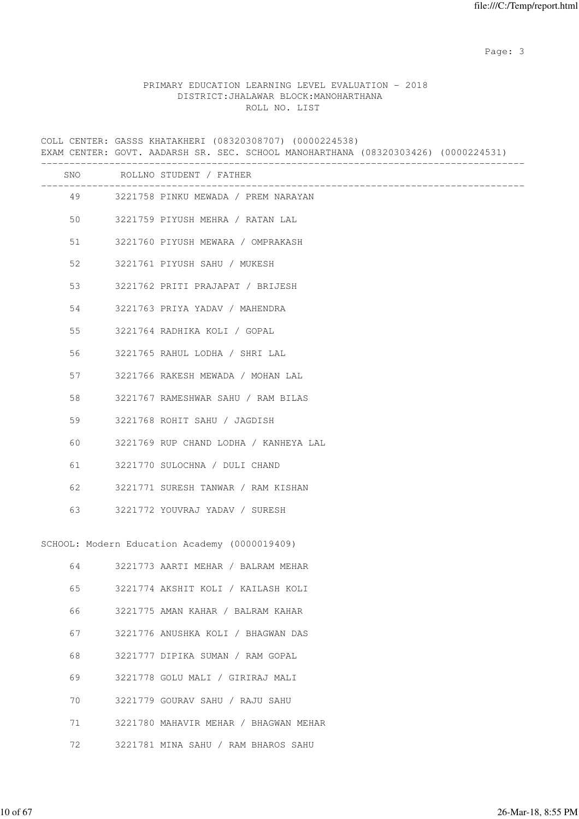Page: 3

# PRIMARY EDUCATION LEARNING LEVEL EVALUATION - 2018 DISTRICT:JHALAWAR BLOCK:MANOHARTHANA ROLL NO. LIST

|    | COLL CENTER: GASSS KHATAKHERI (08320308707) (0000224538)<br>EXAM CENTER: GOVT. AADARSH SR. SEC. SCHOOL MANOHARTHANA (08320303426) (0000224531) |
|----|------------------------------------------------------------------------------------------------------------------------------------------------|
|    | SNO ROLLNO STUDENT / FATHER<br>_________________                                                                                               |
|    | 49 3221758 PINKU MEWADA / PREM NARAYAN                                                                                                         |
| 50 | 3221759 PIYUSH MEHRA / RATAN LAL                                                                                                               |
| 51 | 3221760 PIYUSH MEWARA / OMPRAKASH                                                                                                              |
| 52 | 3221761 PIYUSH SAHU / MUKESH                                                                                                                   |
| 53 | 3221762 PRITI PRAJAPAT / BRIJESH                                                                                                               |
| 54 | 3221763 PRIYA YADAV / MAHENDRA                                                                                                                 |
| 55 | 3221764 RADHIKA KOLI / GOPAL                                                                                                                   |
| 56 | 3221765 RAHUL LODHA / SHRI LAL                                                                                                                 |
| 57 | 3221766 RAKESH MEWADA / MOHAN LAL                                                                                                              |
| 58 | 3221767 RAMESHWAR SAHU / RAM BILAS                                                                                                             |
| 59 | 3221768 ROHIT SAHU / JAGDISH                                                                                                                   |
| 60 | 3221769 RUP CHAND LODHA / KANHEYA LAL                                                                                                          |
| 61 | 3221770 SULOCHNA / DULI CHAND                                                                                                                  |
| 62 | 3221771 SURESH TANWAR / RAM KISHAN                                                                                                             |
| 63 | 3221772 YOUVRAJ YADAV / SURESH                                                                                                                 |
|    | SCHOOL: Modern Education Academy (0000019409)                                                                                                  |
| 64 | 3221773 AARTI MEHAR / BALRAM MEHAR                                                                                                             |
| 65 | 3221774 AKSHIT KOLI / KAILASH KOLI                                                                                                             |
| 66 | 3221775 AMAN KAHAR / BALRAM KAHAR                                                                                                              |
| 67 | 3221776 ANUSHKA KOLI / BHAGWAN DAS                                                                                                             |
| 68 | 3221777 DIPIKA SUMAN / RAM GOPAL                                                                                                               |
| 69 | 3221778 GOLU MALI / GIRIRAJ MALI                                                                                                               |
| 70 | 3221779 GOURAV SAHU / RAJU SAHU                                                                                                                |
| 71 | 3221780 MAHAVIR MEHAR / BHAGWAN MEHAR                                                                                                          |
| 72 | 3221781 MINA SAHU / RAM BHAROS SAHU                                                                                                            |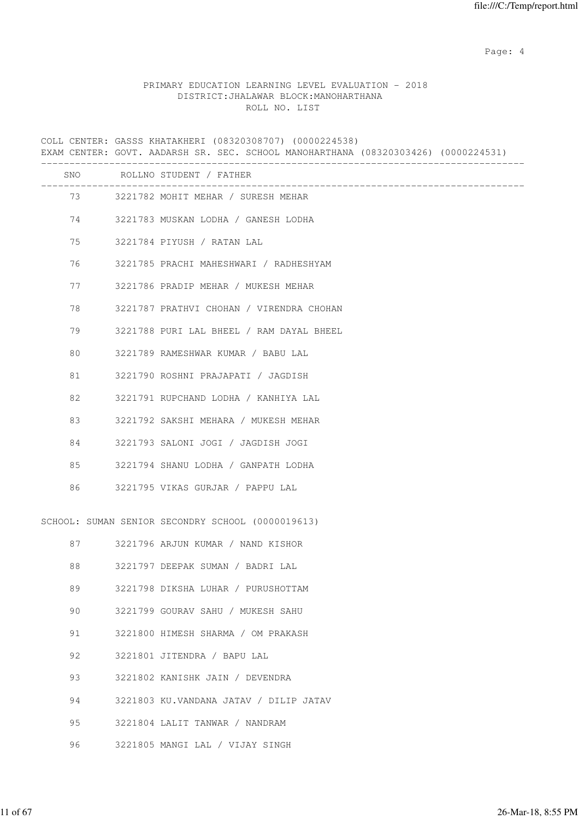Page: 4  $P$ 

#### PRIMARY EDUCATION LEARNING LEVEL EVALUATION - 2018 DISTRICT:JHALAWAR BLOCK:MANOHARTHANA ROLL NO. LIST

COLL CENTER: GASSS KHATAKHERI (08320308707) (0000224538) EXAM CENTER: GOVT. AADARSH SR. SEC. SCHOOL MANOHARTHANA (08320303426) (0000224531) ------------------------------------------------------------------------------------- SNO ROLLNO STUDENT / FATHER ------------------------------------------------------------------------------------- 73 3221782 MOHIT MEHAR / SURESH MEHAR 74 3221783 MUSKAN LODHA / GANESH LODHA 75 3221784 PIYUSH / RATAN LAL 76 3221785 PRACHI MAHESHWARI / RADHESHYAM 77 3221786 PRADIP MEHAR / MUKESH MEHAR 78 3221787 PRATHVI CHOHAN / VIRENDRA CHOHAN 79 3221788 PURI LAL BHEEL / RAM DAYAL BHEEL 80 3221789 RAMESHWAR KUMAR / BABU LAL 81 3221790 ROSHNI PRAJAPATI / JAGDISH 82 3221791 RUPCHAND LODHA / KANHIYA LAL 83 3221792 SAKSHI MEHARA / MUKESH MEHAR 84 3221793 SALONI JOGI / JAGDISH JOGI 85 3221794 SHANU LODHA / GANPATH LODHA 86 3221795 VIKAS GURJAR / PAPPU LAL SCHOOL: SUMAN SENIOR SECONDRY SCHOOL (0000019613) 87 3221796 ARJUN KUMAR / NAND KISHOR 88 3221797 DEEPAK SUMAN / BADRI LAL 89 3221798 DIKSHA LUHAR / PURUSHOTTAM 90 3221799 GOURAV SAHU / MUKESH SAHU 91 3221800 HIMESH SHARMA / OM PRAKASH 92 3221801 JITENDRA / BAPU LAL 93 3221802 KANISHK JAIN / DEVENDRA 94 3221803 KU.VANDANA JATAV / DILIP JATAV 95 3221804 LALIT TANWAR / NANDRAM 96 3221805 MANGI LAL / VIJAY SINGH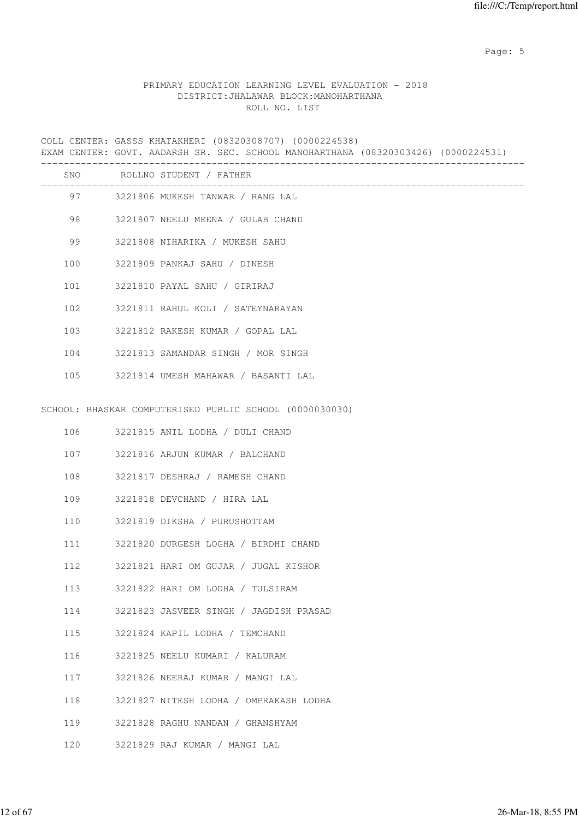Page: 5  $P$  and  $P$  and  $P$  and  $P$  and  $P$  and  $P$  and  $P$  and  $P$  and  $P$  and  $P$  and  $P$  and  $P$  and  $P$  and  $P$  and  $P$  and  $P$  and  $P$  and  $P$  and  $P$  and  $P$  and  $P$  and  $P$  and  $P$  and  $P$  and  $P$  and  $P$  and  $P$  an

### PRIMARY EDUCATION LEARNING LEVEL EVALUATION - 2018 DISTRICT:JHALAWAR BLOCK:MANOHARTHANA ROLL NO. LIST

COLL CENTER: GASSS KHATAKHERI (08320308707) (0000224538) EXAM CENTER: GOVT. AADARSH SR. SEC. SCHOOL MANOHARTHANA (08320303426) (0000224531) ------------------------------------------------------------------------------------- SNO ROLLNO STUDENT / FATHER ------------------------------------------------------------------------------------- 97 3221806 MUKESH TANWAR / RANG LAL 98 3221807 NEELU MEENA / GULAB CHAND 99 3221808 NIHARIKA / MUKESH SAHU 100 3221809 PANKAJ SAHU / DINESH 101 3221810 PAYAL SAHU / GIRIRAJ 102 3221811 RAHUL KOLI / SATEYNARAYAN 103 3221812 RAKESH KUMAR / GOPAL LAL 104 3221813 SAMANDAR SINGH / MOR SINGH 105 3221814 UMESH MAHAWAR / BASANTI LAL SCHOOL: BHASKAR COMPUTERISED PUBLIC SCHOOL (0000030030) 106 3221815 ANIL LODHA / DULI CHAND 107 3221816 ARJUN KUMAR / BALCHAND 108 3221817 DESHRAJ / RAMESH CHAND 109 3221818 DEVCHAND / HIRA LAL 110 3221819 DIKSHA / PURUSHOTTAM 111 3221820 DURGESH LOGHA / BIRDHI CHAND 112 3221821 HARI OM GUJAR / JUGAL KISHOR 113 3221822 HARI OM LODHA / TULSIRAM 114 3221823 JASVEER SINGH / JAGDISH PRASAD 115 3221824 KAPIL LODHA / TEMCHAND 116 3221825 NEELU KUMARI / KALURAM 117 3221826 NEERAJ KUMAR / MANGI LAL 118 3221827 NITESH LODHA / OMPRAKASH LODHA 119 3221828 RAGHU NANDAN / GHANSHYAM 120 3221829 RAJ KUMAR / MANGI LAL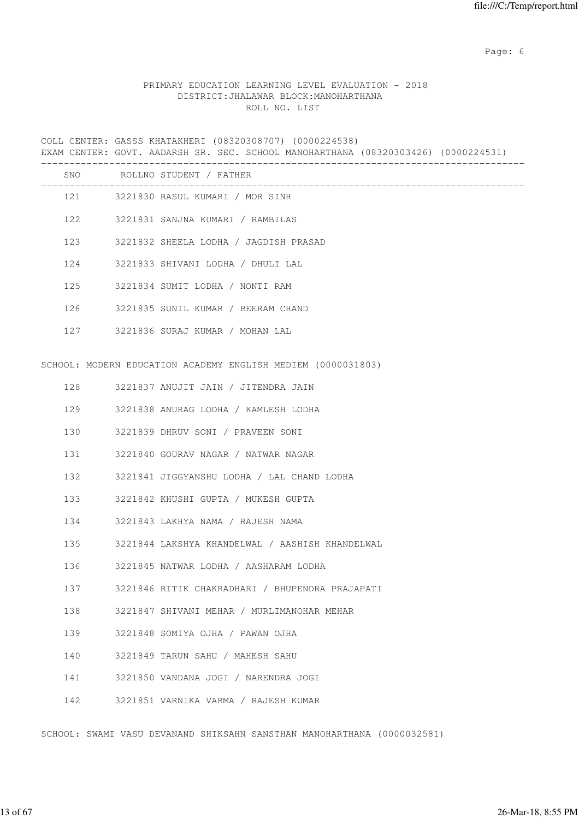Page: 6  $P$  and  $P$  and  $P$  and  $P$  and  $P$  and  $P$  and  $P$  and  $P$  and  $P$  and  $P$  and  $P$  and  $P$  and  $P$  and  $P$  and  $P$  and  $P$  and  $P$  and  $P$  and  $P$  and  $P$  and  $P$  and  $P$  and  $P$  and  $P$  and  $P$  and  $P$  and  $P$  an

#### PRIMARY EDUCATION LEARNING LEVEL EVALUATION - 2018 DISTRICT:JHALAWAR BLOCK:MANOHARTHANA ROLL NO. LIST

COLL CENTER: GASSS KHATAKHERI (08320308707) (0000224538) EXAM CENTER: GOVT. AADARSH SR. SEC. SCHOOL MANOHARTHANA (08320303426) (0000224531) ------------------------------------------------------------------------------------- SNO ROLLNO STUDENT / FATHER ------------------------------------------------------------------------------------- 121 3221830 RASUL KUMARI / MOR SINH 122 3221831 SANJNA KUMARI / RAMBILAS 123 3221832 SHEELA LODHA / JAGDISH PRASAD 124 3221833 SHIVANI LODHA / DHULI LAL 125 3221834 SUMIT LODHA / NONTI RAM 126 3221835 SUNIL KUMAR / BEERAM CHAND 127 3221836 SURAJ KUMAR / MOHAN LAL SCHOOL: MODERN EDUCATION ACADEMY ENGLISH MEDIEM (0000031803) 128 3221837 ANUJIT JAIN / JITENDRA JAIN 129 3221838 ANURAG LODHA / KAMLESH LODHA 130 3221839 DHRUV SONI / PRAVEEN SONI 131 3221840 GOURAV NAGAR / NATWAR NAGAR 132 3221841 JIGGYANSHU LODHA / LAL CHAND LODHA 133 3221842 KHUSHI GUPTA / MUKESH GUPTA 134 3221843 LAKHYA NAMA / RAJESH NAMA 135 3221844 LAKSHYA KHANDELWAL / AASHISH KHANDELWAL 136 3221845 NATWAR LODHA / AASHARAM LODHA 137 3221846 RITIK CHAKRADHARI / BHUPENDRA PRAJAPATI 138 3221847 SHIVANI MEHAR / MURLIMANOHAR MEHAR 139 3221848 SOMIYA OJHA / PAWAN OJHA 140 3221849 TARUN SAHU / MAHESH SAHU 141 3221850 VANDANA JOGI / NARENDRA JOGI 142 3221851 VARNIKA VARMA / RAJESH KUMAR

SCHOOL: SWAMI VASU DEVANAND SHIKSAHN SANSTHAN MANOHARTHANA (0000032581)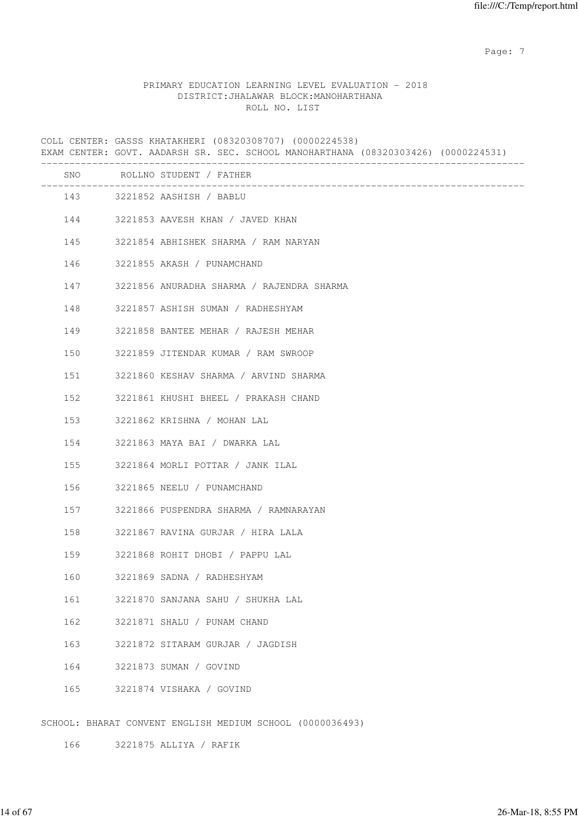Page: 7  $P$  and  $P$  and  $P$  and  $P$  and  $P$  and  $P$  and  $P$  and  $P$  and  $P$  and  $P$  and  $P$  and  $P$  and  $P$  and  $P$  and  $P$  and  $P$  and  $P$  and  $P$  and  $P$  and  $P$  and  $P$  and  $P$  and  $P$  and  $P$  and  $P$  and  $P$  and  $P$  an

#### PRIMARY EDUCATION LEARNING LEVEL EVALUATION - 2018 DISTRICT:JHALAWAR BLOCK:MANOHARTHANA ROLL NO. LIST

COLL CENTER: GASSS KHATAKHERI (08320308707) (0000224538) EXAM CENTER: GOVT. AADARSH SR. SEC. SCHOOL MANOHARTHANA (08320303426) (0000224531) ------------------------------------------------------------------------------------- SNO ROLLNO STUDENT / FATHER ------------------------------------------------------------------------------------- 143 3221852 AASHISH / BABLU 144 3221853 AAVESH KHAN / JAVED KHAN 145 3221854 ABHISHEK SHARMA / RAM NARYAN 146 3221855 AKASH / PUNAMCHAND 147 3221856 ANURADHA SHARMA / RAJENDRA SHARMA 148 3221857 ASHISH SUMAN / RADHESHYAM 149 3221858 BANTEE MEHAR / RAJESH MEHAR 150 3221859 JITENDAR KUMAR / RAM SWROOP 151 3221860 KESHAV SHARMA / ARVIND SHARMA 152 3221861 KHUSHI BHEEL / PRAKASH CHAND 153 3221862 KRISHNA / MOHAN LAL 154 3221863 MAYA BAI / DWARKA LAL 155 3221864 MORLI POTTAR / JANK ILAL 156 3221865 NEELU / PUNAMCHAND 157 3221866 PUSPENDRA SHARMA / RAMNARAYAN 158 3221867 RAVINA GURJAR / HIRA LALA 159 3221868 ROHIT DHOBI / PAPPU LAL 160 3221869 SADNA / RADHESHYAM 161 3221870 SANJANA SAHU / SHUKHA LAL 162 3221871 SHALU / PUNAM CHAND 163 3221872 SITARAM GURJAR / JAGDISH 164 3221873 SUMAN / GOVIND 165 3221874 VISHAKA / GOVIND SCHOOL: BHARAT CONVENT ENGLISH MEDIUM SCHOOL (0000036493)

166 3221875 ALLIYA / RAFIK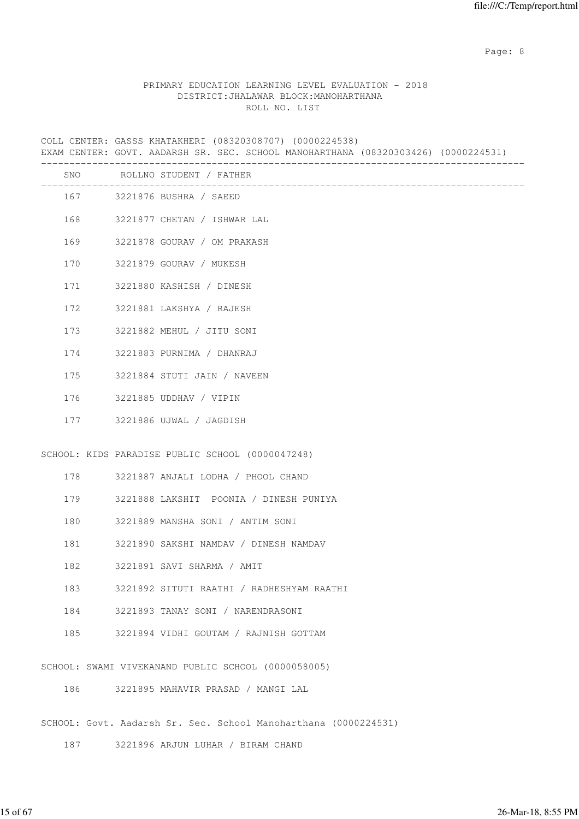en de la provincia de la provincia de la provincia de la provincia de la provincia de la provincia de la provi

#### PRIMARY EDUCATION LEARNING LEVEL EVALUATION - 2018 DISTRICT:JHALAWAR BLOCK:MANOHARTHANA ROLL NO. LIST

COLL CENTER: GASSS KHATAKHERI (08320308707) (0000224538) EXAM CENTER: GOVT. AADARSH SR. SEC. SCHOOL MANOHARTHANA (08320303426) (0000224531) ------------------------------------------------------------------------------------- SNO ROLLNO STUDENT / FATHER ------------------------------------------------------------------------------------- 167 3221876 BUSHRA / SAEED 168 3221877 CHETAN / ISHWAR LAL 169 3221878 GOURAV / OM PRAKASH 170 3221879 GOURAV / MUKESH 171 3221880 KASHISH / DINESH 172 3221881 LAKSHYA / RAJESH 173 3221882 MEHUL / JITU SONI 174 3221883 PURNIMA / DHANRAJ 175 3221884 STUTI JAIN / NAVEEN 176 3221885 UDDHAV / VIPIN 177 3221886 UJWAL / JAGDISH SCHOOL: KIDS PARADISE PUBLIC SCHOOL (0000047248) 178 3221887 ANJALI LODHA / PHOOL CHAND 179 3221888 LAKSHIT POONIA / DINESH PUNIYA 180 3221889 MANSHA SONI / ANTIM SONI 181 3221890 SAKSHI NAMDAV / DINESH NAMDAV 182 3221891 SAVI SHARMA / AMIT 183 3221892 SITUTI RAATHI / RADHESHYAM RAATHI 184 3221893 TANAY SONI / NARENDRASONI 185 3221894 VIDHI GOUTAM / RAJNISH GOTTAM SCHOOL: SWAMI VIVEKANAND PUBLIC SCHOOL (0000058005) 186 3221895 MAHAVIR PRASAD / MANGI LAL

SCHOOL: Govt. Aadarsh Sr. Sec. School Manoharthana (0000224531)

187 3221896 ARJUN LUHAR / BIRAM CHAND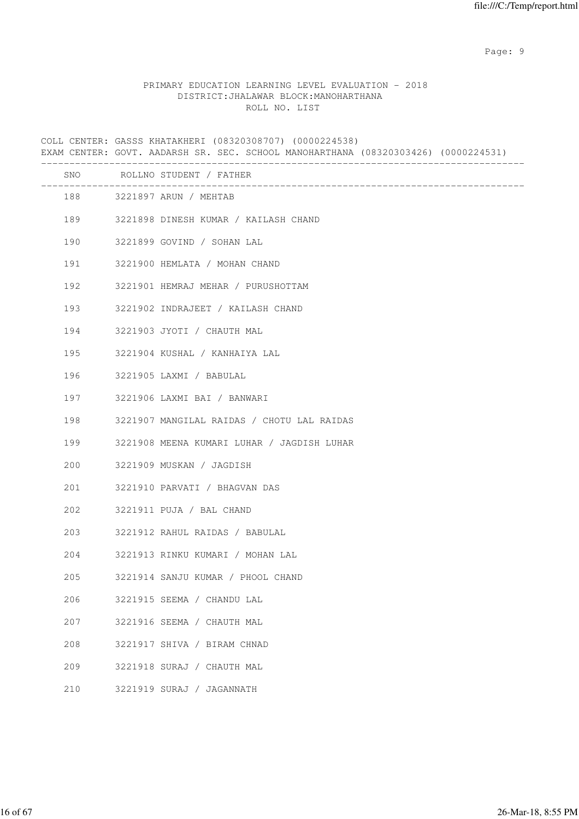en de la provincia de la provincia de la provincia de la provincia de la provincia de la provincia de la provi

### PRIMARY EDUCATION LEARNING LEVEL EVALUATION - 2018 DISTRICT:JHALAWAR BLOCK:MANOHARTHANA ROLL NO. LIST

COLL CENTER: GASSS KHATAKHERI (08320308707) (0000224538) EXAM CENTER: GOVT. AADARSH SR. SEC. SCHOOL MANOHARTHANA (08320303426) (0000224531) ------------------------------------------------------------------------------------- SNO ROLLNO STUDENT / FATHER ------------------------------------------------------------------------------------- 188 3221897 ARUN / MEHTAB 189 3221898 DINESH KUMAR / KAILASH CHAND 190 3221899 GOVIND / SOHAN LAL 191 3221900 HEMLATA / MOHAN CHAND 192 3221901 HEMRAJ MEHAR / PURUSHOTTAM 193 3221902 INDRAJEET / KAILASH CHAND 194 3221903 JYOTI / CHAUTH MAL 195 3221904 KUSHAL / KANHAIYA LAL 196 3221905 LAXMI / BABULAL 197 3221906 LAXMI BAI / BANWARI 198 3221907 MANGILAL RAIDAS / CHOTU LAL RAIDAS 199 3221908 MEENA KUMARI LUHAR / JAGDISH LUHAR 200 3221909 MUSKAN / JAGDISH 201 3221910 PARVATI / BHAGVAN DAS 202 3221911 PUJA / BAL CHAND 203 3221912 RAHUL RAIDAS / BABULAL 204 3221913 RINKU KUMARI / MOHAN LAL 205 3221914 SANJU KUMAR / PHOOL CHAND 206 3221915 SEEMA / CHANDU LAL 207 3221916 SEEMA / CHAUTH MAL 208 3221917 SHIVA / BIRAM CHNAD 209 3221918 SURAJ / CHAUTH MAL 210 3221919 SURAJ / JAGANNATH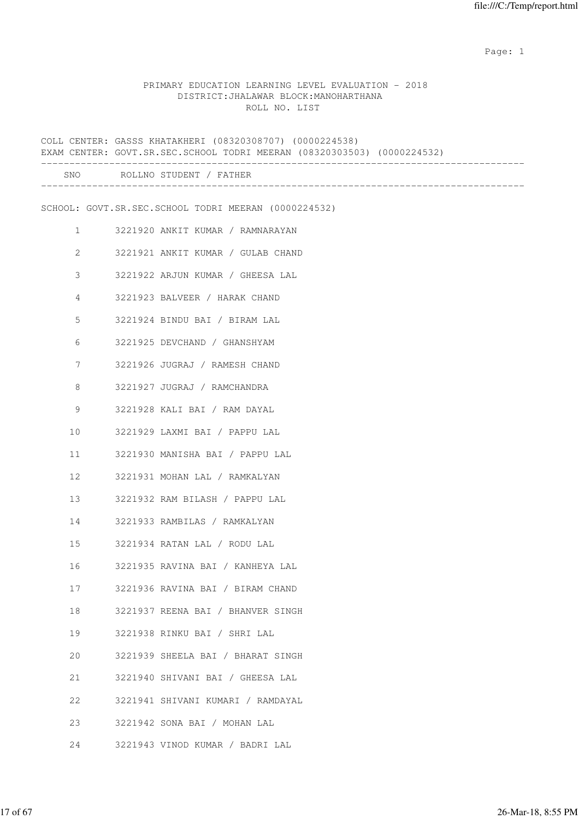## PRIMARY EDUCATION LEARNING LEVEL EVALUATION - 2018 DISTRICT:JHALAWAR BLOCK:MANOHARTHANA ROLL NO. LIST

|                       | COLL CENTER: GASSS KHATAKHERI (08320308707) (0000224538)<br>EXAM CENTER: GOVT.SR.SEC.SCHOOL TODRI MEERAN (08320303503) (0000224532) |
|-----------------------|-------------------------------------------------------------------------------------------------------------------------------------|
|                       | SNO ROLLNO STUDENT / FATHER                                                                                                         |
|                       | SCHOOL: GOVT.SR.SEC.SCHOOL TODRI MEERAN (0000224532)                                                                                |
| $\mathbf{1}$          | 3221920 ANKIT KUMAR / RAMNARAYAN                                                                                                    |
| $\mathbf{2}^{\prime}$ | 3221921 ANKIT KUMAR / GULAB CHAND                                                                                                   |
| 3                     | 3221922 ARJUN KUMAR / GHEESA LAL                                                                                                    |
| 4                     | 3221923 BALVEER / HARAK CHAND                                                                                                       |
| 5                     | 3221924 BINDU BAI / BIRAM LAL                                                                                                       |
| 6                     | 3221925 DEVCHAND / GHANSHYAM                                                                                                        |
| 7                     | 3221926 JUGRAJ / RAMESH CHAND                                                                                                       |
| 8                     | 3221927 JUGRAJ / RAMCHANDRA                                                                                                         |
| 9                     | 3221928 KALI BAI / RAM DAYAL                                                                                                        |
| 10                    | 3221929 LAXMI BAI / PAPPU LAL                                                                                                       |
| 11                    | 3221930 MANISHA BAI / PAPPU LAL                                                                                                     |
| 12                    | 3221931 MOHAN LAL / RAMKALYAN                                                                                                       |
| 13                    | 3221932 RAM BILASH / PAPPU LAL                                                                                                      |
| 14                    | 3221933 RAMBILAS / RAMKALYAN                                                                                                        |
| 15                    | 3221934 RATAN LAL / RODU LAL                                                                                                        |
| 16                    | 3221935 RAVINA BAI / KANHEYA LAL                                                                                                    |
| 17                    | 3221936 RAVINA BAI / BIRAM CHAND                                                                                                    |
| 18                    | 3221937 REENA BAI / BHANVER SINGH                                                                                                   |
| 19                    | 3221938 RINKU BAI / SHRI LAL                                                                                                        |
| 20                    | 3221939 SHEELA BAI / BHARAT SINGH                                                                                                   |
| 21                    | 3221940 SHIVANI BAI / GHEESA LAL                                                                                                    |
| 22                    | 3221941 SHIVANI KUMARI / RAMDAYAL                                                                                                   |
| 23                    | 3221942 SONA BAI / MOHAN LAL                                                                                                        |
| 24                    | 3221943 VINOD KUMAR / BADRI LAL                                                                                                     |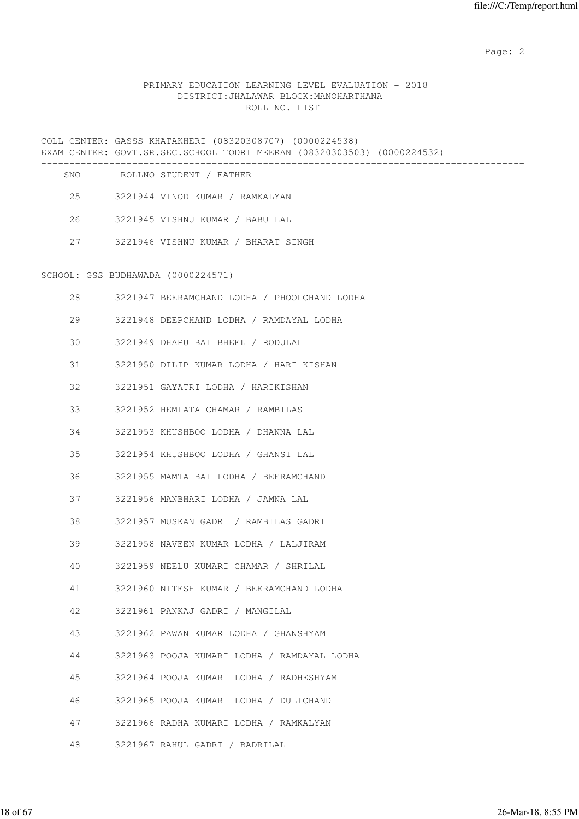# PRIMARY EDUCATION LEARNING LEVEL EVALUATION - 2018 DISTRICT:JHALAWAR BLOCK:MANOHARTHANA ROLL NO. LIST

|    | COLL CENTER: GASSS KHATAKHERI (08320308707) (0000224538)<br>EXAM CENTER: GOVT.SR.SEC.SCHOOL TODRI MEERAN (08320303503) (0000224532) |  |  |  |
|----|-------------------------------------------------------------------------------------------------------------------------------------|--|--|--|
|    | SNO ROLLNO STUDENT / FATHER                                                                                                         |  |  |  |
| 25 | 3221944 VINOD KUMAR / RAMKALYAN                                                                                                     |  |  |  |
|    | 26 3221945 VISHNU KUMAR / BABU LAL                                                                                                  |  |  |  |
|    | 27 3221946 VISHNU KUMAR / BHARAT SINGH                                                                                              |  |  |  |
|    | SCHOOL: GSS BUDHAWADA (0000224571)                                                                                                  |  |  |  |
| 28 | 3221947 BEERAMCHAND LODHA / PHOOLCHAND LODHA                                                                                        |  |  |  |
| 29 | 3221948 DEEPCHAND LODHA / RAMDAYAL LODHA                                                                                            |  |  |  |
| 30 | 3221949 DHAPU BAI BHEEL / RODULAL                                                                                                   |  |  |  |
| 31 | 3221950 DILIP KUMAR LODHA / HARI KISHAN                                                                                             |  |  |  |
| 32 | 3221951 GAYATRI LODHA / HARIKISHAN                                                                                                  |  |  |  |
| 33 | 3221952 HEMLATA CHAMAR / RAMBILAS                                                                                                   |  |  |  |
| 34 | 3221953 KHUSHBOO LODHA / DHANNA LAL                                                                                                 |  |  |  |
| 35 | 3221954 KHUSHBOO LODHA / GHANSI LAL                                                                                                 |  |  |  |
| 36 | 3221955 MAMTA BAI LODHA / BEERAMCHAND                                                                                               |  |  |  |
| 37 | 3221956 MANBHARI LODHA / JAMNA LAL                                                                                                  |  |  |  |
| 38 | 3221957 MUSKAN GADRI / RAMBILAS GADRI                                                                                               |  |  |  |
| 39 | 3221958 NAVEEN KUMAR LODHA / LALJIRAM                                                                                               |  |  |  |
| 40 | 3221959 NEELU KUMARI CHAMAR / SHRILAL                                                                                               |  |  |  |
| 41 | 3221960 NITESH KUMAR / BEERAMCHAND LODHA                                                                                            |  |  |  |
| 42 | 3221961 PANKAJ GADRI / MANGILAL                                                                                                     |  |  |  |
| 43 | 3221962 PAWAN KUMAR LODHA / GHANSHYAM                                                                                               |  |  |  |
| 44 | 3221963 POOJA KUMARI LODHA / RAMDAYAL LODHA                                                                                         |  |  |  |
| 45 | 3221964 POOJA KUMARI LODHA / RADHESHYAM                                                                                             |  |  |  |
| 46 | 3221965 POOJA KUMARI LODHA / DULICHAND                                                                                              |  |  |  |
| 47 | 3221966 RADHA KUMARI LODHA / RAMKALYAN                                                                                              |  |  |  |
| 48 | 3221967 RAHUL GADRI / BADRILAL                                                                                                      |  |  |  |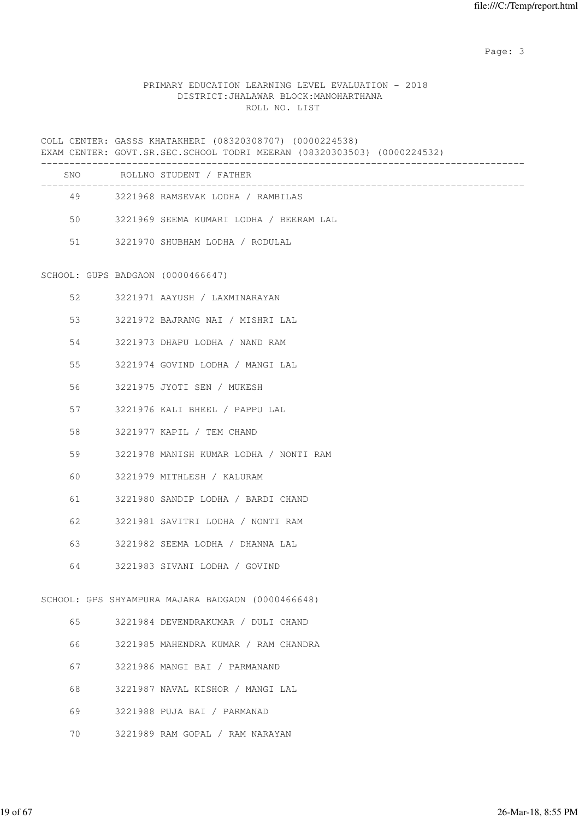Page: 3

# PRIMARY EDUCATION LEARNING LEVEL EVALUATION - 2018 DISTRICT:JHALAWAR BLOCK:MANOHARTHANA ROLL NO. LIST

|    | COLL CENTER: GASSS KHATAKHERI (08320308707) (0000224538)<br>EXAM CENTER: GOVT.SR.SEC.SCHOOL TODRI MEERAN (08320303503) (0000224532) |                                                   |  |  |
|----|-------------------------------------------------------------------------------------------------------------------------------------|---------------------------------------------------|--|--|
|    |                                                                                                                                     | SNO ROLLNO STUDENT / FATHER                       |  |  |
|    |                                                                                                                                     | 49 3221968 RAMSEVAK LODHA / RAMBILAS              |  |  |
| 50 |                                                                                                                                     | 3221969 SEEMA KUMARI LODHA / BEERAM LAL           |  |  |
| 51 |                                                                                                                                     | 3221970 SHUBHAM LODHA / RODULAL                   |  |  |
|    |                                                                                                                                     | SCHOOL: GUPS BADGAON (0000466647)                 |  |  |
| 52 |                                                                                                                                     | 3221971 AAYUSH / LAXMINARAYAN                     |  |  |
| 53 |                                                                                                                                     | 3221972 BAJRANG NAI / MISHRI LAL                  |  |  |
| 54 |                                                                                                                                     | 3221973 DHAPU LODHA / NAND RAM                    |  |  |
| 55 |                                                                                                                                     | 3221974 GOVIND LODHA / MANGI LAL                  |  |  |
| 56 |                                                                                                                                     | 3221975 JYOTI SEN / MUKESH                        |  |  |
| 57 |                                                                                                                                     | 3221976 KALI BHEEL / PAPPU LAL                    |  |  |
| 58 |                                                                                                                                     | 3221977 KAPIL / TEM CHAND                         |  |  |
| 59 |                                                                                                                                     | 3221978 MANISH KUMAR LODHA / NONTI RAM            |  |  |
| 60 |                                                                                                                                     | 3221979 MITHLESH / KALURAM                        |  |  |
| 61 |                                                                                                                                     | 3221980 SANDIP LODHA / BARDI CHAND                |  |  |
| 62 |                                                                                                                                     | 3221981 SAVITRI LODHA / NONTI RAM                 |  |  |
| 63 |                                                                                                                                     | 3221982 SEEMA LODHA / DHANNA LAL                  |  |  |
| 64 |                                                                                                                                     | 3221983 SIVANI LODHA / GOVIND                     |  |  |
|    |                                                                                                                                     | SCHOOL: GPS SHYAMPURA MAJARA BADGAON (0000466648) |  |  |
| 65 |                                                                                                                                     | 3221984 DEVENDRAKUMAR / DULI CHAND                |  |  |
| 66 |                                                                                                                                     | 3221985 MAHENDRA KUMAR / RAM CHANDRA              |  |  |
| 67 |                                                                                                                                     | 3221986 MANGI BAI / PARMANAND                     |  |  |
| 68 |                                                                                                                                     | 3221987 NAVAL KISHOR / MANGI LAL                  |  |  |
| 69 |                                                                                                                                     | 3221988 PUJA BAI / PARMANAD                       |  |  |

70 3221989 RAM GOPAL / RAM NARAYAN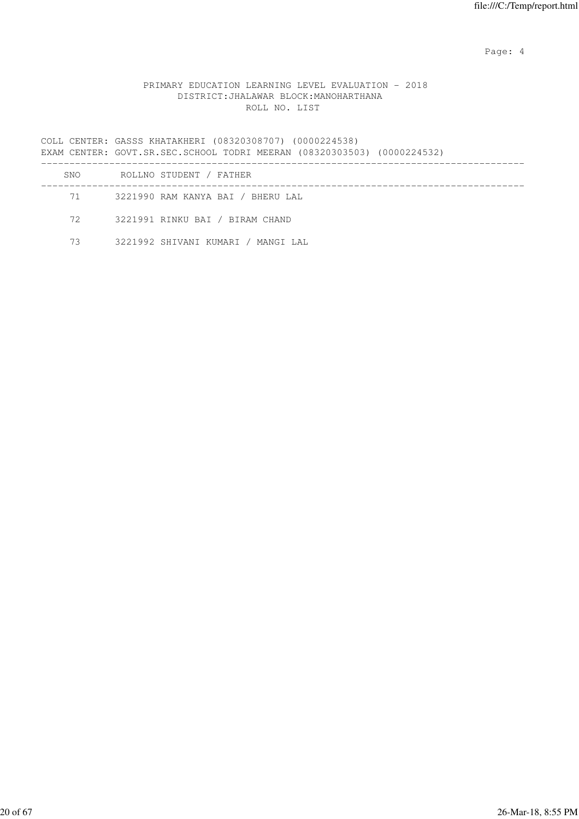Page: 4  $P$ 

## PRIMARY EDUCATION LEARNING LEVEL EVALUATION - 2018 DISTRICT:JHALAWAR BLOCK:MANOHARTHANA ROLL NO. LIST

COLL CENTER: GASSS KHATAKHERI (08320308707) (0000224538) EXAM CENTER: GOVT.SR.SEC.SCHOOL TODRI MEERAN (08320303503) (0000224532) ------------------------------------------------------------------------------------- SNO ROLLNO STUDENT / FATHER ------------------------------------------------------------------------------------- 71 3221990 RAM KANYA BAI / BHERU LAL

72 3221991 RINKU BAI / BIRAM CHAND

73 3221992 SHIVANI KUMARI / MANGI LAL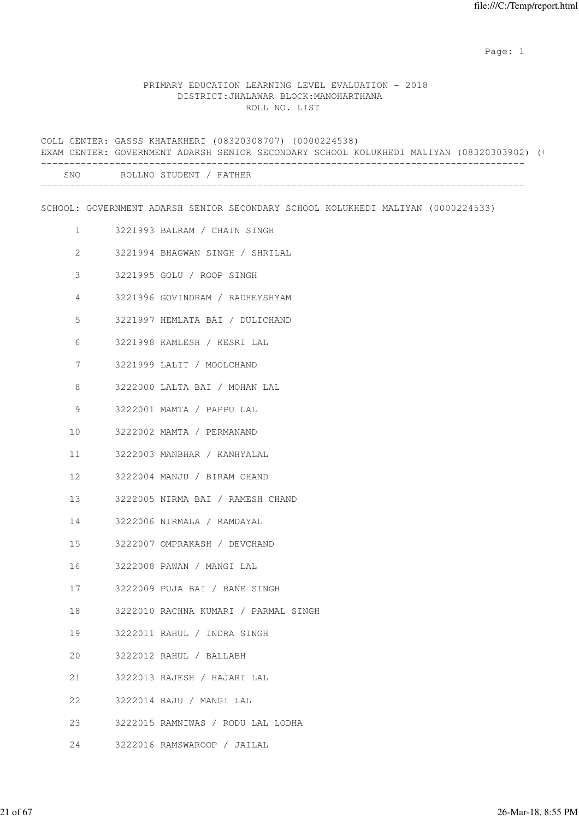#### PRIMARY EDUCATION LEARNING LEVEL EVALUATION - 2018 DISTRICT:JHALAWAR BLOCK:MANOHARTHANA ROLL NO. LIST

COLL CENTER: GASSS KHATAKHERI (08320308707) (0000224538) EXAM CENTER: GOVERNMENT ADARSH SENIOR SECONDARY SCHOOL KOLUKHEDI MALIYAN (08320303902) (0 ------------------------------------------------------------------------------------- SNO ROLLNO STUDENT / FATHER ------------------------------------------------------------------------------------- SCHOOL: GOVERNMENT ADARSH SENIOR SECONDARY SCHOOL KOLUKHEDI MALIYAN (0000224533) 1 3221993 BALRAM / CHAIN SINGH 2 3221994 BHAGWAN SINGH / SHRILAL 3 3221995 GOLU / ROOP SINGH 4 3221996 GOVINDRAM / RADHEYSHYAM 5 3221997 HEMLATA BAI / DULICHAND 6 3221998 KAMLESH / KESRI LAL 7 3221999 LALIT / MOOLCHAND 8 3222000 LALTA BAI / MOHAN LAL 9 3222001 MAMTA / PAPPU LAL 10 3222002 MAMTA / PERMANAND 11 3222003 MANBHAR / KANHYALAL 12 3222004 MANJU / BIRAM CHAND 13 3222005 NIRMA BAI / RAMESH CHAND 14 3222006 NIRMALA / RAMDAYAL 15 3222007 OMPRAKASH / DEVCHAND 16 3222008 PAWAN / MANGI LAL 17 3222009 PUJA BAI / BANE SINGH 18 3222010 RACHNA KUMARI / PARMAL SINGH 19 3222011 RAHUL / INDRA SINGH 20 3222012 RAHUL / BALLABH 21 3222013 RAJESH / HAJARI LAL 22 3222014 RAJU / MANGI LAL 23 3222015 RAMNIWAS / RODU LAL LODHA

24 3222016 RAMSWAROOP / JAILAL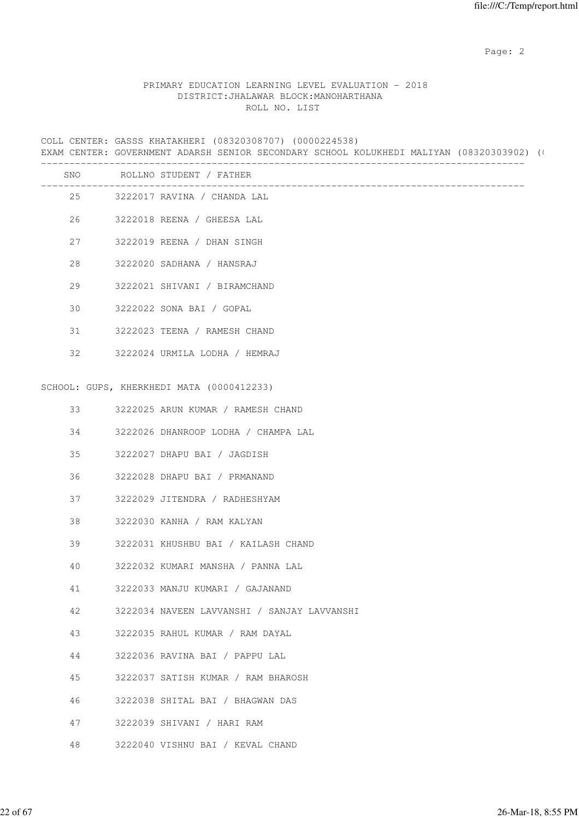#### PRIMARY EDUCATION LEARNING LEVEL EVALUATION - 2018 DISTRICT:JHALAWAR BLOCK:MANOHARTHANA ROLL NO. LIST

COLL CENTER: GASSS KHATAKHERI (08320308707) (0000224538) EXAM CENTER: GOVERNMENT ADARSH SENIOR SECONDARY SCHOOL KOLUKHEDI MALIYAN (08320303902) (0 ------------------------------------------------------------------------------------- SNO ROLLNO STUDENT / FATHER ------------------------------------------------------------------------------------- 25 3222017 RAVINA / CHANDA LAL 26 3222018 REENA / GHEESA LAL 27 3222019 REENA / DHAN SINGH 28 3222020 SADHANA / HANSRAJ 29 3222021 SHIVANI / BIRAMCHAND 30 3222022 SONA BAI / GOPAL 31 3222023 TEENA / RAMESH CHAND 32 3222024 URMILA LODHA / HEMRAJ SCHOOL: GUPS, KHERKHEDI MATA (0000412233) 33 3222025 ARUN KUMAR / RAMESH CHAND 34 3222026 DHANROOP LODHA / CHAMPA LAL 35 3222027 DHAPU BAI / JAGDISH 36 3222028 DHAPU BAI / PRMANAND 37 3222029 JITENDRA / RADHESHYAM 38 3222030 KANHA / RAM KALYAN 39 3222031 KHUSHBU BAI / KAILASH CHAND 40 3222032 KUMARI MANSHA / PANNA LAL 41 3222033 MANJU KUMARI / GAJANAND 42 3222034 NAVEEN LAVVANSHI / SANJAY LAVVANSHI 43 3222035 RAHUL KUMAR / RAM DAYAL 44 3222036 RAVINA BAI / PAPPU LAL 45 3222037 SATISH KUMAR / RAM BHAROSH 46 3222038 SHITAL BAI / BHAGWAN DAS 47 3222039 SHIVANI / HARI RAM 48 3222040 VISHNU BAI / KEVAL CHAND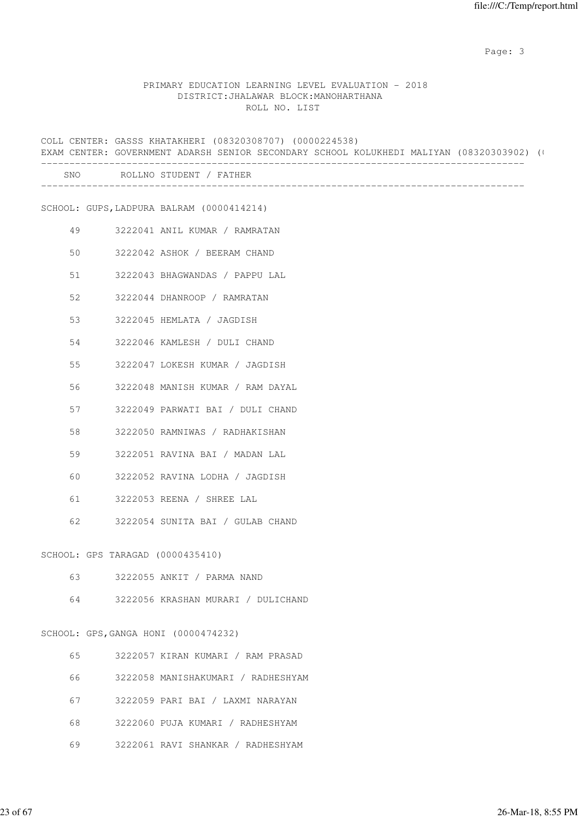Page: 3

#### PRIMARY EDUCATION LEARNING LEVEL EVALUATION - 2018 DISTRICT:JHALAWAR BLOCK:MANOHARTHANA ROLL NO. LIST

|    | COLL CENTER: GASSS KHATAKHERI (08320308707) (0000224538)<br>EXAM CENTER: GOVERNMENT ADARSH SENIOR SECONDARY SCHOOL KOLUKHEDI MALIYAN (08320303902) ( |
|----|------------------------------------------------------------------------------------------------------------------------------------------------------|
|    | SNO ROLLNO STUDENT / FATHER                                                                                                                          |
|    | SCHOOL: GUPS, LADPURA BALRAM (0000414214)                                                                                                            |
| 49 | 3222041 ANIL KUMAR / RAMRATAN                                                                                                                        |
| 50 | 3222042 ASHOK / BEERAM CHAND                                                                                                                         |
| 51 | 3222043 BHAGWANDAS / PAPPU LAL                                                                                                                       |
| 52 | 3222044 DHANROOP / RAMRATAN                                                                                                                          |
| 53 | 3222045 HEMLATA / JAGDISH                                                                                                                            |
| 54 | 3222046 KAMLESH / DULI CHAND                                                                                                                         |
| 55 | 3222047 LOKESH KUMAR / JAGDISH                                                                                                                       |
| 56 | 3222048 MANISH KUMAR / RAM DAYAL                                                                                                                     |
| 57 | 3222049 PARWATI BAI / DULI CHAND                                                                                                                     |
| 58 | 3222050 RAMNIWAS / RADHAKISHAN                                                                                                                       |
| 59 | 3222051 RAVINA BAI / MADAN LAL                                                                                                                       |
| 60 | 3222052 RAVINA LODHA / JAGDISH                                                                                                                       |
| 61 | 3222053 REENA / SHREE LAL                                                                                                                            |
| 62 | 3222054 SUNITA BAI / GULAB CHAND                                                                                                                     |
|    | SCHOOL: GPS TARAGAD (0000435410)                                                                                                                     |
| 63 | 3222055 ANKIT / PARMA NAND                                                                                                                           |
| 64 | 3222056 KRASHAN MURARI / DULICHAND                                                                                                                   |
|    | SCHOOL: GPS, GANGA HONI (0000474232)                                                                                                                 |
| 65 | 3222057 KIRAN KUMARI / RAM PRASAD                                                                                                                    |
| 66 | 3222058 MANISHAKUMARI / RADHESHYAM                                                                                                                   |
| 67 | 3222059 PARI BAI / LAXMI NARAYAN                                                                                                                     |
|    |                                                                                                                                                      |

- 68 3222060 PUJA KUMARI / RADHESHYAM
- 69 3222061 RAVI SHANKAR / RADHESHYAM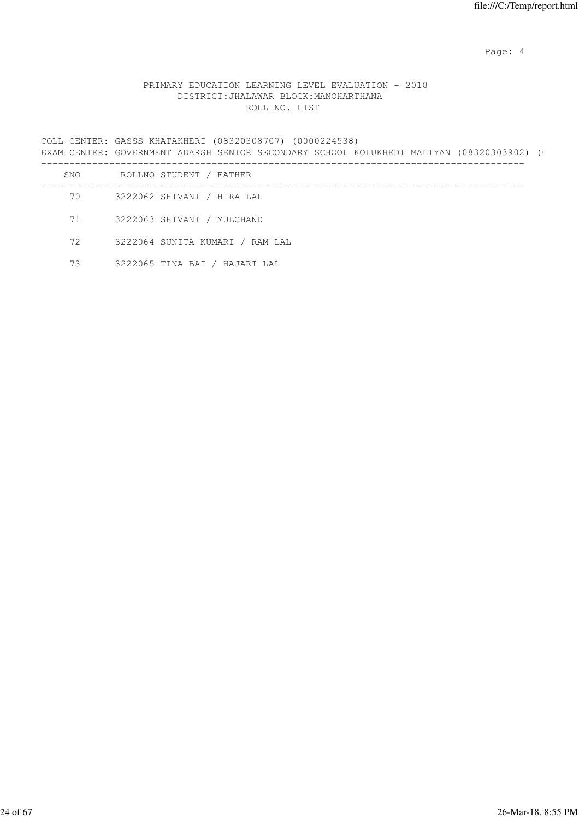Page: 4  $P$ 

## PRIMARY EDUCATION LEARNING LEVEL EVALUATION - 2018 DISTRICT:JHALAWAR BLOCK:MANOHARTHANA ROLL NO. LIST

COLL CENTER: GASSS KHATAKHERI (08320308707) (0000224538) EXAM CENTER: GOVERNMENT ADARSH SENIOR SECONDARY SCHOOL KOLUKHEDI MALIYAN (08320303902) (0 ------------------------------------------------------------------------------------- SNO ROLLNO STUDENT / FATHER ------------------------------------------------------------------------------------- 70 3222062 SHIVANI / HIRA LAL

71 3222063 SHIVANI / MULCHAND

72 3222064 SUNITA KUMARI / RAM LAL

73 3222065 TINA BAI / HAJARI LAL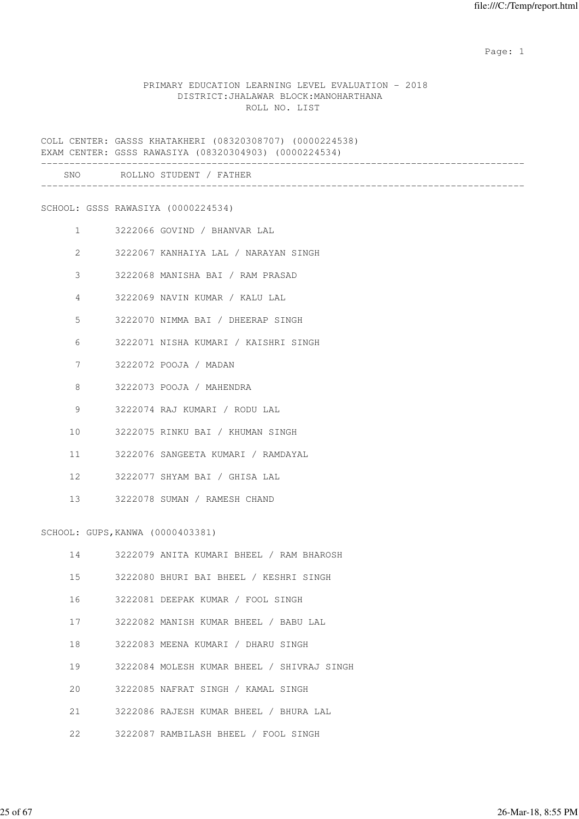#### PRIMARY EDUCATION LEARNING LEVEL EVALUATION - 2018 DISTRICT:JHALAWAR BLOCK:MANOHARTHANA ROLL NO. LIST

COLL CENTER: GASSS KHATAKHERI (08320308707) (0000224538) EXAM CENTER: GSSS RAWASIYA (08320304903) (0000224534) ------------------------------------------------------------------------------------- SNO ROLLNO STUDENT / FATHER ------------------------------------------------------------------------------------- SCHOOL: GSSS RAWASIYA (0000224534) 1 3222066 GOVIND / BHANVAR LAL 2 3222067 KANHAIYA LAL / NARAYAN SINGH 3 3222068 MANISHA BAI / RAM PRASAD 4 3222069 NAVIN KUMAR / KALU LAL 5 3222070 NIMMA BAI / DHEERAP SINGH 6 3222071 NISHA KUMARI / KAISHRI SINGH 7 3222072 POOJA / MADAN 8 3222073 POOJA / MAHENDRA 9 3222074 RAJ KUMARI / RODU LAL 10 3222075 RINKU BAI / KHUMAN SINGH 11 3222076 SANGEETA KUMARI / RAMDAYAL 12 3222077 SHYAM BAI / GHISA LAL 13 3222078 SUMAN / RAMESH CHAND SCHOOL: GUPS,KANWA (0000403381) 14 3222079 ANITA KUMARI BHEEL / RAM BHAROSH 15 3222080 BHURI BAI BHEEL / KESHRI SINGH 16 3222081 DEEPAK KUMAR / FOOL SINGH

- 17 3222082 MANISH KUMAR BHEEL / BABU LAL
- 18 3222083 MEENA KUMARI / DHARU SINGH
- 19 3222084 MOLESH KUMAR BHEEL / SHIVRAJ SINGH
- 20 3222085 NAFRAT SINGH / KAMAL SINGH
- 21 3222086 RAJESH KUMAR BHEEL / BHURA LAL
- 22 3222087 RAMBILASH BHEEL / FOOL SINGH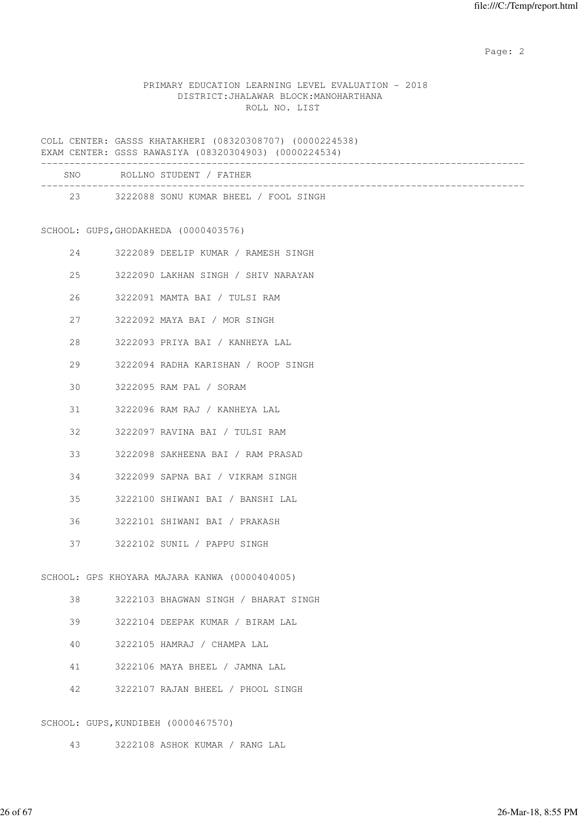#### PRIMARY EDUCATION LEARNING LEVEL EVALUATION - 2018 DISTRICT:JHALAWAR BLOCK:MANOHARTHANA ROLL NO. LIST

COLL CENTER: GASSS KHATAKHERI (08320308707) (0000224538) EXAM CENTER: GSSS RAWASIYA (08320304903) (0000224534)

|  | _____ |  | . |  |  |  |
|--|-------|--|---|--|--|--|
|  |       |  |   |  |  |  |
|  |       |  |   |  |  |  |
|  |       |  |   |  |  |  |

| <b>SNO</b> | ROLLNO STUDENT / FATHER               |  |  |
|------------|---------------------------------------|--|--|
| 23         | 3222088 SONU KUMAR BHEEL / FOOL SINGH |  |  |
|            |                                       |  |  |

# SCHOOL: GUPS,GHODAKHEDA (0000403576)

| 24 |  | 3222089 DEELIP KUMAR / RAMESH SINGH           |
|----|--|-----------------------------------------------|
| 25 |  | 3222090 LAKHAN SINGH / SHIV NARAYAN           |
| 26 |  | 3222091 MAMTA BAI / TULSI RAM                 |
| 27 |  | 3222092 MAYA BAI / MOR SINGH                  |
| 28 |  | 3222093 PRIYA BAI / KANHEYA LAL               |
| 29 |  | 3222094 RADHA KARISHAN / ROOP SINGH           |
| 30 |  | 3222095 RAM PAL / SORAM                       |
| 31 |  | 3222096 RAM RAJ / KANHEYA LAL                 |
| 32 |  | 3222097 RAVINA BAI / TULSI RAM                |
| 33 |  | 3222098 SAKHEENA BAI / RAM PRASAD             |
| 34 |  | 3222099 SAPNA BAI / VIKRAM SINGH              |
| 35 |  | 3222100 SHIWANI BAI / BANSHI LAL              |
| 36 |  | 3222101 SHIWANI BAI / PRAKASH                 |
| 37 |  | 3222102 SUNIL / PAPPU SINGH                   |
|    |  | SCHOOL: GPS KHOYARA MAJARA KANWA (0000404005) |
| 38 |  | 3222103 BHAGWAN SINGH / BHARAT SINGH          |
| 39 |  | 3222104 DEEPAK KUMAR / BIRAM LAL              |
| 40 |  | 3222105 HAMRAJ / CHAMPA LAL                   |
|    |  |                                               |

- 41 3222106 MAYA BHEEL / JAMNA LAL
- 42 3222107 RAJAN BHEEL / PHOOL SINGH

# SCHOOL: GUPS,KUNDIBEH (0000467570)

43 3222108 ASHOK KUMAR / RANG LAL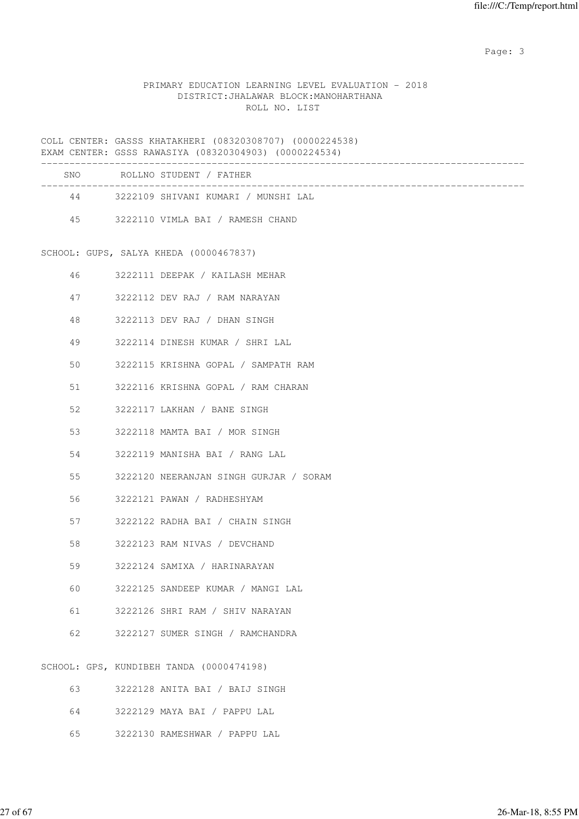Page: 3

## PRIMARY EDUCATION LEARNING LEVEL EVALUATION - 2018 DISTRICT:JHALAWAR BLOCK:MANOHARTHANA ROLL NO. LIST

COLL CENTER: GASSS KHATAKHERI (08320308707) (0000224538) EXAM CENTER: GSSS RAWASIYA (08320304903) (0000224534)

|    |         | SNO ROLLNO STUDENT / FATHER              |
|----|---------|------------------------------------------|
|    |         | 44 3222109 SHIVANI KUMARI / MUNSHI LAL   |
|    |         | 45 3222110 VIMLA BAI / RAMESH CHAND      |
|    |         |                                          |
|    |         | SCHOOL: GUPS, SALYA KHEDA (0000467837)   |
|    | 46 — 10 | 3222111 DEEPAK / KAILASH MEHAR           |
|    | 47 — 17 | 3222112 DEV RAJ / RAM NARAYAN            |
| 48 |         | 3222113 DEV RAJ / DHAN SINGH             |
| 49 |         | 3222114 DINESH KUMAR / SHRI LAL          |
| 50 |         | 3222115 KRISHNA GOPAL / SAMPATH RAM      |
| 51 |         | 3222116 KRISHNA GOPAL / RAM CHARAN       |
| 52 |         | 3222117 LAKHAN / BANE SINGH              |
| 53 |         | 3222118 MAMTA BAI / MOR SINGH            |
| 54 |         | 3222119 MANISHA BAI / RANG LAL           |
| 55 |         | 3222120 NEERANJAN SINGH GURJAR / SORAM   |
| 56 |         | 3222121 PAWAN / RADHESHYAM               |
| 57 |         | 3222122 RADHA BAI / CHAIN SINGH          |
| 58 |         | 3222123 RAM NIVAS / DEVCHAND             |
| 59 |         | 3222124 SAMIXA / HARINARAYAN             |
| 60 |         | 3222125 SANDEEP KUMAR / MANGI LAL        |
| 61 |         | 3222126 SHRI RAM / SHIV NARAYAN          |
| 62 |         | 3222127 SUMER SINGH / RAMCHANDRA         |
|    |         |                                          |
|    |         | SCHOOL: GPS, KUNDIBEH TANDA (0000474198) |
| 63 |         | 3222128 ANITA BAI / BAIJ SINGH           |

- 64 3222129 MAYA BAI / PAPPU LAL
- 65 3222130 RAMESHWAR / PAPPU LAL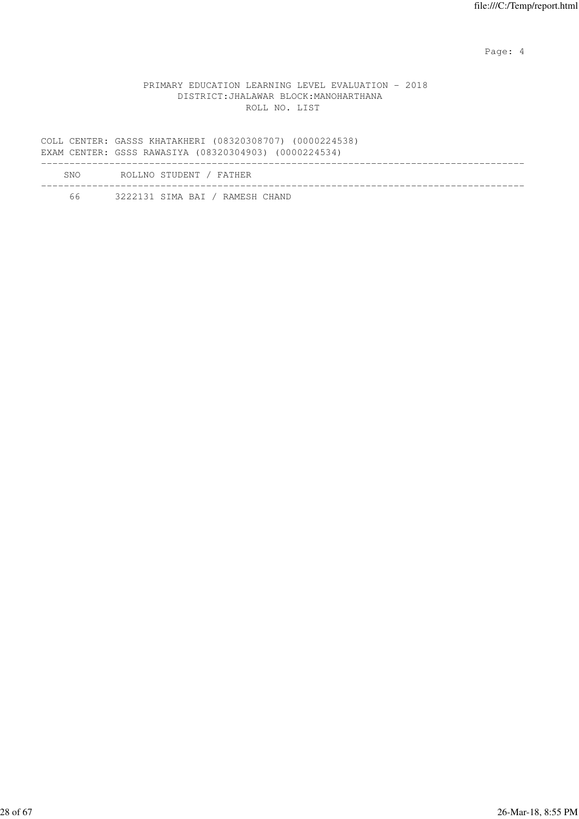Page: 4  $P$ 

### PRIMARY EDUCATION LEARNING LEVEL EVALUATION - 2018 DISTRICT:JHALAWAR BLOCK:MANOHARTHANA ROLL NO. LIST

COLL CENTER: GASSS KHATAKHERI (08320308707) (0000224538) EXAM CENTER: GSSS RAWASIYA (08320304903) (0000224534) ------------------------------------------------------------------------------------- SNO ROLLNO STUDENT / FATHER ------------------------------------------------------------------------------------- 66 3222131 SIMA BAI / RAMESH CHAND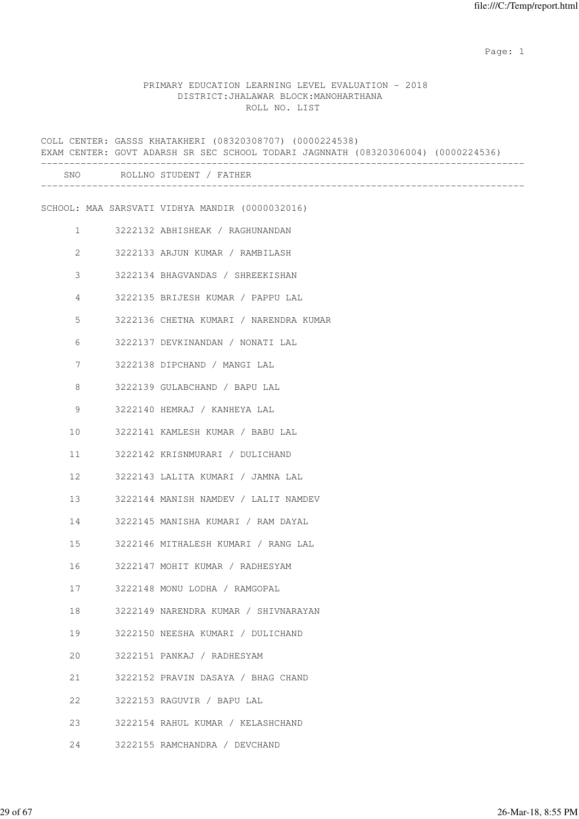## PRIMARY EDUCATION LEARNING LEVEL EVALUATION - 2018 DISTRICT:JHALAWAR BLOCK:MANOHARTHANA ROLL NO. LIST

|                | COLL CENTER: GASSS KHATAKHERI (08320308707) (0000224538)<br>EXAM CENTER: GOVT ADARSH SR SEC SCHOOL TODARI JAGNNATH (08320306004) (0000224536) |
|----------------|-----------------------------------------------------------------------------------------------------------------------------------------------|
|                | SNO ROLLNO STUDENT / FATHER                                                                                                                   |
|                | SCHOOL: MAA SARSVATI VIDHYA MANDIR (0000032016)                                                                                               |
| $\mathbf{1}$   | 3222132 ABHISHEAK / RAGHUNANDAN                                                                                                               |
| $\overline{2}$ | 3222133 ARJUN KUMAR / RAMBILASH                                                                                                               |
| 3              | 3222134 BHAGVANDAS / SHREEKISHAN                                                                                                              |
| 4              | 3222135 BRIJESH KUMAR / PAPPU LAL                                                                                                             |
| 5              | 3222136 CHETNA KUMARI / NARENDRA KUMAR                                                                                                        |
| 6              | 3222137 DEVKINANDAN / NONATI LAL                                                                                                              |
| 7              | 3222138 DIPCHAND / MANGI LAL                                                                                                                  |
| 8              | 3222139 GULABCHAND / BAPU LAL                                                                                                                 |
| 9              | 3222140 HEMRAJ / KANHEYA LAL                                                                                                                  |
| 10             | 3222141 KAMLESH KUMAR / BABU LAL                                                                                                              |
| 11             | 3222142 KRISNMURARI / DULICHAND                                                                                                               |
| 12             | 3222143 LALITA KUMARI / JAMNA LAL                                                                                                             |
| 13             | 3222144 MANISH NAMDEV / LALIT NAMDEV                                                                                                          |
| 14             | 3222145 MANISHA KUMARI / RAM DAYAL                                                                                                            |
| 15             | 3222146 MITHALESH KUMARI / RANG LAL                                                                                                           |
| 16             | 3222147 MOHIT KUMAR / RADHESYAM                                                                                                               |
| 17             | 3222148 MONU LODHA / RAMGOPAL                                                                                                                 |
| 18             | 3222149 NARENDRA KUMAR / SHIVNARAYAN                                                                                                          |
| 19             | 3222150 NEESHA KUMARI / DULICHAND                                                                                                             |
| 20             | 3222151 PANKAJ / RADHESYAM                                                                                                                    |
| 21             | 3222152 PRAVIN DASAYA / BHAG CHAND                                                                                                            |
| 22             | 3222153 RAGUVIR / BAPU LAL                                                                                                                    |
| 23             | 3222154 RAHUL KUMAR / KELASHCHAND                                                                                                             |
| 24             | 3222155 RAMCHANDRA / DEVCHAND                                                                                                                 |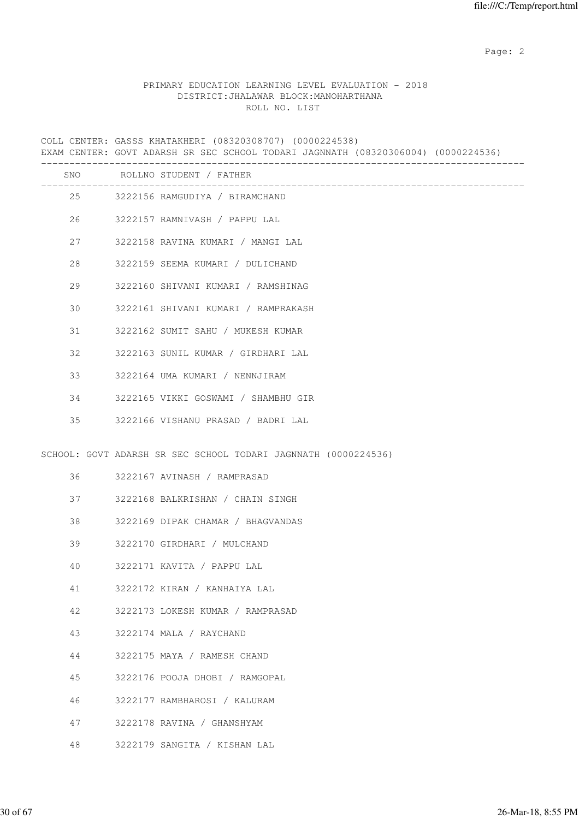## PRIMARY EDUCATION LEARNING LEVEL EVALUATION - 2018 DISTRICT:JHALAWAR BLOCK:MANOHARTHANA ROLL NO. LIST

COLL CENTER: GASSS KHATAKHERI (08320308707) (0000224538) EXAM CENTER: GOVT ADARSH SR SEC SCHOOL TODARI JAGNNATH (08320306004) (0000224536) ------------------------------------------------------------------------------------- SNO ROLLNO STUDENT / FATHER ------------------------------------------------------------------------------------- 25 3222156 RAMGUDIYA / BIRAMCHAND 26 3222157 RAMNIVASH / PAPPU LAL 27 3222158 RAVINA KUMARI / MANGI LAL 28 3222159 SEEMA KUMARI / DULICHAND 29 3222160 SHIVANI KUMARI / RAMSHINAG 30 3222161 SHIVANI KUMARI / RAMPRAKASH 31 3222162 SUMIT SAHU / MUKESH KUMAR 32 3222163 SUNIL KUMAR / GIRDHARI LAL 33 3222164 UMA KUMARI / NENNJIRAM 34 3222165 VIKKI GOSWAMI / SHAMBHU GIR 35 3222166 VISHANU PRASAD / BADRI LAL SCHOOL: GOVT ADARSH SR SEC SCHOOL TODARI JAGNNATH (0000224536) 36 3222167 AVINASH / RAMPRASAD 37 3222168 BALKRISHAN / CHAIN SINGH 38 3222169 DIPAK CHAMAR / BHAGVANDAS 39 3222170 GIRDHARI / MULCHAND 40 3222171 KAVITA / PAPPU LAL 41 3222172 KIRAN / KANHAIYA LAL 42 3222173 LOKESH KUMAR / RAMPRASAD 43 3222174 MALA / RAYCHAND 44 3222175 MAYA / RAMESH CHAND 45 3222176 POOJA DHOBI / RAMGOPAL 46 3222177 RAMBHAROSI / KALURAM 47 3222178 RAVINA / GHANSHYAM 48 3222179 SANGITA / KISHAN LAL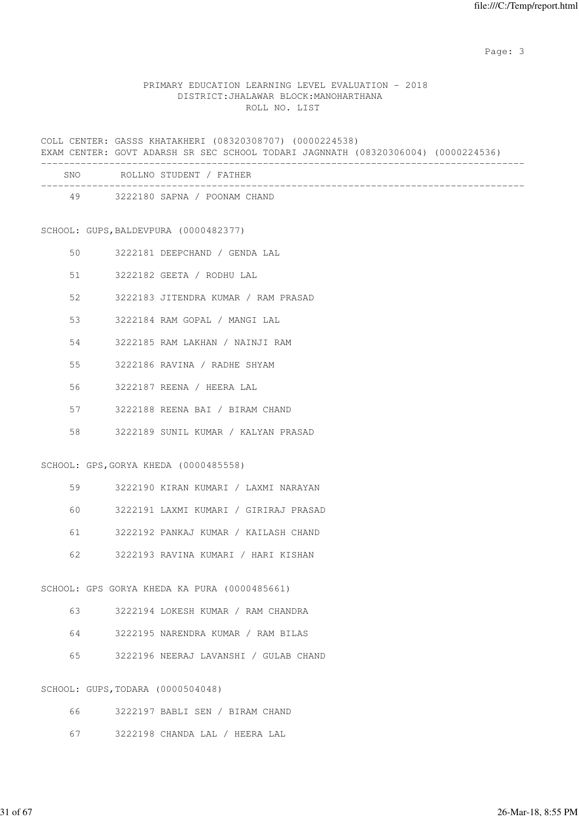Page: 3

#### PRIMARY EDUCATION LEARNING LEVEL EVALUATION - 2018 DISTRICT:JHALAWAR BLOCK:MANOHARTHANA ROLL NO. LIST

COLL CENTER: GASSS KHATAKHERI (08320308707) (0000224538) EXAM CENTER: GOVT ADARSH SR SEC SCHOOL TODARI JAGNNATH (08320306004) (0000224536) -------------------------------------------------------------------------------------

| SNO | ROLLNO STUDENT / FATHER      |  |
|-----|------------------------------|--|
| 49  | 3222180 SAPNA / POONAM CHAND |  |

SCHOOL: GUPS,BALDEVPURA (0000482377)

- 50 3222181 DEEPCHAND / GENDA LAL
- 51 3222182 GEETA / RODHU LAL
- 52 3222183 JITENDRA KUMAR / RAM PRASAD
- 53 3222184 RAM GOPAL / MANGI LAL
- 54 3222185 RAM LAKHAN / NAINJI RAM
- 55 3222186 RAVINA / RADHE SHYAM
- 56 3222187 REENA / HEERA LAL
- 57 3222188 REENA BAI / BIRAM CHAND
- 58 3222189 SUNIL KUMAR / KALYAN PRASAD

#### SCHOOL: GPS,GORYA KHEDA (0000485558)

- 59 3222190 KIRAN KUMARI / LAXMI NARAYAN
- 60 3222191 LAXMI KUMARI / GIRIRAJ PRASAD
- 61 3222192 PANKAJ KUMAR / KAILASH CHAND
- 62 3222193 RAVINA KUMARI / HARI KISHAN

#### SCHOOL: GPS GORYA KHEDA KA PURA (0000485661)

- 63 3222194 LOKESH KUMAR / RAM CHANDRA
- 64 3222195 NARENDRA KUMAR / RAM BILAS
- 65 3222196 NEERAJ LAVANSHI / GULAB CHAND

#### SCHOOL: GUPS,TODARA (0000504048)

- 66 3222197 BABLI SEN / BIRAM CHAND
- 67 3222198 CHANDA LAL / HEERA LAL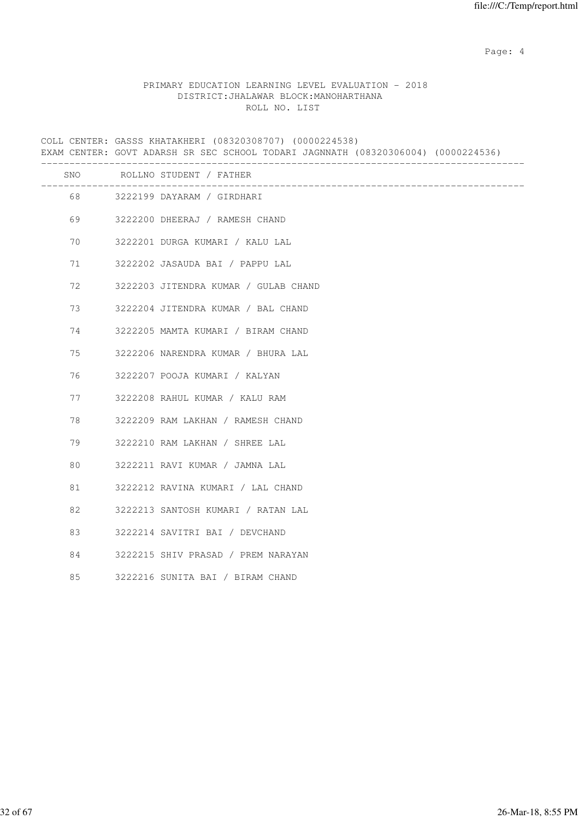Page: 4  $P$ 

#### PRIMARY EDUCATION LEARNING LEVEL EVALUATION - 2018 DISTRICT:JHALAWAR BLOCK:MANOHARTHANA ROLL NO. LIST

COLL CENTER: GASSS KHATAKHERI (08320308707) (0000224538) EXAM CENTER: GOVT ADARSH SR SEC SCHOOL TODARI JAGNNATH (08320306004) (0000224536) ------------------------------------------------------------------------------------- SNO ROLLNO STUDENT / FATHER ------------------------------------------------------------------------------------- 68 3222199 DAYARAM / GIRDHARI 69 3222200 DHEERAJ / RAMESH CHAND 70 3222201 DURGA KUMARI / KALU LAL 71 3222202 JASAUDA BAI / PAPPU LAL 72 3222203 JITENDRA KUMAR / GULAB CHAND 73 3222204 JITENDRA KUMAR / BAL CHAND 74 3222205 MAMTA KUMARI / BIRAM CHAND 75 3222206 NARENDRA KUMAR / BHURA LAL 76 3222207 POOJA KUMARI / KALYAN 77 3222208 RAHUL KUMAR / KALU RAM 78 3222209 RAM LAKHAN / RAMESH CHAND 79 3222210 RAM LAKHAN / SHREE LAL 80 3222211 RAVI KUMAR / JAMNA LAL 81 3222212 RAVINA KUMARI / LAL CHAND 82 3222213 SANTOSH KUMARI / RATAN LAL 83 3222214 SAVITRI BAI / DEVCHAND 84 3222215 SHIV PRASAD / PREM NARAYAN 85 3222216 SUNITA BAI / BIRAM CHAND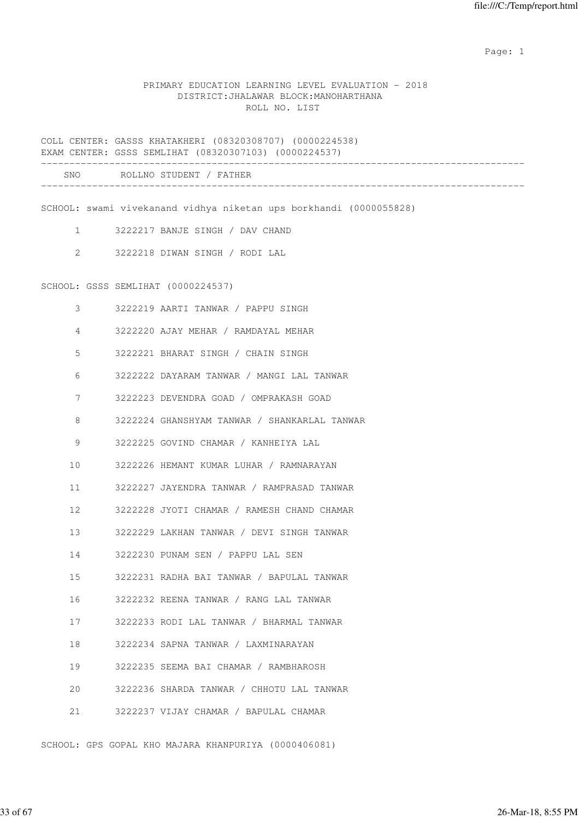## PRIMARY EDUCATION LEARNING LEVEL EVALUATION - 2018 DISTRICT:JHALAWAR BLOCK:MANOHARTHANA ROLL NO. LIST

COLL CENTER: GASSS KHATAKHERI (08320308707) (0000224538) EXAM CENTER: GSSS SEMLIHAT (08320307103) (0000224537) ------------------------------------------------------------------------------------- SNO ROLLNO STUDENT / FATHER -------------------------------------------------------------------------------------

SCHOOL: swami vivekanand vidhya niketan ups borkhandi (0000055828)

- 1 3222217 BANJE SINGH / DAV CHAND
- 2 3222218 DIWAN SINGH / RODI LAL

#### SCHOOL: GSSS SEMLIHAT (0000224537)

| 3                 | 3222219 AARTI TANWAR / PAPPU SINGH           |
|-------------------|----------------------------------------------|
| 4                 | 3222220 AJAY MEHAR / RAMDAYAL MEHAR          |
| 5                 | 3222221 BHARAT SINGH / CHAIN SINGH           |
| 6                 | 3222222 DAYARAM TANWAR / MANGI LAL TANWAR    |
| 7                 | 3222223 DEVENDRA GOAD / OMPRAKASH GOAD       |
| 8                 | 3222224 GHANSHYAM TANWAR / SHANKARLAL TANWAR |
| 9                 | 3222225 GOVIND CHAMAR / KANHEIYA LAL         |
| 10                | 3222226 HEMANT KUMAR LUHAR / RAMNARAYAN      |
| 11                | 3222227 JAYENDRA TANWAR / RAMPRASAD TANWAR   |
| $12 \overline{ }$ | 3222228 JYOTI CHAMAR / RAMESH CHAND CHAMAR   |
| 13                | 3222229 LAKHAN TANWAR / DEVI SINGH TANWAR    |
| 14                | 3222230 PUNAM SEN / PAPPU LAL SEN            |
| 15                | 3222231 RADHA BAI TANWAR / BAPULAL TANWAR    |
| 16                | 3222232 REENA TANWAR / RANG LAL TANWAR       |
| 17                | 3222233 RODI LAL TANWAR / BHARMAL TANWAR     |
| 18                | 3222234 SAPNA TANWAR / LAXMINARAYAN          |
| 19                | 3222235 SEEMA BAI CHAMAR / RAMBHAROSH        |
| 20                | 3222236 SHARDA TANWAR / CHHOTU LAL TANWAR    |
| 21                | 3222237 VIJAY CHAMAR / BAPULAL CHAMAR        |

SCHOOL: GPS GOPAL KHO MAJARA KHANPURIYA (0000406081)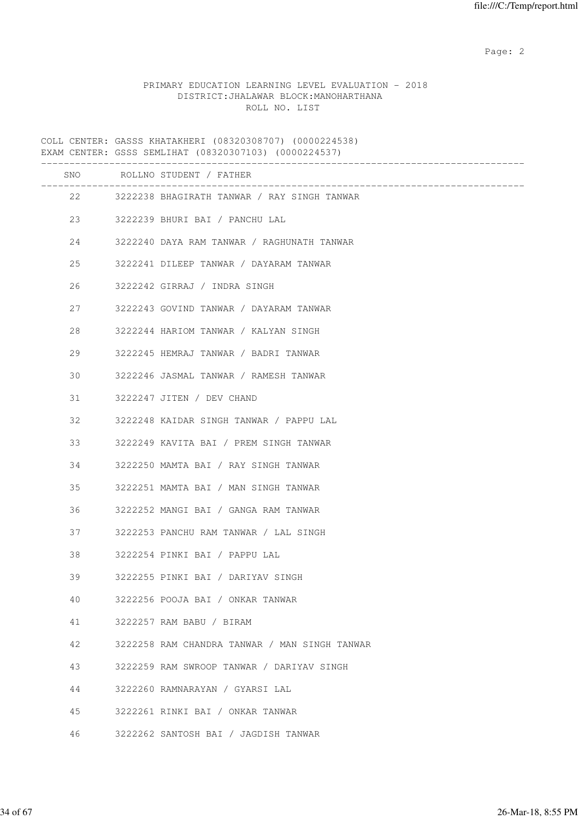## PRIMARY EDUCATION LEARNING LEVEL EVALUATION - 2018 DISTRICT:JHALAWAR BLOCK:MANOHARTHANA ROLL NO. LIST

COLL CENTER: GASSS KHATAKHERI (08320308707) (0000224538) EXAM CENTER: GSSS SEMLIHAT (08320307103) (0000224537) ------------------------------------------------------------------------------------- SNO ROLLNO STUDENT / FATHER ------------------------------------------------------------------------------------- 22 3222238 BHAGIRATH TANWAR / RAY SINGH TANWAR 23 3222239 BHURI BAI / PANCHU LAL 24 3222240 DAYA RAM TANWAR / RAGHUNATH TANWAR 25 3222241 DILEEP TANWAR / DAYARAM TANWAR 26 3222242 GIRRAJ / INDRA SINGH 27 3222243 GOVIND TANWAR / DAYARAM TANWAR 28 3222244 HARIOM TANWAR / KALYAN SINGH 29 3222245 HEMRAJ TANWAR / BADRI TANWAR 30 3222246 JASMAL TANWAR / RAMESH TANWAR 31 3222247 JITEN / DEV CHAND 32 3222248 KAIDAR SINGH TANWAR / PAPPU LAL 33 3222249 KAVITA BAI / PREM SINGH TANWAR 34 3222250 MAMTA BAI / RAY SINGH TANWAR 35 3222251 MAMTA BAI / MAN SINGH TANWAR 36 3222252 MANGI BAI / GANGA RAM TANWAR 37 3222253 PANCHU RAM TANWAR / LAL SINGH 38 3222254 PINKI BAI / PAPPU LAL 39 3222255 PINKI BAI / DARIYAV SINGH 40 3222256 POOJA BAI / ONKAR TANWAR 41 3222257 RAM BABU / BIRAM 42 3222258 RAM CHANDRA TANWAR / MAN SINGH TANWAR 43 3222259 RAM SWROOP TANWAR / DARIYAV SINGH 44 3222260 RAMNARAYAN / GYARSI LAL 45 3222261 RINKI BAI / ONKAR TANWAR 46 3222262 SANTOSH BAI / JAGDISH TANWAR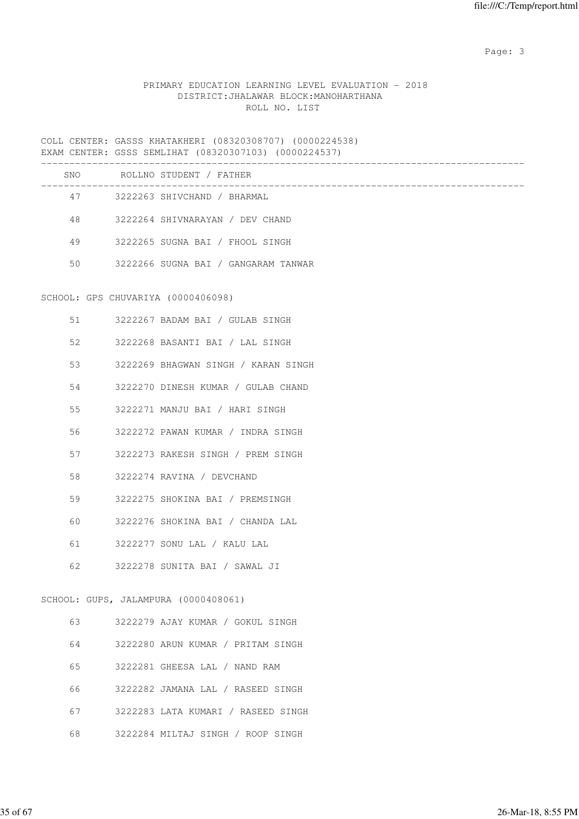Page: 3

## PRIMARY EDUCATION LEARNING LEVEL EVALUATION - 2018 DISTRICT:JHALAWAR BLOCK:MANOHARTHANA ROLL NO. LIST

COLL CENTER: GASSS KHATAKHERI (08320308707) (0000224538) EXAM CENTER: GSSS SEMLIHAT (08320307103) (0000224537)

| SNO | ROLLNO STUDENT / FATHER             |
|-----|-------------------------------------|
| 47  | 3222263 SHIVCHAND / BHARMAL         |
| 48  | 3222264 SHIVNARAYAN / DEV CHAND     |
| 49  | 3222265 SUGNA BAI / FHOOL SINGH     |
| 50  | 3222266 SUGNA BAI / GANGARAM TANWAR |
|     |                                     |

## SCHOOL: GPS CHUVARIYA (0000406098)

|    | 51 — 1 | 3222267 BADAM BAI / GULAB SINGH       |
|----|--------|---------------------------------------|
| 52 |        | 3222268 BASANTI BAI / LAL SINGH       |
| 53 |        | 3222269 BHAGWAN SINGH / KARAN SINGH   |
|    |        | 54 3222270 DINESH KUMAR / GULAB CHAND |
|    |        | 3222271 MANJU BAI / HARI SINGH        |
| 56 |        | 3222272 PAWAN KUMAR / INDRA SINGH     |
| 57 |        | 3222273 RAKESH SINGH / PREM SINGH     |
|    |        | 58 3222274 RAVINA / DEVCHAND          |
| 59 |        | 3222275 SHOKINA BAI / PREMSINGH       |
| 60 |        | 3222276 SHOKINA BAI / CHANDA LAL      |
| 61 |        | 3222277 SONU LAL / KALU LAL           |
|    |        | 62 3222278 SUNITA BAI / SAWAL JI      |
|    |        | SCHOOL: GUPS, JALAMPURA (0000408061)  |
|    |        |                                       |

| 63 | 3222279 AJAY KUMAR / GOKUL SINGH   |
|----|------------------------------------|
| 64 | 3222280 ARUN KUMAR / PRITAM SINGH  |
| 65 | 3222281 GHEESA LAL / NAND RAM      |
| 66 | 3222282 JAMANA LAL / RASEED SINGH  |
| 67 | 3222283 LATA KUMARI / RASEED SINGH |
| 68 | 3222284 MILTAJ SINGH / ROOP SINGH  |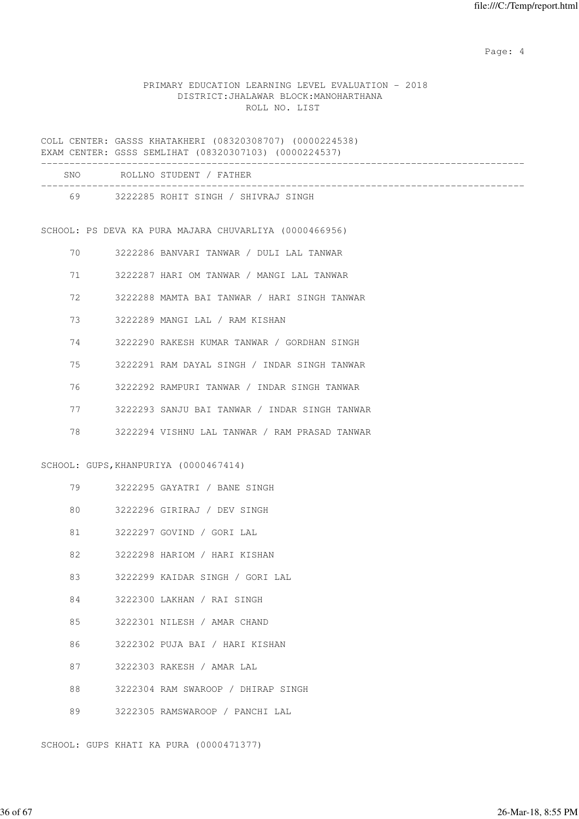Page: 4  $P$ 

#### PRIMARY EDUCATION LEARNING LEVEL EVALUATION - 2018 DISTRICT:JHALAWAR BLOCK:MANOHARTHANA ROLL NO. LIST

COLL CENTER: GASSS KHATAKHERI (08320308707) (0000224538) EXAM CENTER: GSSS SEMLIHAT (08320307103) (0000224537) ------------------------------------------------------------------------------------- SNO ROLLNO STUDENT / FATHER ------------------------------------------------------------------------------------- 69 3222285 ROHIT SINGH / SHIVRAJ SINGH SCHOOL: PS DEVA KA PURA MAJARA CHUVARLIYA (0000466956) 70 3222286 BANVARI TANWAR / DULI LAL TANWAR 71 3222287 HARI OM TANWAR / MANGI LAL TANWAR 72 3222288 MAMTA BAI TANWAR / HARI SINGH TANWAR 73 3222289 MANGI LAL / RAM KISHAN 74 3222290 RAKESH KUMAR TANWAR / GORDHAN SINGH 75 3222291 RAM DAYAL SINGH / INDAR SINGH TANWAR 76 3222292 RAMPURI TANWAR / INDAR SINGH TANWAR 77 3222293 SANJU BAI TANWAR / INDAR SINGH TANWAR

78 3222294 VISHNU LAL TANWAR / RAM PRASAD TANWAR

#### SCHOOL: GUPS,KHANPURIYA (0000467414)

|  | 3222295 GAYATRI |  | BANE SINGH |
|--|-----------------|--|------------|
|--|-----------------|--|------------|

- 80 3222296 GIRIRAJ / DEV SINGH
- 81 3222297 GOVIND / GORI LAL
- 82 3222298 HARIOM / HARI KISHAN
- 83 3222299 KAIDAR SINGH / GORI LAL
- 84 3222300 LAKHAN / RAI SINGH
- 85 3222301 NILESH / AMAR CHAND
- 86 3222302 PUJA BAI / HARI KISHAN
- 87 3222303 RAKESH / AMAR LAL
- 88 3222304 RAM SWAROOP / DHIRAP SINGH
- 89 3222305 RAMSWAROOP / PANCHI LAL

SCHOOL: GUPS KHATI KA PURA (0000471377)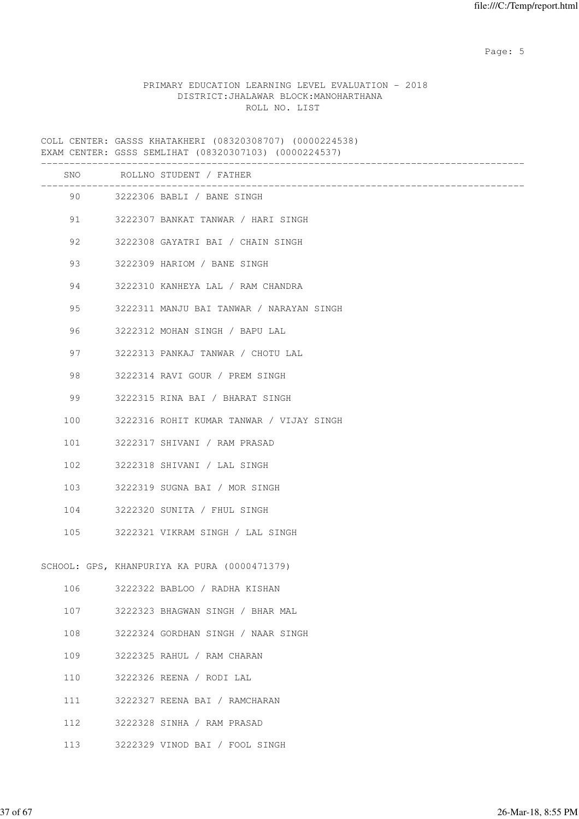Page: 5  $P$  and  $P$  and  $P$  and  $P$  and  $P$  and  $P$  and  $P$  and  $P$  and  $P$  and  $P$  and  $P$  and  $P$  and  $P$  and  $P$  and  $P$  and  $P$  and  $P$  and  $P$  and  $P$  and  $P$  and  $P$  and  $P$  and  $P$  and  $P$  and  $P$  and  $P$  and  $P$  an

## PRIMARY EDUCATION LEARNING LEVEL EVALUATION - 2018 DISTRICT:JHALAWAR BLOCK:MANOHARTHANA ROLL NO. LIST

COLL CENTER: GASSS KHATAKHERI (08320308707) (0000224538) EXAM CENTER: GSSS SEMLIHAT (08320307103) (0000224537)

|     |         | SNO ROLLNO STUDENT / FATHER                  |
|-----|---------|----------------------------------------------|
|     |         | 90 3222306 BABLI / BANE SINGH                |
| 91  |         | 3222307 BANKAT TANWAR / HARI SINGH           |
| 92  |         | 3222308 GAYATRI BAI / CHAIN SINGH            |
| 93  |         | 3222309 HARIOM / BANE SINGH                  |
|     | 94 — 10 | 3222310 KANHEYA LAL / RAM CHANDRA            |
| 95  |         | 3222311 MANJU BAI TANWAR / NARAYAN SINGH     |
|     | 96 7    | 3222312 MOHAN SINGH / BAPU LAL               |
| 97  |         | 3222313 PANKAJ TANWAR / CHOTU LAL            |
| 98  |         | 3222314 RAVI GOUR / PREM SINGH               |
| 99  |         | 3222315 RINA BAI / BHARAT SINGH              |
| 100 |         | 3222316 ROHIT KUMAR TANWAR / VIJAY SINGH     |
| 101 |         | 3222317 SHIVANI / RAM PRASAD                 |
| 102 |         | 3222318 SHIVANI / LAL SINGH                  |
| 103 |         | 3222319 SUGNA BAI / MOR SINGH                |
|     |         | 104 3222320 SUNITA / FHUL SINGH              |
| 105 |         | 3222321 VIKRAM SINGH / LAL SINGH             |
|     |         | SCHOOL: GPS, KHANPURIYA KA PURA (0000471379) |
| 106 |         | 3222322 BABLOO / RADHA KISHAN                |
| 107 |         | 3222323 BHAGWAN SINGH / BHAR MAL             |
| 108 |         | 3222324 GORDHAN SINGH / NAAR SINGH           |
| 109 |         | 3222325 RAHUL / RAM CHARAN                   |
| 110 |         | 3222326 REENA / RODI LAL                     |
| 111 |         | 3222327 REENA BAI / RAMCHARAN                |
| 112 |         | 3222328 SINHA / RAM PRASAD                   |
| 113 |         | 3222329 VINOD BAI / FOOL SINGH               |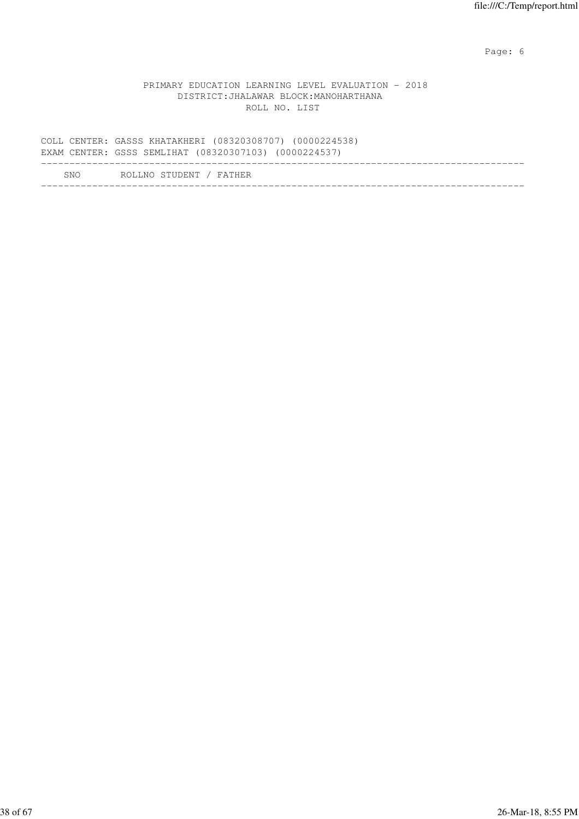Page: 6  $P$  and  $P$  and  $P$  and  $P$  and  $P$  and  $P$  and  $P$  and  $P$  and  $P$  and  $P$  and  $P$  and  $P$  and  $P$  and  $P$  and  $P$  and  $P$  and  $P$  and  $P$  and  $P$  and  $P$  and  $P$  and  $P$  and  $P$  and  $P$  and  $P$  and  $P$  and  $P$  an

## PRIMARY EDUCATION LEARNING LEVEL EVALUATION - 2018 DISTRICT:JHALAWAR BLOCK:MANOHARTHANA ROLL NO. LIST

|      | COLL CENTER: GASSS KHATAKHERI (08320308707) (0000224538)<br>EXAM CENTER: GSSS SEMLIHAT (08320307103) (0000224537) |  |
|------|-------------------------------------------------------------------------------------------------------------------|--|
| SNO. | ROLLNO STUDENT / FATHER                                                                                           |  |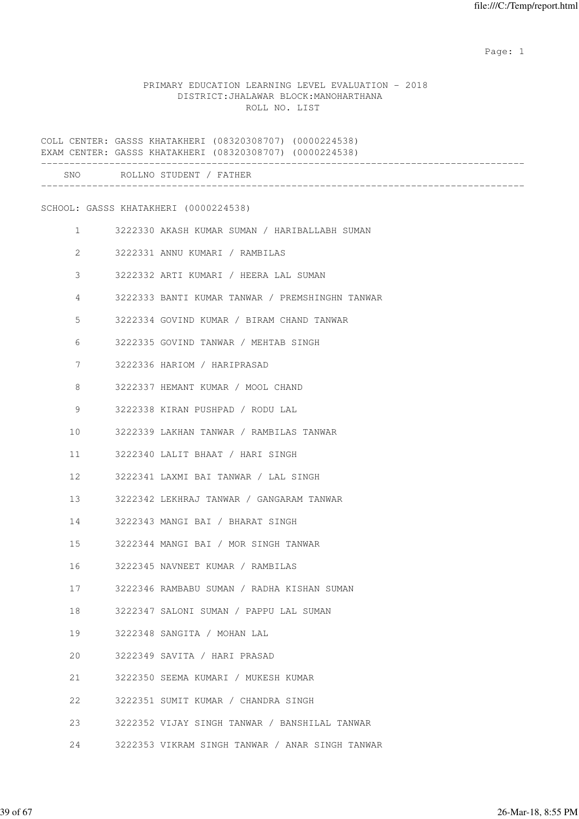## PRIMARY EDUCATION LEARNING LEVEL EVALUATION - 2018 DISTRICT:JHALAWAR BLOCK:MANOHARTHANA ROLL NO. LIST

|                | COLL CENTER: GASSS KHATAKHERI (08320308707) (0000224538)<br>EXAM CENTER: GASSS KHATAKHERI (08320308707) (0000224538) |
|----------------|----------------------------------------------------------------------------------------------------------------------|
|                | SNO ROLLNO STUDENT / FATHER                                                                                          |
|                | SCHOOL: GASSS KHATAKHERI (0000224538)                                                                                |
| $\mathbf{1}$   | 3222330 AKASH KUMAR SUMAN / HARIBALLABH SUMAN                                                                        |
| $\overline{2}$ | 3222331 ANNU KUMARI / RAMBILAS                                                                                       |
| 3              | 3222332 ARTI KUMARI / HEERA LAL SUMAN                                                                                |
| 4              | 3222333 BANTI KUMAR TANWAR / PREMSHINGHN TANWAR                                                                      |
| 5              | 3222334 GOVIND KUMAR / BIRAM CHAND TANWAR                                                                            |
| 6              | 3222335 GOVIND TANWAR / MEHTAB SINGH                                                                                 |
| 7              | 3222336 HARIOM / HARIPRASAD                                                                                          |
| 8              | 3222337 HEMANT KUMAR / MOOL CHAND                                                                                    |
| 9              | 3222338 KIRAN PUSHPAD / RODU LAL                                                                                     |
| 10             | 3222339 LAKHAN TANWAR / RAMBILAS TANWAR                                                                              |
| 11             | 3222340 LALIT BHAAT / HARI SINGH                                                                                     |
| 12             | 3222341 LAXMI BAI TANWAR / LAL SINGH                                                                                 |
| 13             | 3222342 LEKHRAJ TANWAR / GANGARAM TANWAR                                                                             |
| 14             | 3222343 MANGI BAI / BHARAT SINGH                                                                                     |
| 15             | 3222344 MANGI BAI / MOR SINGH TANWAR                                                                                 |
| 16             | 3222345 NAVNEET KUMAR / RAMBILAS                                                                                     |
| 17             | 3222346 RAMBABU SUMAN / RADHA KISHAN SUMAN                                                                           |
| 18             | 3222347 SALONI SUMAN / PAPPU LAL SUMAN                                                                               |
| 19             | 3222348 SANGITA / MOHAN LAL                                                                                          |
| 20             | 3222349 SAVITA / HARI PRASAD                                                                                         |
| 21             | 3222350 SEEMA KUMARI / MUKESH KUMAR                                                                                  |
| 22             | 3222351 SUMIT KUMAR / CHANDRA SINGH                                                                                  |
| 23             | 3222352 VIJAY SINGH TANWAR / BANSHILAL TANWAR                                                                        |
| 24             | 3222353 VIKRAM SINGH TANWAR / ANAR SINGH TANWAR                                                                      |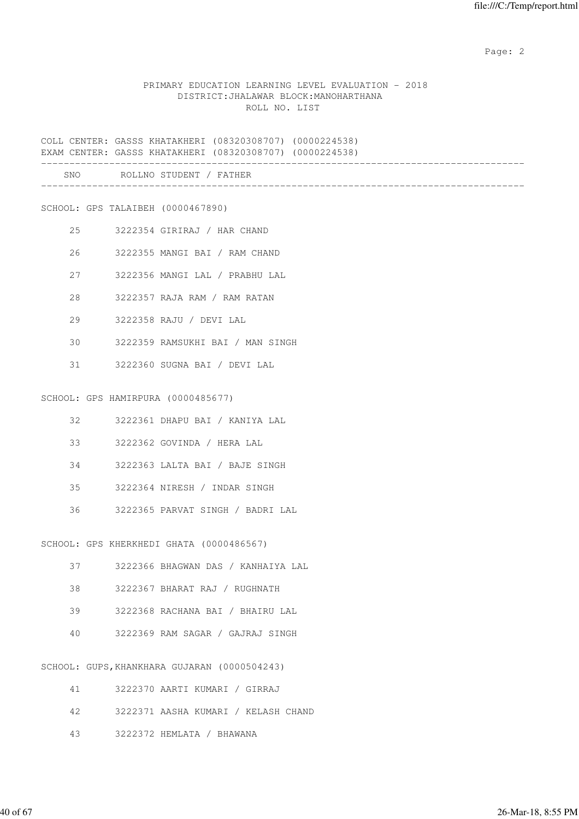#### PRIMARY EDUCATION LEARNING LEVEL EVALUATION - 2018 DISTRICT:JHALAWAR BLOCK:MANOHARTHANA ROLL NO. LIST

COLL CENTER: GASSS KHATAKHERI (08320308707) (0000224538) EXAM CENTER: GASSS KHATAKHERI (08320308707) (0000224538) ------------------------------------------------------------------------------------- SNO ROLLNO STUDENT / FATHER

-------------------------------------------------------------------------------------

SCHOOL: GPS TALAIBEH (0000467890)

- 25 3222354 GIRIRAJ / HAR CHAND
- 26 3222355 MANGI BAI / RAM CHAND
- 27 3222356 MANGI LAL / PRABHU LAL
- 28 3222357 RAJA RAM / RAM RATAN
- 29 3222358 RAJU / DEVI LAL
- 30 3222359 RAMSUKHI BAI / MAN SINGH
- 31 3222360 SUGNA BAI / DEVI LAL

SCHOOL: GPS HAMIRPURA (0000485677)

- 32 3222361 DHAPU BAI / KANIYA LAL
- 33 3222362 GOVINDA / HERA LAL
- 34 3222363 LALTA BAI / BAJE SINGH
- 35 3222364 NIRESH / INDAR SINGH
- 36 3222365 PARVAT SINGH / BADRI LAL

SCHOOL: GPS KHERKHEDI GHATA (0000486567)

- 37 3222366 BHAGWAN DAS / KANHAIYA LAL
- 38 3222367 BHARAT RAJ / RUGHNATH
- 39 3222368 RACHANA BAI / BHAIRU LAL
- 40 3222369 RAM SAGAR / GAJRAJ SINGH

SCHOOL: GUPS,KHANKHARA GUJARAN (0000504243)

| 41         | 3222370 AARTI KUMARI / GIRRAJ       |
|------------|-------------------------------------|
| 42 - 12    | 3222371 AASHA KUMARI / KELASH CHAND |
| $\Delta$ 3 | 3222372 HEMLATA / BHAWANA           |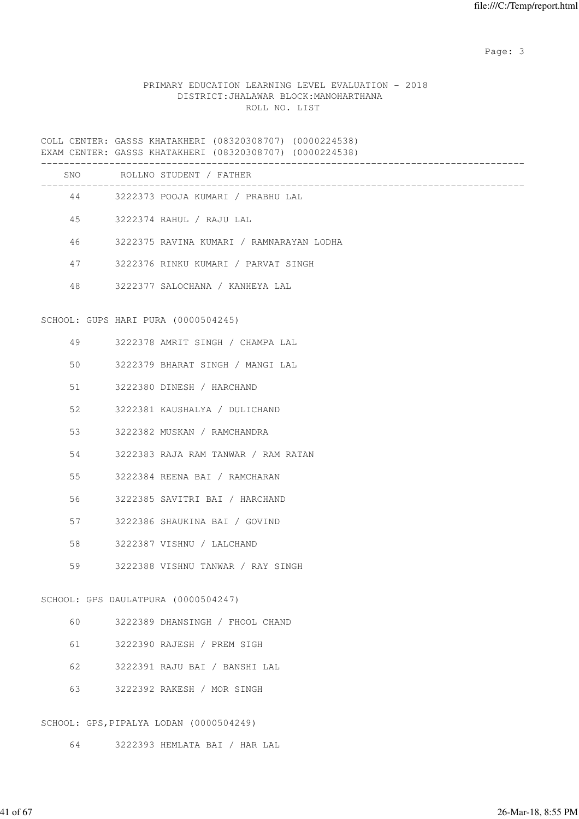Page: 3

#### PRIMARY EDUCATION LEARNING LEVEL EVALUATION - 2018 DISTRICT:JHALAWAR BLOCK:MANOHARTHANA ROLL NO. LIST

COLL CENTER: GASSS KHATAKHERI (08320308707) (0000224538) EXAM CENTER: GASSS KHATAKHERI (08320308707) (0000224538) ------------------------------------------------------------------------------------- SNO ROLLNO STUDENT / FATHER ------------------------------------------------------------------------------------- 44 3222373 POOJA KUMARI / PRABHU LAL 45 3222374 RAHUL / RAJU LAL 46 3222375 RAVINA KUMARI / RAMNARAYAN LODHA 47 3222376 RINKU KUMARI / PARVAT SINGH 48 3222377 SALOCHANA / KANHEYA LAL SCHOOL: GUPS HARI PURA (0000504245) 49 3222378 AMRIT SINGH / CHAMPA LAL 50 3222379 BHARAT SINGH / MANGI LAL 51 3222380 DINESH / HARCHAND 52 3222381 KAUSHALYA / DULICHAND 53 3222382 MUSKAN / RAMCHANDRA 54 3222383 RAJA RAM TANWAR / RAM RATAN 55 3222384 REENA BAI / RAMCHARAN 56 3222385 SAVITRI BAI / HARCHAND 57 3222386 SHAUKINA BAI / GOVIND 58 3222387 VISHNU / LALCHAND 59 3222388 VISHNU TANWAR / RAY SINGH SCHOOL: GPS DAULATPURA (0000504247) 60 3222389 DHANSINGH / FHOOL CHAND 61 3222390 RAJESH / PREM SIGH 62 3222391 RAJU BAI / BANSHI LAL 63 3222392 RAKESH / MOR SINGH

SCHOOL: GPS,PIPALYA LODAN (0000504249)

64 3222393 HEMLATA BAI / HAR LAL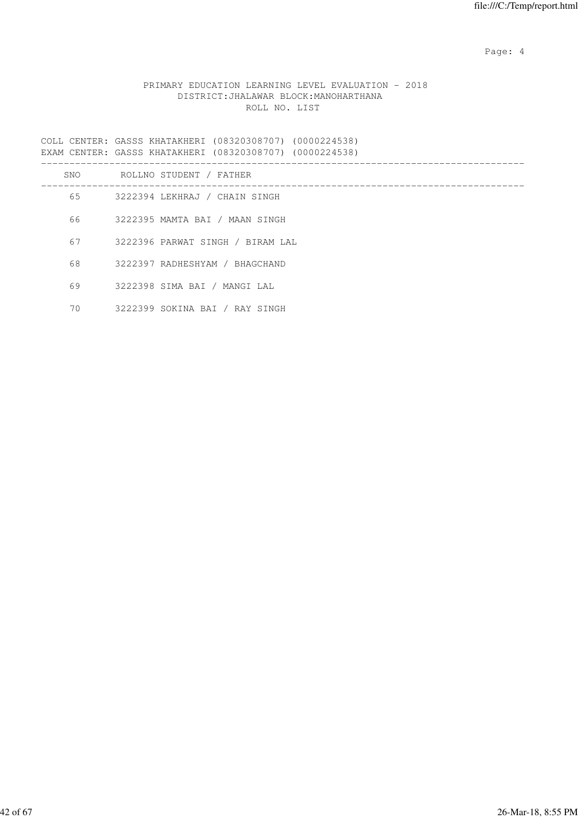Page: 4  $P$ 

#### PRIMARY EDUCATION LEARNING LEVEL EVALUATION - 2018 DISTRICT:JHALAWAR BLOCK:MANOHARTHANA ROLL NO. LIST

COLL CENTER: GASSS KHATAKHERI (08320308707) (0000224538) EXAM CENTER: GASSS KHATAKHERI (08320308707) (0000224538)

| SNO | ROLLNO STUDENT / FATHER          |
|-----|----------------------------------|
| 65  | 3222394 LEKHRAJ / CHAIN SINGH    |
| 66  | 3222395 MAMTA BAI / MAAN SINGH   |
| 67  | 3222396 PARWAT SINGH / BIRAM LAL |
| 68  | 3222397 RADHESHYAM / BHAGCHAND   |
| 69  | 3222398 SIMA BAI / MANGI LAL     |
| 70  | 3222399 SOKINA BAI / RAY SINGH   |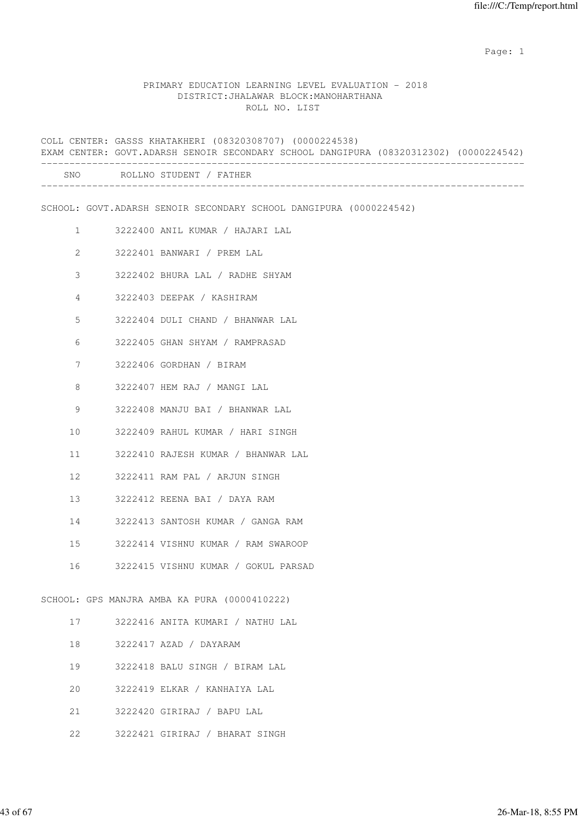#### PRIMARY EDUCATION LEARNING LEVEL EVALUATION - 2018 DISTRICT:JHALAWAR BLOCK:MANOHARTHANA ROLL NO. LIST

COLL CENTER: GASSS KHATAKHERI (08320308707) (0000224538) EXAM CENTER: GOVT.ADARSH SENOIR SECONDARY SCHOOL DANGIPURA (08320312302) (0000224542) ------------------------------------------------------------------------------------- SNO ROLLNO STUDENT / FATHER ------------------------------------------------------------------------------------- SCHOOL: GOVT.ADARSH SENOIR SECONDARY SCHOOL DANGIPURA (0000224542) 1 3222400 ANIL KUMAR / HAJARI LAL 2 3222401 BANWARI / PREM LAL 3 3222402 BHURA LAL / RADHE SHYAM 4 3222403 DEEPAK / KASHIRAM 5 3222404 DULI CHAND / BHANWAR LAL 6 3222405 GHAN SHYAM / RAMPRASAD 7 3222406 GORDHAN / BIRAM 8 3222407 HEM RAJ / MANGI LAL 9 3222408 MANJU BAI / BHANWAR LAL 10 3222409 RAHUL KUMAR / HARI SINGH 11 3222410 RAJESH KUMAR / BHANWAR LAL 12 3222411 RAM PAL / ARJUN SINGH 13 3222412 REENA BAI / DAYA RAM 14 3222413 SANTOSH KUMAR / GANGA RAM 15 3222414 VISHNU KUMAR / RAM SWAROOP 16 3222415 VISHNU KUMAR / GOKUL PARSAD SCHOOL: GPS MANJRA AMBA KA PURA (0000410222) 17 3222416 ANITA KUMARI / NATHU LAL 18 3222417 AZAD / DAYARAM 19 3222418 BALU SINGH / BIRAM LAL 20 3222419 ELKAR / KANHAIYA LAL

- 21 3222420 GIRIRAJ / BAPU LAL
- 22 3222421 GIRIRAJ / BHARAT SINGH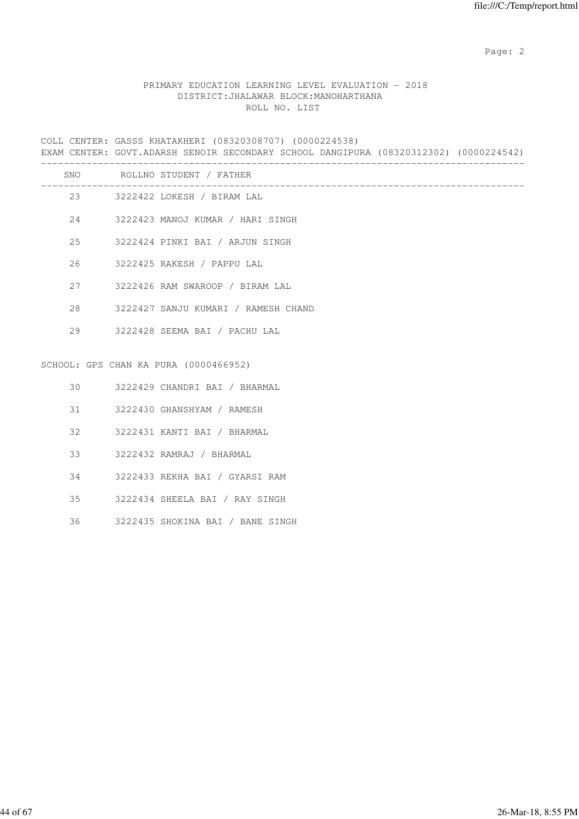## PRIMARY EDUCATION LEARNING LEVEL EVALUATION - 2018 DISTRICT:JHALAWAR BLOCK:MANOHARTHANA ROLL NO. LIST

COLL CENTER: GASSS KHATAKHERI (08320308707) (0000224538) EXAM CENTER: GOVT.ADARSH SENOIR SECONDARY SCHOOL DANGIPURA (08320312302) (0000224542) ------------------------------------------------------------------------------------- SNO ROLLNO STUDENT / FATHER

|    | 23 3222422 LOKESH / BIRAM LAL          |
|----|----------------------------------------|
|    | 24 3222423 MANOJ KUMAR / HARI SINGH    |
|    | 25 3222424 PINKI BAI / ARJUN SINGH     |
| 26 | 3222425 RAKESH / PAPPU LAL             |
|    | 27 3222426 RAM SWAROOP / BIRAM LAL     |
|    | 28 3222427 SANJU KUMARI / RAMESH CHAND |
|    | 29 3222428 SEEMA BAI / PACHU LAL       |
|    |                                        |
|    | SCHOOL: GPS CHAN KA PURA (0000466952)  |
|    | 30 3222429 CHANDRI BAI / BHARMAL       |
|    | 31 3222430 GHANSHYAM / RAMESH          |
|    | 32 3222431 KANTI BAI / BHARMAL         |

- 33 3222432 RAMRAJ / BHARMAL
- 34 3222433 REKHA BAI / GYARSI RAM
- 35 3222434 SHEELA BAI / RAY SINGH
- 36 3222435 SHOKINA BAI / BANE SINGH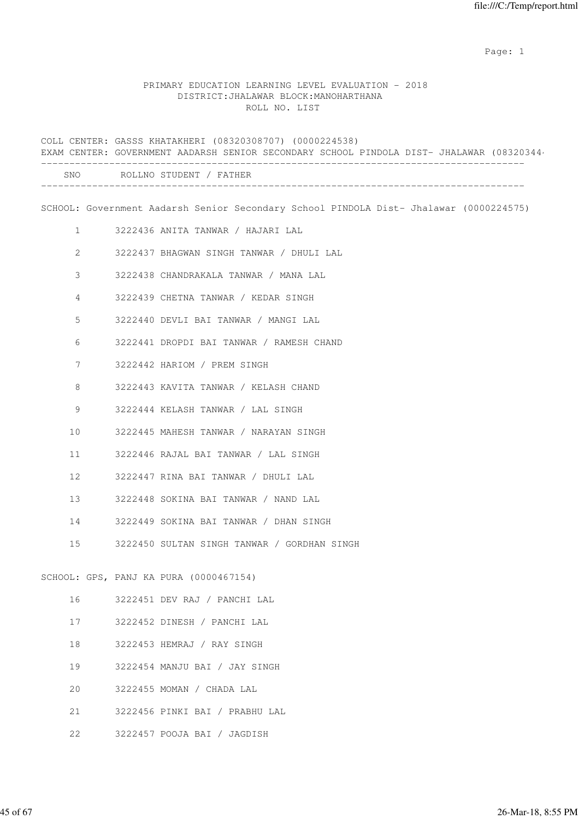#### PRIMARY EDUCATION LEARNING LEVEL EVALUATION - 2018 DISTRICT:JHALAWAR BLOCK:MANOHARTHANA ROLL NO. LIST

COLL CENTER: GASSS KHATAKHERI (08320308707) (0000224538) EXAM CENTER: GOVERNMENT AADARSH SENIOR SECONDARY SCHOOL PINDOLA DIST- JHALAWAR (08320344) ------------------------------------------------------------------------------------- SNO ROLLNO STUDENT / FATHER ------------------------------------------------------------------------------------- SCHOOL: Government Aadarsh Senior Secondary School PINDOLA Dist- Jhalawar (0000224575) 1 3222436 ANITA TANWAR / HAJARI LAL 2 3222437 BHAGWAN SINGH TANWAR / DHULI LAL 3 3222438 CHANDRAKALA TANWAR / MANA LAL 4 3222439 CHETNA TANWAR / KEDAR SINGH 5 3222440 DEVLI BAI TANWAR / MANGI LAL 6 3222441 DROPDI BAI TANWAR / RAMESH CHAND 7 3222442 HARIOM / PREM SINGH 8 3222443 KAVITA TANWAR / KELASH CHAND 9 3222444 KELASH TANWAR / LAL SINGH 10 3222445 MAHESH TANWAR / NARAYAN SINGH 11 3222446 RAJAL BAI TANWAR / LAL SINGH 12 3222447 RINA BAI TANWAR / DHULI LAL 13 3222448 SOKINA BAI TANWAR / NAND LAL 14 3222449 SOKINA BAI TANWAR / DHAN SINGH 15 3222450 SULTAN SINGH TANWAR / GORDHAN SINGH SCHOOL: GPS, PANJ KA PURA (0000467154) 16 3222451 DEV RAJ / PANCHI LAL 17 3222452 DINESH / PANCHI LAL 18 3222453 HEMRAJ / RAY SINGH 19 3222454 MANJU BAI / JAY SINGH 20 3222455 MOMAN / CHADA LAL 21 3222456 PINKI BAI / PRABHU LAL

22 3222457 POOJA BAI / JAGDISH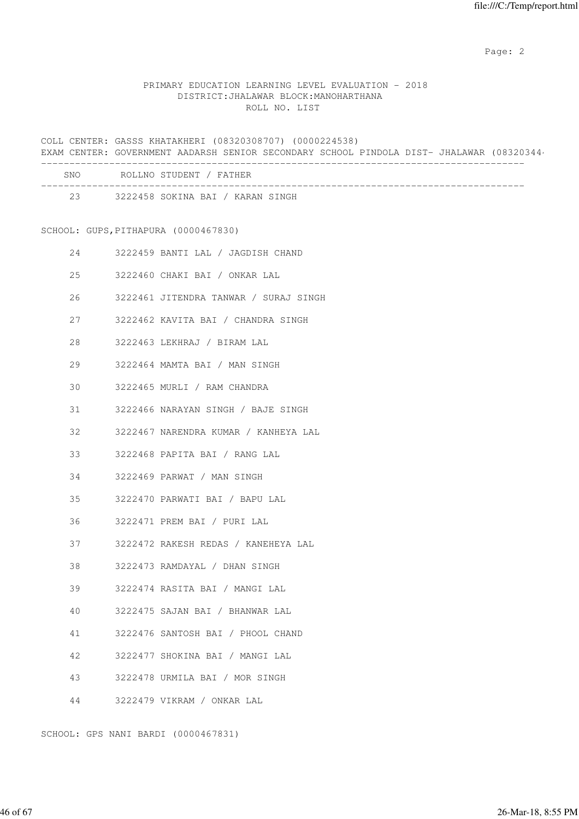## PRIMARY EDUCATION LEARNING LEVEL EVALUATION - 2018 DISTRICT:JHALAWAR BLOCK:MANOHARTHANA ROLL NO. LIST

COLL CENTER: GASSS KHATAKHERI (08320308707) (0000224538) EXAM CENTER: GOVERNMENT AADARSH SENIOR SECONDARY SCHOOL PINDOLA DIST- JHALAWAR (08320344)

| <b>SNO</b> | ROLLNO STUDENT / FATHER          |
|------------|----------------------------------|
| 23         | 3222458 SOKINA BAI / KARAN SINGH |

# SCHOOL: GUPS,PITHAPURA (0000467830)

| 24 | 3222459 BANTI LAL / JAGDISH CHAND     |
|----|---------------------------------------|
| 25 | 3222460 CHAKI BAI / ONKAR LAL         |
| 26 | 3222461 JITENDRA TANWAR / SURAJ SINGH |
| 27 | 3222462 KAVITA BAI / CHANDRA SINGH    |
| 28 | 3222463 LEKHRAJ / BIRAM LAL           |
| 29 | 3222464 MAMTA BAI / MAN SINGH         |
| 30 | 3222465 MURLI / RAM CHANDRA           |
| 31 | 3222466 NARAYAN SINGH / BAJE SINGH    |
| 32 | 3222467 NARENDRA KUMAR / KANHEYA LAL  |
| 33 | 3222468 PAPITA BAI / RANG LAL         |
| 34 | 3222469 PARWAT / MAN SINGH            |
| 35 | 3222470 PARWATI BAI / BAPU LAL        |
| 36 | 3222471 PREM BAI / PURI LAL           |
| 37 | 3222472 RAKESH REDAS / KANEHEYA LAL   |
| 38 | 3222473 RAMDAYAL / DHAN SINGH         |
| 39 | 3222474 RASITA BAI / MANGI LAL        |
| 40 | 3222475 SAJAN BAI / BHANWAR LAL       |
| 41 | 3222476 SANTOSH BAI / PHOOL CHAND     |
| 42 | 3222477 SHOKINA BAI / MANGI LAL       |
| 43 | 3222478 URMILA BAI / MOR SINGH        |
| 44 | 3222479 VIKRAM / ONKAR LAL            |
|    | SCHOOL: GPS NANI BARDI (0000467831)   |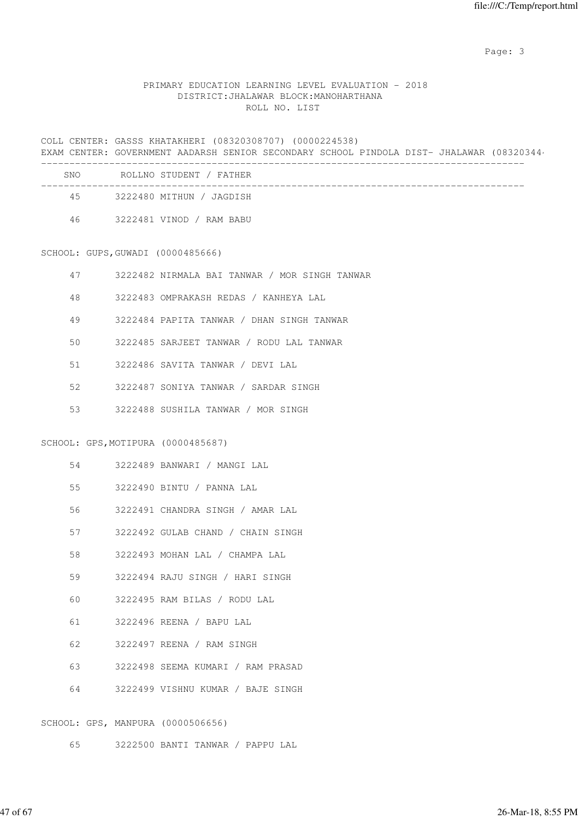Page: 3

## PRIMARY EDUCATION LEARNING LEVEL EVALUATION - 2018 DISTRICT:JHALAWAR BLOCK:MANOHARTHANA ROLL NO. LIST

COLL CENTER: GASSS KHATAKHERI (08320308707) (0000224538) EXAM CENTER: GOVERNMENT AADARSH SENIOR SECONDARY SCHOOL PINDOLA DIST- JHALAWAR (08320344) -------------------------------------------------------------------------------------

| SNO. | ROLLNO STUDENT / FATHER  |
|------|--------------------------|
| 45   | 3222480 MITHUN / JAGDISH |
| 46   | 3222481 VINOD / RAM BABU |

SCHOOL: GUPS,GUWADI (0000485666)

|  |  | 3222482 NIRMALA BAI TANWAR |  |  |  |  |  | / MOR SINGH TANWAR |
|--|--|----------------------------|--|--|--|--|--|--------------------|
|--|--|----------------------------|--|--|--|--|--|--------------------|

- 48 3222483 OMPRAKASH REDAS / KANHEYA LAL
- 49 3222484 PAPITA TANWAR / DHAN SINGH TANWAR
- 50 3222485 SARJEET TANWAR / RODU LAL TANWAR
- 51 3222486 SAVITA TANWAR / DEVI LAL
- 52 3222487 SONIYA TANWAR / SARDAR SINGH
- 53 3222488 SUSHILA TANWAR / MOR SINGH

SCHOOL: GPS,MOTIPURA (0000485687)

| 54  |  | 3222489 BANWARI / MANGI LAL          |
|-----|--|--------------------------------------|
|     |  | 55 3222490 BINTU / PANNA LAL         |
| 56  |  | 3222491 CHANDRA SINGH / AMAR LAL     |
|     |  | 57 3222492 GULAB CHAND / CHAIN SINGH |
| 58  |  | 3222493 MOHAN LAL / CHAMPA LAL       |
| 59  |  | 3222494 RAJU SINGH / HARI SINGH      |
| 60. |  | 3222495 RAM BILAS / RODU LAL         |
| 61  |  | 3222496 REENA / BAPU LAL             |
| 62  |  | 3222497 REENA / RAM SINGH            |
| 63  |  | 3222498 SEEMA KUMARI / RAM PRASAD    |
| 64  |  | 3222499 VISHNU KUMAR / BAJE SINGH    |
|     |  | SCHOOL: GPS, MANPURA (0000506656)    |

65 3222500 BANTI TANWAR / PAPPU LAL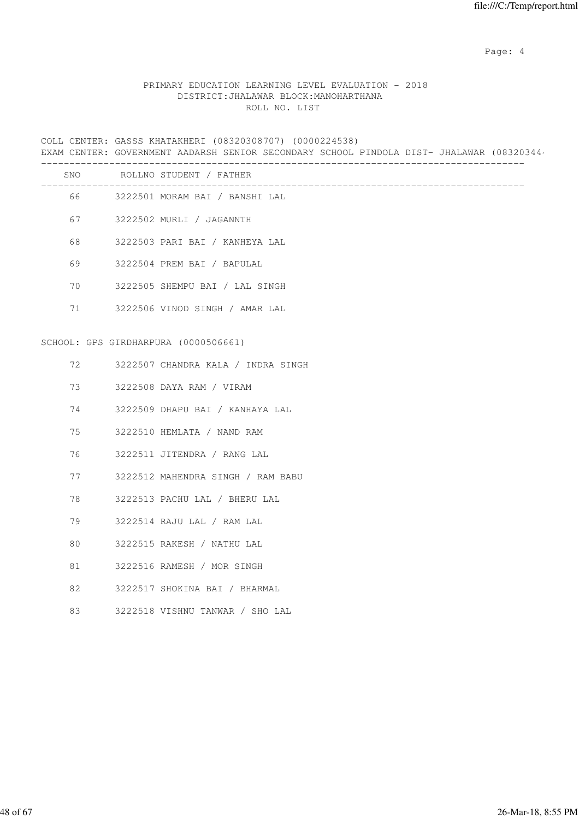Page: 4  $P$ 

## PRIMARY EDUCATION LEARNING LEVEL EVALUATION - 2018 DISTRICT:JHALAWAR BLOCK:MANOHARTHANA ROLL NO. LIST

COLL CENTER: GASSS KHATAKHERI (08320308707) (0000224538) EXAM CENTER: GOVERNMENT AADARSH SENIOR SECONDARY SCHOOL PINDOLA DIST- JHALAWAR (08320344) -------------------------------------------------------------------------------------

| SNO | ROLLNO STUDENT / FATHER              |
|-----|--------------------------------------|
|     | 66 3222501 MORAM BAI / BANSHI LAL    |
| 67  | 3222502 MURLI / JAGANNTH             |
| 68  | 3222503 PARI BAI / KANHEYA LAL       |
| 69  | 3222504 PREM BAI / BAPULAL           |
| 70  | 3222505 SHEMPU BAI / LAL SINGH       |
| 71  | 3222506 VINOD SINGH / AMAR LAL       |
|     |                                      |
|     | SCHOOL: GPS GIRDHARPURA (0000506661) |
| 72  | 3222507 CHANDRA KALA / INDRA SINGH   |
| 73  | 3222508 DAYA RAM / VIRAM             |
| 74  | 3222509 DHAPU BAI / KANHAYA LAL      |
| 75  | 3222510 HEMLATA / NAND RAM           |
| 76  | 3222511 JITENDRA / RANG LAL          |
| 77  | 3222512 MAHENDRA SINGH / RAM BABU    |
| 78  | 3222513 PACHU LAL / BHERU LAL        |
| 79  | 3222514 RAJU LAL / RAM LAL           |
| 80  | 3222515 RAKESH / NATHU LAL           |
| 81  | 3222516 RAMESH / MOR SINGH           |
| 82  | 3222517 SHOKINA BAI / BHARMAL        |
| 83  | 3222518 VISHNU TANWAR / SHO LAL      |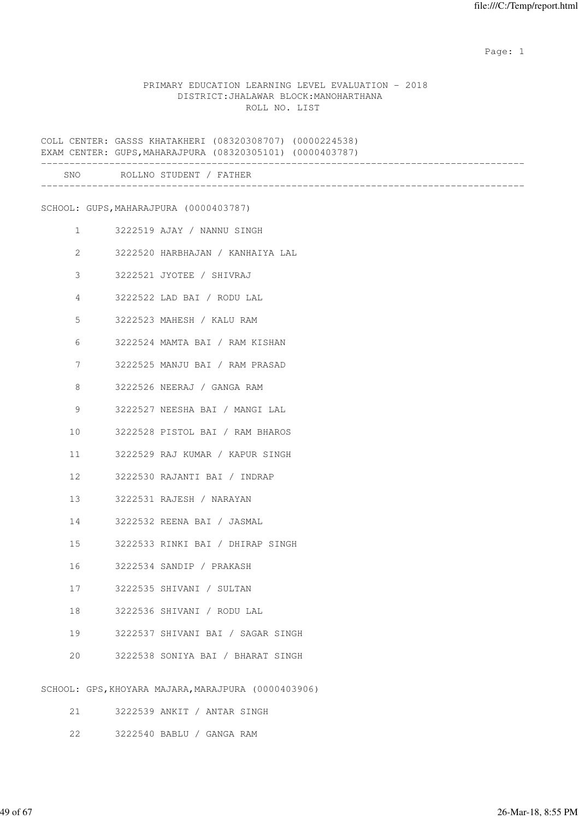#### PRIMARY EDUCATION LEARNING LEVEL EVALUATION - 2018 DISTRICT:JHALAWAR BLOCK:MANOHARTHANA ROLL NO. LIST

COLL CENTER: GASSS KHATAKHERI (08320308707) (0000224538) EXAM CENTER: GUPS,MAHARAJPURA (08320305101) (0000403787) ------------------------------------------------------------------------------------- SNO ROLLNO STUDENT / FATHER ------------------------------------------------------------------------------------- SCHOOL: GUPS,MAHARAJPURA (0000403787) 1 3222519 AJAY / NANNU SINGH 2 3222520 HARBHAJAN / KANHAIYA LAL 3 3222521 JYOTEE / SHIVRAJ 4 3222522 LAD BAI / RODU LAL 5 3222523 MAHESH / KALU RAM 6 3222524 MAMTA BAI / RAM KISHAN 7 3222525 MANJU BAI / RAM PRASAD 8 3222526 NEERAJ / GANGA RAM 9 3222527 NEESHA BAI / MANGI LAL 10 3222528 PISTOL BAI / RAM BHAROS 11 3222529 RAJ KUMAR / KAPUR SINGH 12 3222530 RAJANTI BAI / INDRAP 13 3222531 RAJESH / NARAYAN 14 3222532 REENA BAI / JASMAL 15 3222533 RINKI BAI / DHIRAP SINGH 16 3222534 SANDIP / PRAKASH 17 3222535 SHIVANI / SULTAN 18 3222536 SHIVANI / RODU LAL 19 3222537 SHIVANI BAI / SAGAR SINGH 20 3222538 SONIYA BAI / BHARAT SINGH SCHOOL: GPS,KHOYARA MAJARA,MARAJPURA (0000403906) 21 3222539 ANKIT / ANTAR SINGH

22 3222540 BABLU / GANGA RAM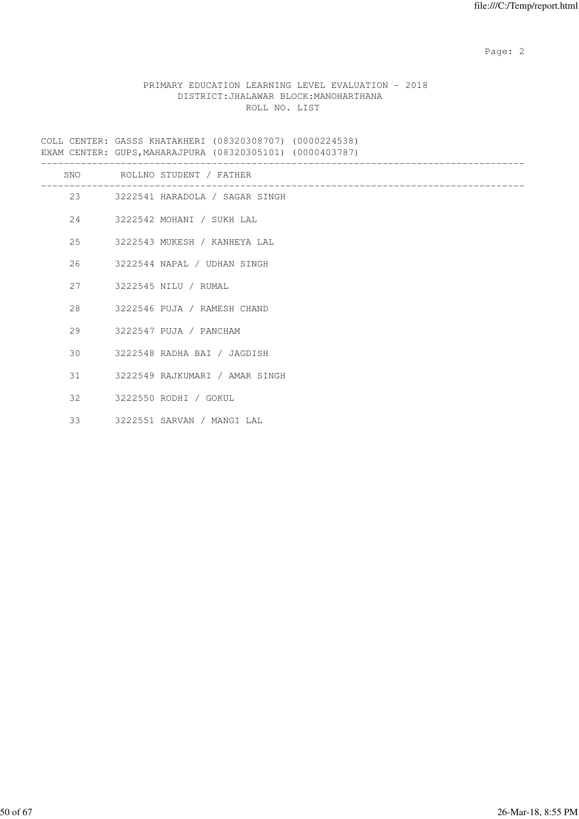### PRIMARY EDUCATION LEARNING LEVEL EVALUATION - 2018 DISTRICT:JHALAWAR BLOCK:MANOHARTHANA ROLL NO. LIST

COLL CENTER: GASSS KHATAKHERI (08320308707) (0000224538) EXAM CENTER: GUPS,MAHARAJPURA (08320305101) (0000403787)

|     | SNO ROLLNO STUDENT / FATHER       |
|-----|-----------------------------------|
|     | 23 3222541 HARADOLA / SAGAR SINGH |
|     | 24 3222542 MOHANI / SUKH LAL      |
|     | 25 3222543 MUKESH / KANHEYA LAL   |
| 26  | 3222544 NAPAL / UDHAN SINGH       |
| 2.7 | 3222545 NILU / RUMAL              |
| 28  | 3222546 PUJA / RAMESH CHAND       |
|     | 29 3222547 PUJA / PANCHAM         |
|     | 30 3222548 RADHA BAI / JAGDISH    |
|     | 31 3222549 RAJKUMARI / AMAR SINGH |
|     | 32 3222550 RODHI / GOKUL          |
| 33  | 3222551 SARVAN / MANGI LAL        |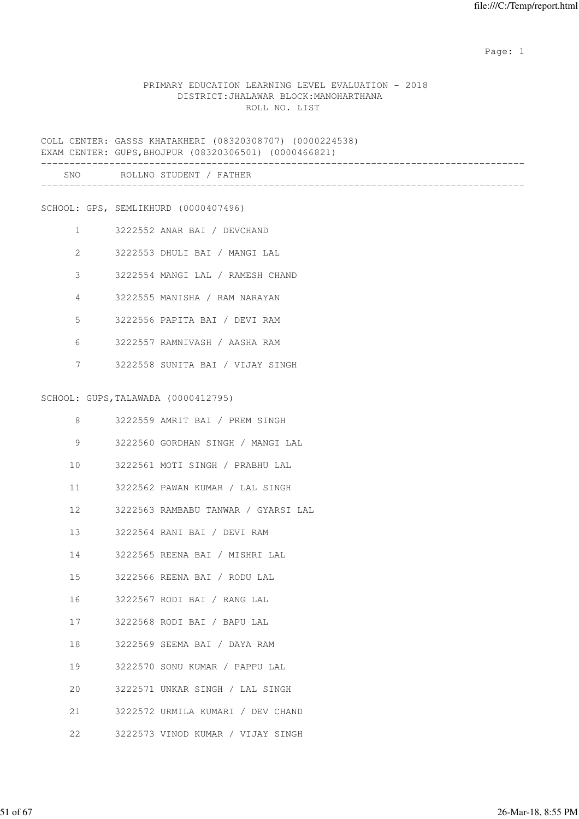#### PRIMARY EDUCATION LEARNING LEVEL EVALUATION - 2018 DISTRICT:JHALAWAR BLOCK:MANOHARTHANA ROLL NO. LIST

COLL CENTER: GASSS KHATAKHERI (08320308707) (0000224538) EXAM CENTER: GUPS,BHOJPUR (08320306501) (0000466821)

| <b>SNO</b> | ROLLNO STUDENT / FATHER |
|------------|-------------------------|
|            |                         |
|            |                         |

SCHOOL: GPS, SEMLIKHURD (0000407496)

- 1 3222552 ANAR BAI / DEVCHAND
- 2 3222553 DHULI BAI / MANGI LAL
- 3 3222554 MANGI LAL / RAMESH CHAND
- 4 3222555 MANISHA / RAM NARAYAN
- 5 3222556 PAPITA BAI / DEVI RAM
- 6 3222557 RAMNIVASH / AASHA RAM
- 7 3222558 SUNITA BAI / VIJAY SINGH

#### SCHOOL: GUPS,TALAWADA (0000412795)

| 8  | 3222559 AMRIT BAI / PREM SINGH         |
|----|----------------------------------------|
| 9  | 3222560 GORDHAN SINGH / MANGI LAL      |
| 10 | 3222561 MOTI SINGH / PRABHU LAL        |
|    | 11 3222562 PAWAN KUMAR / LAL SINGH     |
|    | 12 3222563 RAMBABU TANWAR / GYARSI LAL |
|    | 13 3222564 RANI BAI / DEVI RAM         |
|    | 14 3222565 REENA BAI / MISHRI LAL      |
|    | 15 3222566 REENA BAI / RODU LAL        |
|    | 16 3222567 RODI BAI / RANG LAL         |
|    | 17 3222568 RODI BAI / BAPU LAL         |
|    | 18 3222569 SEEMA BAI / DAYA RAM        |
| 19 | 3222570 SONU KUMAR / PAPPU LAL         |
| 20 | 3222571 UNKAR SINGH / LAL SINGH        |
|    | 21 3222572 URMILA KUMARI / DEV CHAND   |
| 22 | 3222573 VINOD KUMAR / VIJAY SINGH      |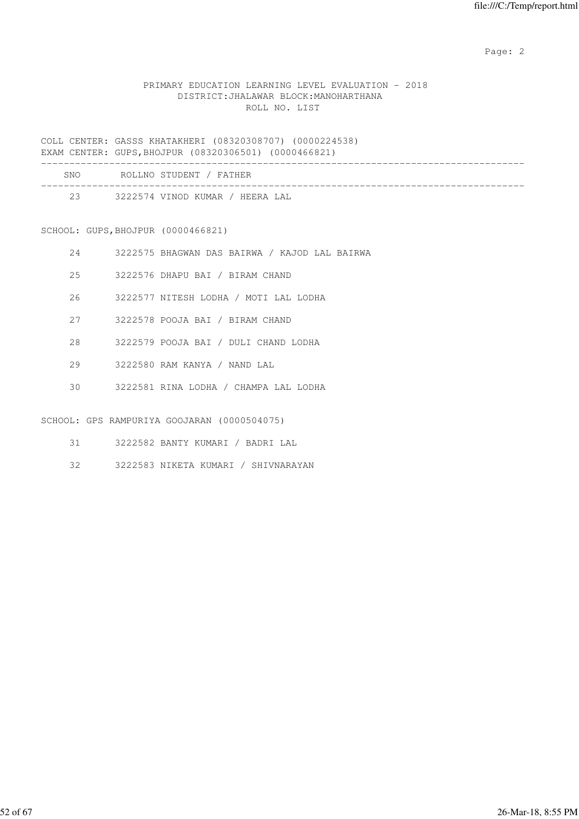## PRIMARY EDUCATION LEARNING LEVEL EVALUATION - 2018 DISTRICT:JHALAWAR BLOCK:MANOHARTHANA ROLL NO. LIST

COLL CENTER: GASSS KHATAKHERI (08320308707) (0000224538) EXAM CENTER: GUPS,BHOJPUR (08320306501) (0000466821)

| SNO | ROLLNO STUDENT / FATHER         |  |
|-----|---------------------------------|--|
| 23  | 3222574 VINOD KUMAR / HEERA LAL |  |

SCHOOL: GUPS,BHOJPUR (0000466821)

| 24  | 3222575 BHAGWAN DAS BAIRWA / KAJOD LAL BAIRWA |
|-----|-----------------------------------------------|
| 2.5 | 3222576 DHAPU BAI / BIRAM CHAND               |
| 26  | 3222577 NITESH LODHA / MOTI LAL LODHA         |
| 27  | 3222578 POOJA BAI / BIRAM CHAND               |
| 28  | 3222579 POOJA BAI / DULI CHAND LODHA          |
| 29  | 3222580 RAM KANYA / NAND LAL                  |
| 30  | 3222581 RINA LODHA / CHAMPA LAL LODHA         |
|     |                                               |

SCHOOL: GPS RAMPURIYA GOOJARAN (0000504075)

- 31 3222582 BANTY KUMARI / BADRI LAL
- 32 3222583 NIKETA KUMARI / SHIVNARAYAN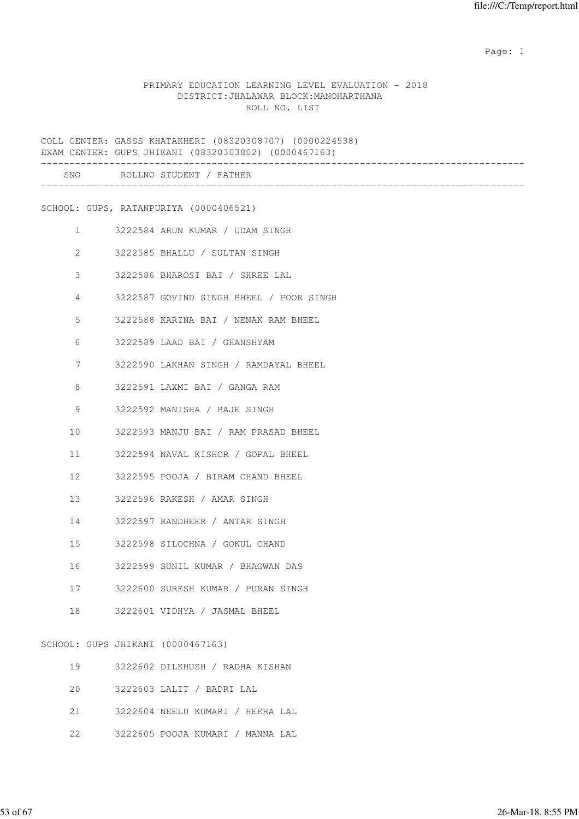#### PRIMARY EDUCATION LEARNING LEVEL EVALUATION - 2018 DISTRICT:JHALAWAR BLOCK:MANOHARTHANA ROLL NO. LIST

COLL CENTER: GASSS KHATAKHERI (08320308707) (0000224538) EXAM CENTER: GUPS JHIKANI (08320303802) (0000467163) ------------------------------------------------------------------------------------- SNO ROLLNO STUDENT / FATHER ------------------------------------------------------------------------------------- SCHOOL: GUPS, RATANPURIYA (0000406521) 1 3222584 ARUN KUMAR / UDAM SINGH 2 3222585 BHALLU / SULTAN SINGH 3 3222586 BHAROSI BAI / SHREE LAL 4 3222587 GOVIND SINGH BHEEL / POOR SINGH 5 3222588 KARINA BAI / NENAK RAM BHEEL 6 3222589 LAAD BAI / GHANSHYAM 7 3222590 LAKHAN SINGH / RAMDAYAL BHEEL 8 3222591 LAXMI BAI / GANGA RAM 9 3222592 MANISHA / BAJE SINGH 10 3222593 MANJU BAI / RAM PRASAD BHEEL 11 3222594 NAVAL KISHOR / GOPAL BHEEL 12 3222595 POOJA / BIRAM CHAND BHEEL 13 3222596 RAKESH / AMAR SINGH 14 3222597 RANDHEER / ANTAR SINGH 15 3222598 SILOCHNA / GOKUL CHAND 16 3222599 SUNIL KUMAR / BHAGWAN DAS 17 3222600 SURESH KUMAR / PURAN SINGH 18 3222601 VIDHYA / JASMAL BHEEL SCHOOL: GUPS JHIKANI (0000467163) 19 3222602 DILKHUSH / RADHA KISHAN 20 3222603 LALIT / BADRI LAL 21 3222604 NEELU KUMARI / HEERA LAL

22 3222605 POOJA KUMARI / MANNA LAL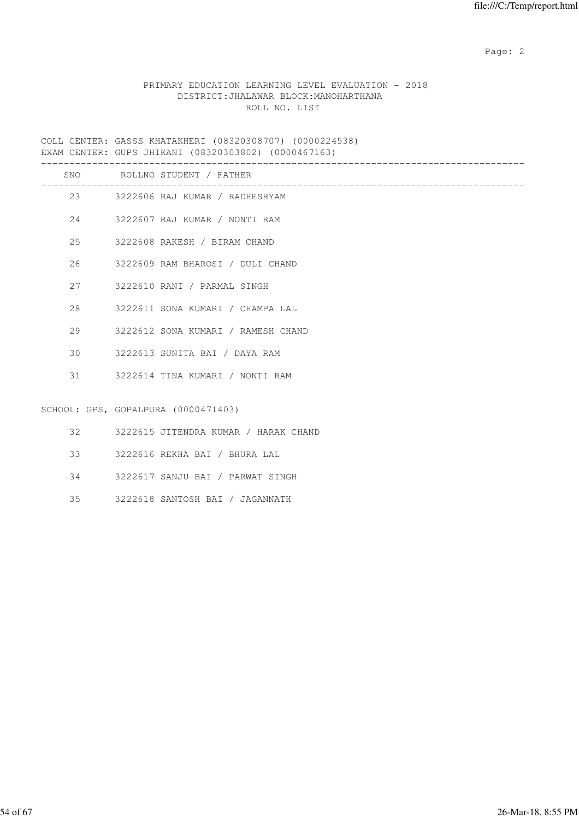## PRIMARY EDUCATION LEARNING LEVEL EVALUATION - 2018 DISTRICT:JHALAWAR BLOCK:MANOHARTHANA ROLL NO. LIST

COLL CENTER: GASSS KHATAKHERI (08320308707) (0000224538) EXAM CENTER: GUPS JHIKANI (08320303802) (0000467163)

|    | SNO ROLLNO STUDENT / FATHER             |
|----|-----------------------------------------|
|    | 23 3222606 RAJ KUMAR / RADHESHYAM       |
|    | 24 3222607 RAJ KUMAR / NONTI RAM        |
| 25 | 3222608 RAKESH / BIRAM CHAND            |
| 26 | 3222609 RAM BHAROSI / DULI CHAND        |
|    | 27 3222610 RANI / PARMAL SINGH          |
| 28 | 3222611 SONA KUMARI / CHAMPA LAL        |
| 29 | 3222612 SONA KUMARI / RAMESH CHAND      |
| 30 | 3222613 SUNITA BAI / DAYA RAM           |
|    | 31 3222614 TINA KUMARI / NONTI RAM      |
|    |                                         |
|    | SCHOOL: GPS, GOPALPURA (0000471403)     |
|    | 32 3222615 JITENDRA KUMAR / HARAK CHAND |
| 33 | 3222616 REKHA BAI / BHURA LAL           |
|    | 34 3222617 SANJU BAI / PARWAT SINGH     |

35 3222618 SANTOSH BAI / JAGANNATH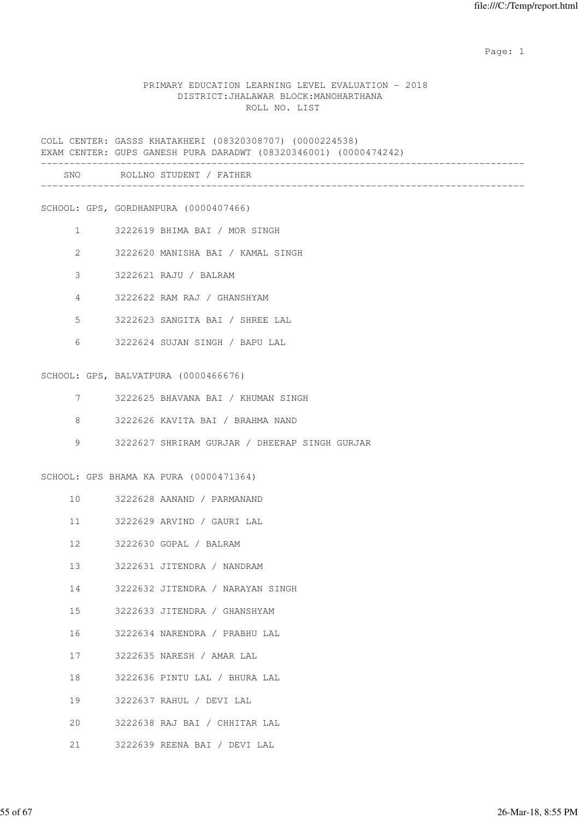#### PRIMARY EDUCATION LEARNING LEVEL EVALUATION - 2018 DISTRICT:JHALAWAR BLOCK:MANOHARTHANA ROLL NO. LIST

COLL CENTER: GASSS KHATAKHERI (08320308707) (0000224538) EXAM CENTER: GUPS GANESH PURA DARADWT (08320346001) (0000474242) ------------------------------------------------------------------------------------- SNO ROLLNO STUDENT / FATHER ------------------------------------------------------------------------------------- SCHOOL: GPS, GORDHANPURA (0000407466) 1 3222619 BHIMA BAI / MOR SINGH 2 3222620 MANISHA BAI / KAMAL SINGH 3 3222621 RAJU / BALRAM 4 3222622 RAM RAJ / GHANSHYAM 5 3222623 SANGITA BAI / SHREE LAL 6 3222624 SUJAN SINGH / BAPU LAL SCHOOL: GPS, BALVATPURA (0000466676) 7 3222625 BHAVANA BAI / KHUMAN SINGH 8 3222626 KAVITA BAI / BRAHMA NAND 9 3222627 SHRIRAM GURJAR / DHEERAP SINGH GURJAR SCHOOL: GPS BHAMA KA PURA (0000471364) 10 3222628 AANAND / PARMANAND 11 3222629 ARVIND / GAURI LAL 12 3222630 GOPAL / BALRAM 13 3222631 JITENDRA / NANDRAM 14 3222632 JITENDRA / NARAYAN SINGH 15 3222633 JITENDRA / GHANSHYAM 16 3222634 NARENDRA / PRABHU LAL 17 3222635 NARESH / AMAR LAL 18 3222636 PINTU LAL / BHURA LAL 19 3222637 RAHUL / DEVI LAL 20 3222638 RAJ BAI / CHHITAR LAL

21 3222639 REENA BAI / DEVI LAL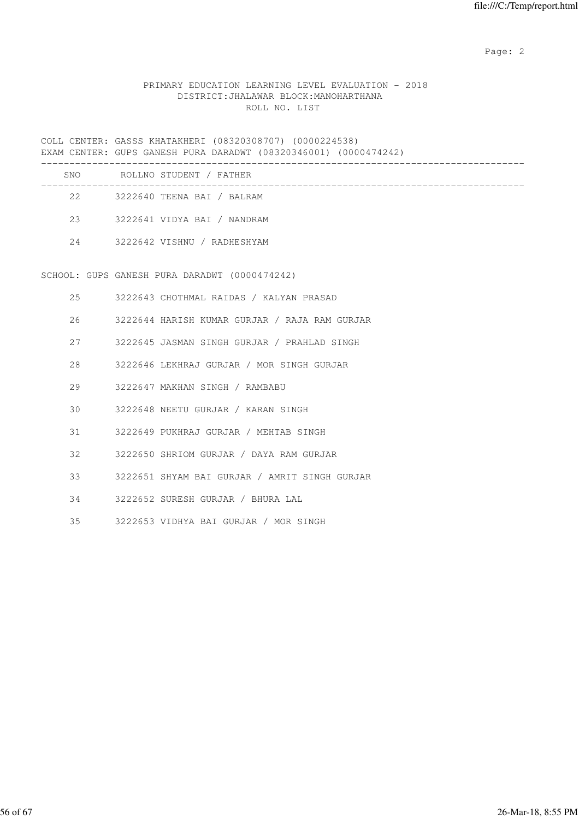## PRIMARY EDUCATION LEARNING LEVEL EVALUATION - 2018 DISTRICT:JHALAWAR BLOCK:MANOHARTHANA ROLL NO. LIST

COLL CENTER: GASSS KHATAKHERI (08320308707) (0000224538) EXAM CENTER: GUPS GANESH PURA DARADWT (08320346001) (0000474242) -------------------------------------------------------------------------------------

| SNO |    | ROLLNO STUDENT / FATHER     |  |
|-----|----|-----------------------------|--|
|     | 22 | 3222640 TEENA BAI / BALRAM  |  |
| 23  |    | 3222641 VIDYA BAI / NANDRAM |  |
| 2.4 |    | 3222642 VISHNU / RADHESHYAM |  |

SCHOOL: GUPS GANESH PURA DARADWT (0000474242)

| 25 | 3222643 CHOTHMAL RAIDAS / KALYAN PRASAD |  |  |  |
|----|-----------------------------------------|--|--|--|
|    |                                         |  |  |  |

26 3222644 HARISH KUMAR GURJAR / RAJA RAM GURJAR

- 27 3222645 JASMAN SINGH GURJAR / PRAHLAD SINGH
- 28 3222646 LEKHRAJ GURJAR / MOR SINGH GURJAR
- 29 3222647 MAKHAN SINGH / RAMBABU
- 30 3222648 NEETU GURJAR / KARAN SINGH
- 31 3222649 PUKHRAJ GURJAR / MEHTAB SINGH
- 32 3222650 SHRIOM GURJAR / DAYA RAM GURJAR
- 33 3222651 SHYAM BAI GURJAR / AMRIT SINGH GURJAR
- 34 3222652 SURESH GURJAR / BHURA LAL
- 35 3222653 VIDHYA BAI GURJAR / MOR SINGH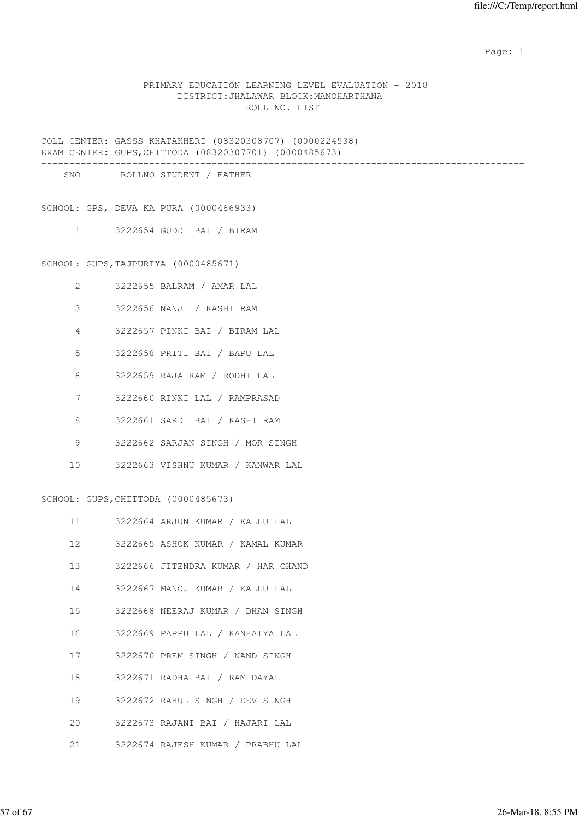#### PRIMARY EDUCATION LEARNING LEVEL EVALUATION - 2018 DISTRICT:JHALAWAR BLOCK:MANOHARTHANA ROLL NO. LIST

COLL CENTER: GASSS KHATAKHERI (08320308707) (0000224538) EXAM CENTER: GUPS,CHITTODA (08320307701) (0000485673) ------------------------------------------------------------------------------------- SNO ROLLNO STUDENT / FATHER ------------------------------------------------------------------------------------- SCHOOL: GPS, DEVA KA PURA (0000466933) 1 3222654 GUDDI BAI / BIRAM SCHOOL: GUPS,TAJPURIYA (0000485671) 2 3222655 BALRAM / AMAR LAL 3 3222656 NANJI / KASHI RAM 4 3222657 PINKI BAI / BIRAM LAL 5 3222658 PRITI BAI / BAPU LAL 6 3222659 RAJA RAM / RODHI LAL 7 3222660 RINKI LAL / RAMPRASAD 8 3222661 SARDI BAI / KASHI RAM 9 3222662 SARJAN SINGH / MOR SINGH 10 3222663 VISHNU KUMAR / KANWAR LAL SCHOOL: GUPS,CHITTODA (0000485673) 11 3222664 ARJUN KUMAR / KALLU LAL 12 3222665 ASHOK KUMAR / KAMAL KUMAR 13 3222666 JITENDRA KUMAR / HAR CHAND 14 3222667 MANOJ KUMAR / KALLU LAL 15 3222668 NEERAJ KUMAR / DHAN SINGH 16 3222669 PAPPU LAL / KANHAIYA LAL 17 3222670 PREM SINGH / NAND SINGH 18 3222671 RADHA BAI / RAM DAYAL 19 3222672 RAHUL SINGH / DEV SINGH 20 3222673 RAJANI BAI / HAJARI LAL

21 3222674 RAJESH KUMAR / PRABHU LAL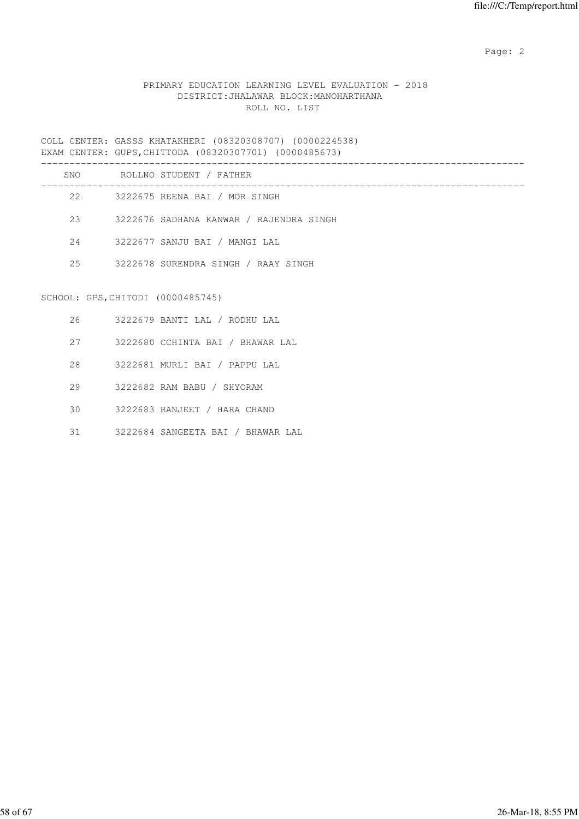# PRIMARY EDUCATION LEARNING LEVEL EVALUATION - 2018 DISTRICT:JHALAWAR BLOCK:MANOHARTHANA ROLL NO. LIST

COLL CENTER: GASSS KHATAKHERI (08320308707) (0000224538) EXAM CENTER: GUPS,CHITTODA (08320307701) (0000485673)

| SNO | ROLLNO STUDENT / FATHER                 |
|-----|-----------------------------------------|
| 22  | 3222675 REENA BAI / MOR SINGH           |
| 23  | 3222676 SADHANA KANWAR / RAJENDRA SINGH |
| 2.4 | 3222677 SANJU BAI / MANGI LAL           |
| 2.5 | 3222678 SURENDRA SINGH / RAAY SINGH     |
|     |                                         |

# SCHOOL: GPS,CHITODI (0000485745)

| 26 | 3222679 BANTI LAL / RODHU LAL     |
|----|-----------------------------------|
| 27 | 3222680 CCHINTA BAI / BHAWAR LAL  |
| 28 | 3222681 MURLI BAI / PAPPU LAL     |
| 29 | 3222682 RAM BABU / SHYORAM        |
| 30 | 3222683 RANJEET / HARA CHAND      |
| 31 | 3222684 SANGEETA BAI / BHAWAR LAL |
|    |                                   |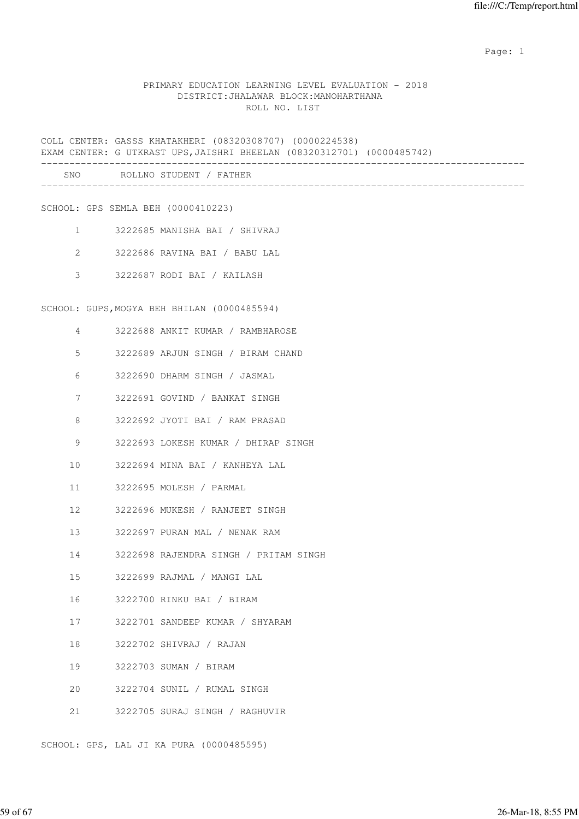#### PRIMARY EDUCATION LEARNING LEVEL EVALUATION - 2018 DISTRICT:JHALAWAR BLOCK:MANOHARTHANA ROLL NO. LIST

COLL CENTER: GASSS KHATAKHERI (08320308707) (0000224538) EXAM CENTER: G UTKRAST UPS,JAISHRI BHEELAN (08320312701) (0000485742) ------------------------------------------------------------------------------------- SNO ROLLNO STUDENT / FATHER ------------------------------------------------------------------------------------- SCHOOL: GPS SEMLA BEH (0000410223) 1 3222685 MANISHA BAI / SHIVRAJ 2 3222686 RAVINA BAI / BABU LAL 3 3222687 RODI BAI / KAILASH SCHOOL: GUPS,MOGYA BEH BHILAN (0000485594) 4 3222688 ANKIT KUMAR / RAMBHAROSE 5 3222689 ARJUN SINGH / BIRAM CHAND 6 3222690 DHARM SINGH / JASMAL 7 3222691 GOVIND / BANKAT SINGH 8 3222692 JYOTI BAI / RAM PRASAD 9 3222693 LOKESH KUMAR / DHIRAP SINGH 10 3222694 MINA BAI / KANHEYA LAL 11 3222695 MOLESH / PARMAL 12 3222696 MUKESH / RANJEET SINGH 13 3222697 PURAN MAL / NENAK RAM 14 3222698 RAJENDRA SINGH / PRITAM SINGH 15 3222699 RAJMAL / MANGI LAL 16 3222700 RINKU BAI / BIRAM 17 3222701 SANDEEP KUMAR / SHYARAM 18 3222702 SHIVRAJ / RAJAN 19 3222703 SUMAN / BIRAM 20 3222704 SUNIL / RUMAL SINGH 21 3222705 SURAJ SINGH / RAGHUVIR

SCHOOL: GPS, LAL JI KA PURA (0000485595)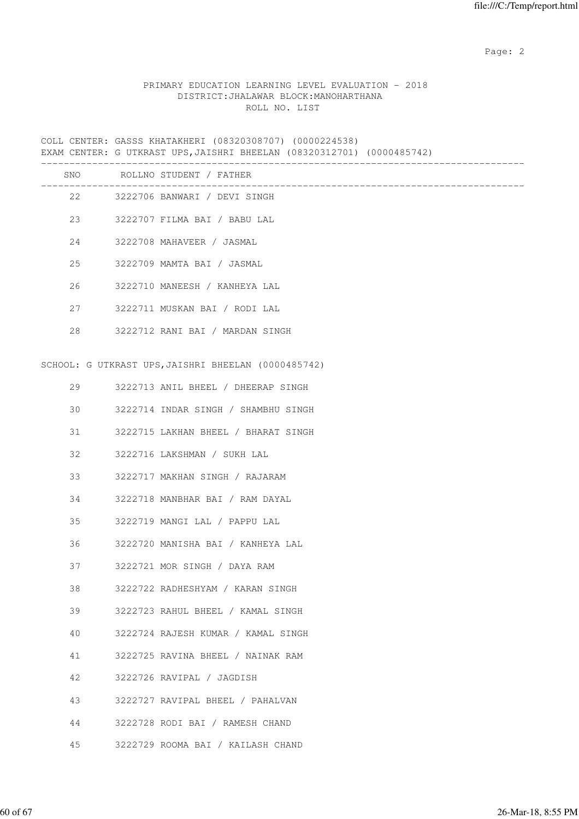#### PRIMARY EDUCATION LEARNING LEVEL EVALUATION - 2018 DISTRICT:JHALAWAR BLOCK:MANOHARTHANA ROLL NO. LIST

COLL CENTER: GASSS KHATAKHERI (08320308707) (0000224538) EXAM CENTER: G UTKRAST UPS,JAISHRI BHEELAN (08320312701) (0000485742)

|    | SNO ROLLNO STUDENT / FATHER                         |
|----|-----------------------------------------------------|
|    | 22 3222706 BANWARI / DEVI SINGH                     |
|    | 23 3222707 FILMA BAI / BABU LAL                     |
| 24 | 3222708 MAHAVEER / JASMAL                           |
| 25 | 3222709 MAMTA BAI / JASMAL                          |
| 26 | 3222710 MANEESH / KANHEYA LAL                       |
| 27 | 3222711 MUSKAN BAI / RODI LAL                       |
| 28 | 3222712 RANI BAI / MARDAN SINGH                     |
|    |                                                     |
|    | SCHOOL: G UTKRAST UPS, JAISHRI BHEELAN (0000485742) |
| 29 | 3222713 ANIL BHEEL / DHEERAP SINGH                  |
| 30 | 3222714 INDAR SINGH / SHAMBHU SINGH                 |
| 31 | 3222715 LAKHAN BHEEL / BHARAT SINGH                 |
| 32 | 3222716 LAKSHMAN / SUKH LAL                         |
| 33 | 3222717 MAKHAN SINGH / RAJARAM                      |
| 34 | 3222718 MANBHAR BAI / RAM DAYAL                     |
| 35 | 3222719 MANGI LAL / PAPPU LAL                       |
| 36 | 3222720 MANISHA BAI / KANHEYA LAL                   |
| 37 | 3222721 MOR SINGH / DAYA RAM                        |
| 38 | 3222722 RADHESHYAM / KARAN SINGH                    |
| 39 | 3222723 RAHUL BHEEL / KAMAL SINGH                   |
| 40 | 3222724 RAJESH KUMAR / KAMAL SINGH                  |
| 41 | 3222725 RAVINA BHEEL / NAINAK RAM                   |
| 42 | 3222726 RAVIPAL / JAGDISH                           |
| 43 | 3222727 RAVIPAL BHEEL / PAHALVAN                    |
| 44 | 3222728 RODI BAI / RAMESH CHAND                     |
| 45 | 3222729 ROOMA BAI / KAILASH CHAND                   |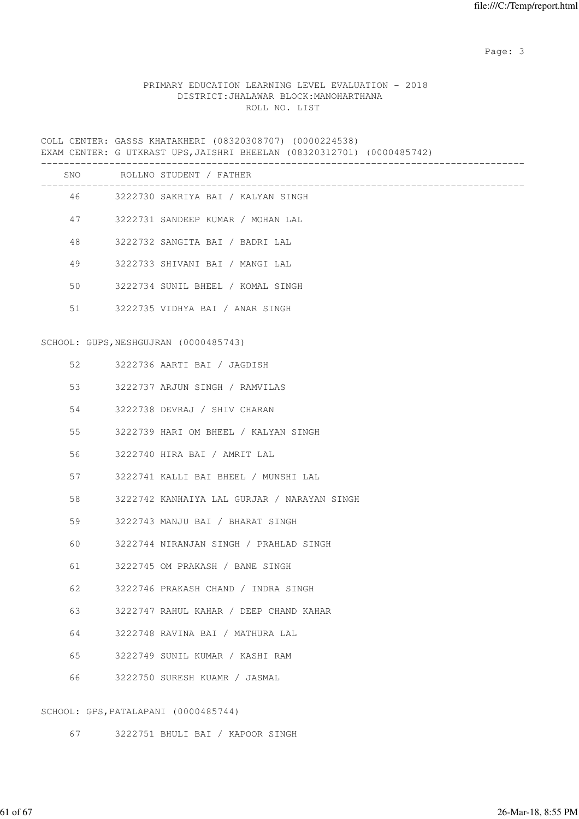Page: 3 Advanced 20 April 2014 2016 2017 2022 3 April 2017 2022 3 April 2022 3 April 2022 3 April 2022 3 April 2022 3 April 2022 3 April 2022 3 April 2022 3 April 2022 3 April 2022 3 April 2022 3 April 2022 3 April 2022 3

#### PRIMARY EDUCATION LEARNING LEVEL EVALUATION - 2018 DISTRICT:JHALAWAR BLOCK:MANOHARTHANA ROLL NO. LIST

COLL CENTER: GASSS KHATAKHERI (08320308707) (0000224538) EXAM CENTER: G UTKRAST UPS,JAISHRI BHEELAN (08320312701) (0000485742) ------------------------------------------------------------------------------------- SNO ROLLNO STUDENT / FATHER ------------------------------------------------------------------------------------- 46 3222730 SAKRIYA BAI / KALYAN SINGH 47 3222731 SANDEEP KUMAR / MOHAN LAL 48 3222732 SANGITA BAI / BADRI LAL 49 3222733 SHIVANI BAI / MANGI LAL 50 3222734 SUNIL BHEEL / KOMAL SINGH 51 3222735 VIDHYA BAI / ANAR SINGH SCHOOL: GUPS,NESHGUJRAN (0000485743) 52 3222736 AARTI BAI / JAGDISH 53 3222737 ARJUN SINGH / RAMVILAS 54 3222738 DEVRAJ / SHIV CHARAN 55 3222739 HARI OM BHEEL / KALYAN SINGH 56 3222740 HIRA BAI / AMRIT LAL 57 3222741 KALLI BAI BHEEL / MUNSHI LAL 58 3222742 KANHAIYA LAL GURJAR / NARAYAN SINGH 59 3222743 MANJU BAI / BHARAT SINGH 60 3222744 NIRANJAN SINGH / PRAHLAD SINGH 61 3222745 OM PRAKASH / BANE SINGH 62 3222746 PRAKASH CHAND / INDRA SINGH 63 3222747 RAHUL KAHAR / DEEP CHAND KAHAR 64 3222748 RAVINA BAI / MATHURA LAL 65 3222749 SUNIL KUMAR / KASHI RAM 66 3222750 SURESH KUAMR / JASMAL

SCHOOL: GPS,PATALAPANI (0000485744)

67 3222751 BHULI BAI / KAPOOR SINGH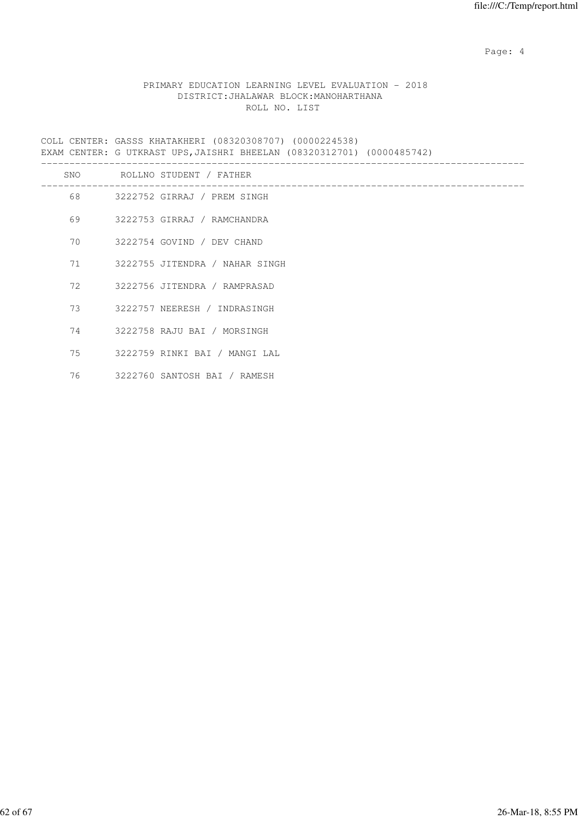Page: 4  $P$ 

## PRIMARY EDUCATION LEARNING LEVEL EVALUATION - 2018 DISTRICT:JHALAWAR BLOCK:MANOHARTHANA ROLL NO. LIST

COLL CENTER: GASSS KHATAKHERI (08320308707) (0000224538) EXAM CENTER: G UTKRAST UPS,JAISHRI BHEELAN (08320312701) (0000485742)

| SNO     | ROLLNO STUDENT / FATHER           |
|---------|-----------------------------------|
|         | 68 3222752 GIRRAJ / PREM SINGH    |
| 69      | 3222753 GIRRAJ / RAMCHANDRA       |
|         | 70 3222754 GOVIND / DEV CHAND     |
|         | 71 3222755 JITENDRA / NAHAR SINGH |
|         | 72 3222756 JITENDRA / RAMPRASAD   |
| 73 — 1  | 3222757 NEERESH / INDRASINGH      |
|         | 74 3222758 RAJU BAI / MORSINGH    |
| 75 — 17 | 3222759 RINKI BAI / MANGI LAL     |
| 76      | 3222760 SANTOSH BAI / RAMESH      |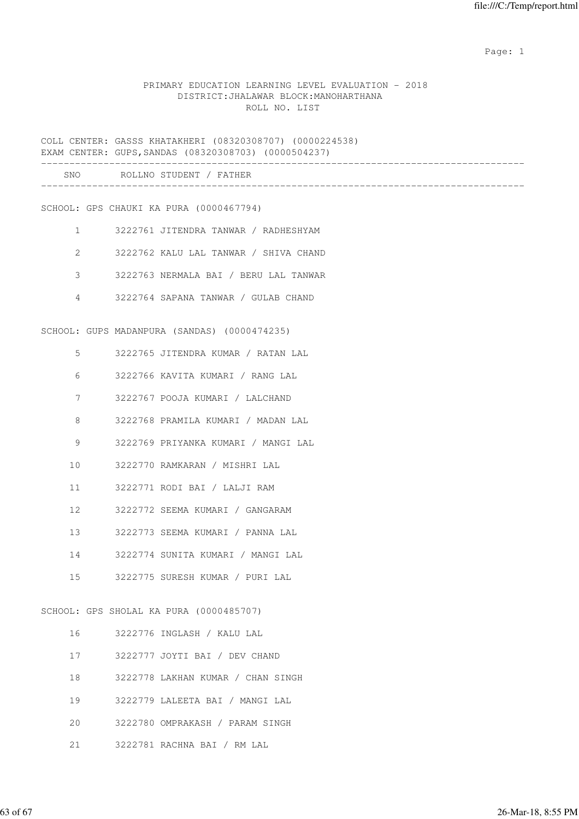#### PRIMARY EDUCATION LEARNING LEVEL EVALUATION - 2018 DISTRICT:JHALAWAR BLOCK:MANOHARTHANA ROLL NO. LIST

COLL CENTER: GASSS KHATAKHERI (08320308707) (0000224538) EXAM CENTER: GUPS,SANDAS (08320308703) (0000504237) ------------------------------------------------------------------------------------- SNO ROLLNO STUDENT / FATHER ------------------------------------------------------------------------------------- SCHOOL: GPS CHAUKI KA PURA (0000467794) 1 3222761 JITENDRA TANWAR / RADHESHYAM 2 3222762 KALU LAL TANWAR / SHIVA CHAND 3 3222763 NERMALA BAI / BERU LAL TANWAR 4 3222764 SAPANA TANWAR / GULAB CHAND SCHOOL: GUPS MADANPURA (SANDAS) (0000474235) 5 3222765 JITENDRA KUMAR / RATAN LAL 6 3222766 KAVITA KUMARI / RANG LAL 7 3222767 POOJA KUMARI / LALCHAND 8 3222768 PRAMILA KUMARI / MADAN LAL 9 3222769 PRIYANKA KUMARI / MANGI LAL 10 3222770 RAMKARAN / MISHRI LAL 11 3222771 RODI BAI / LALJI RAM 12 3222772 SEEMA KUMARI / GANGARAM 13 3222773 SEEMA KUMARI / PANNA LAL 14 3222774 SUNITA KUMARI / MANGI LAL 15 3222775 SURESH KUMAR / PURI LAL SCHOOL: GPS SHOLAL KA PURA (0000485707) 16 3222776 INGLASH / KALU LAL 17 3222777 JOYTI BAI / DEV CHAND 18 3222778 LAKHAN KUMAR / CHAN SINGH 19 3222779 LALEETA BAI / MANGI LAL

- 20 3222780 OMPRAKASH / PARAM SINGH
- 21 3222781 RACHNA BAI / RM LAL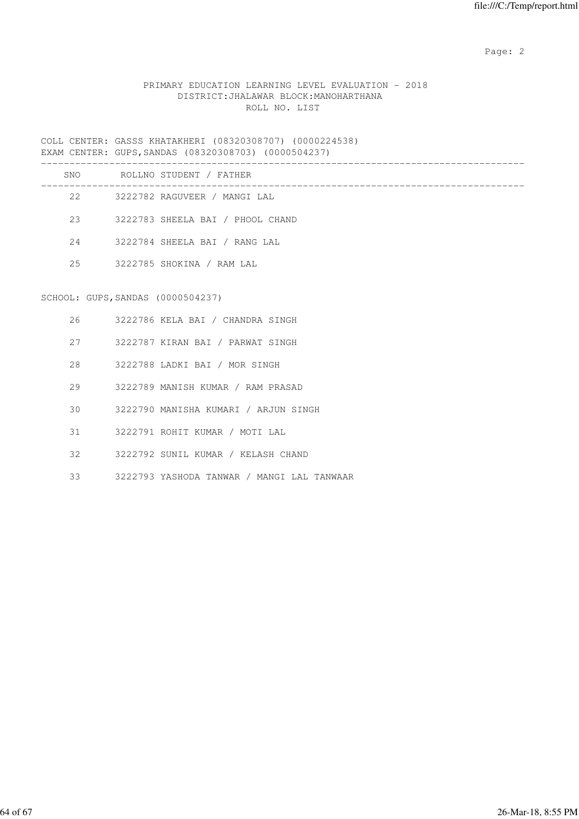## PRIMARY EDUCATION LEARNING LEVEL EVALUATION - 2018 DISTRICT:JHALAWAR BLOCK:MANOHARTHANA ROLL NO. LIST

COLL CENTER: GASSS KHATAKHERI (08320308707) (0000224538) EXAM CENTER: GUPS,SANDAS (08320308703) (0000504237)

| SNO |                                   | ROLLNO STUDENT / FATHER          |
|-----|-----------------------------------|----------------------------------|
| 22  |                                   | 3222782 RAGUVEER / MANGI LAL     |
| 23  |                                   | 3222783 SHEELA BAI / PHOOL CHAND |
| 24  |                                   | 3222784 SHEELA BAI / RANG LAL    |
| 2.5 |                                   | 3222785 SHOKINA / RAM LAL        |
|     |                                   |                                  |
|     | SCHOOL: GUPS, SANDAS (0000504237) |                                  |

# 26 3222786 KELA BAI / CHANDRA SINGH

- 27 3222787 KIRAN BAI / PARWAT SINGH
- 28 3222788 LADKI BAI / MOR SINGH
- 29 3222789 MANISH KUMAR / RAM PRASAD
- 30 3222790 MANISHA KUMARI / ARJUN SINGH
- 31 3222791 ROHIT KUMAR / MOTI LAL
- 32 3222792 SUNIL KUMAR / KELASH CHAND
- 33 3222793 YASHODA TANWAR / MANGI LAL TANWAAR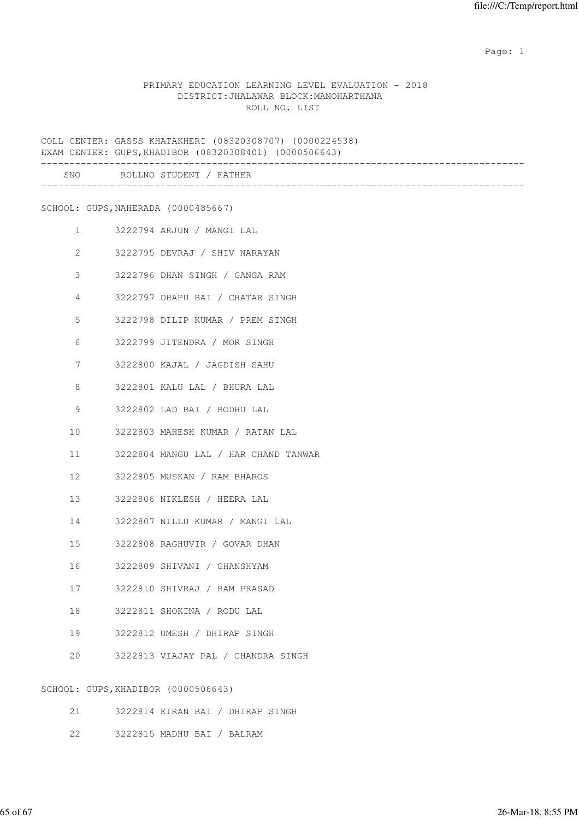#### PRIMARY EDUCATION LEARNING LEVEL EVALUATION - 2018 DISTRICT:JHALAWAR BLOCK:MANOHARTHANA ROLL NO. LIST

COLL CENTER: GASSS KHATAKHERI (08320308707) (0000224538) EXAM CENTER: GUPS,KHADIBOR (08320308401) (0000506643) ------------------------------------------------------------------------------------- SNO ROLLNO STUDENT / FATHER ------------------------------------------------------------------------------------- SCHOOL: GUPS,NAHERADA (0000485667) 1 3222794 ARJUN / MANGI LAL 2 3222795 DEVRAJ / SHIV NARAYAN 3 3222796 DHAN SINGH / GANGA RAM 4 3222797 DHAPU BAI / CHATAR SINGH 5 3222798 DILIP KUMAR / PREM SINGH 6 3222799 JITENDRA / MOR SINGH 7 3222800 KAJAL / JAGDISH SAHU 8 3222801 KALU LAL / BHURA LAL 9 3222802 LAD BAI / RODHU LAL 10 3222803 MAHESH KUMAR / RATAN LAL 11 3222804 MANGU LAL / HAR CHAND TANWAR 12 3222805 MUSKAN / RAM BHAROS 13 3222806 NIKLESH / HEERA LAL 14 3222807 NILLU KUMAR / MANGI LAL 15 3222808 RAGHUVIR / GOVAR DHAN 16 3222809 SHIVANI / GHANSHYAM 17 3222810 SHIVRAJ / RAM PRASAD 18 3222811 SHOKINA / RODU LAL 19 3222812 UMESH / DHIRAP SINGH 20 3222813 VIAJAY PAL / CHANDRA SINGH SCHOOL: GUPS,KHADIBOR (0000506643)

|  | 3222814 | KTRAN | <b>BAT</b> |  | DHIRAP | INGH |  |
|--|---------|-------|------------|--|--------|------|--|
|--|---------|-------|------------|--|--------|------|--|

22 3222815 MADHU BAI / BALRAM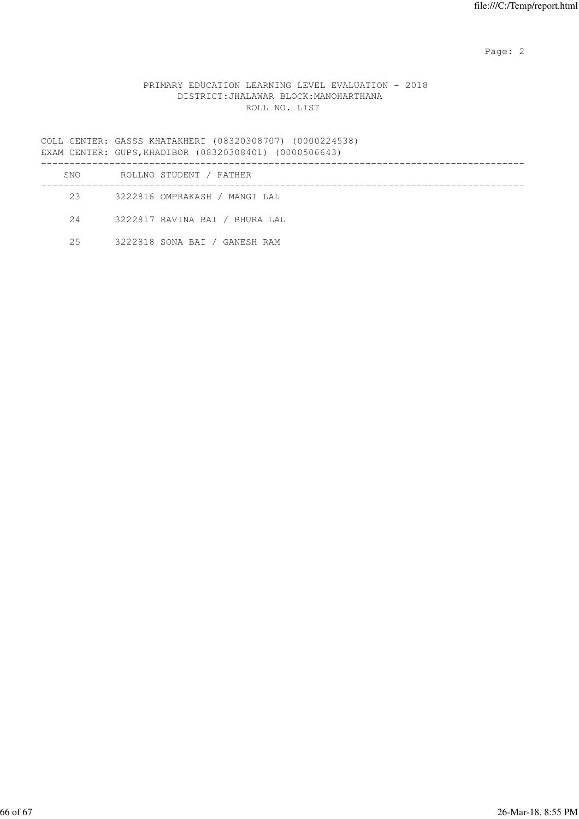## PRIMARY EDUCATION LEARNING LEVEL EVALUATION - 2018 DISTRICT:JHALAWAR BLOCK:MANOHARTHANA ROLL NO. LIST

COLL CENTER: GASSS KHATAKHERI (08320308707) (0000224538) EXAM CENTER: GUPS,KHADIBOR (08320308401) (0000506643)

| SNO | ROLLNO STUDENT / FATHER        |
|-----|--------------------------------|
| 23  | 3222816 OMPRAKASH / MANGI LAL  |
| 2.4 | 3222817 RAVINA BAI / BHURA LAL |
| 2.5 | 3222818 SONA BAI / GANESH RAM  |